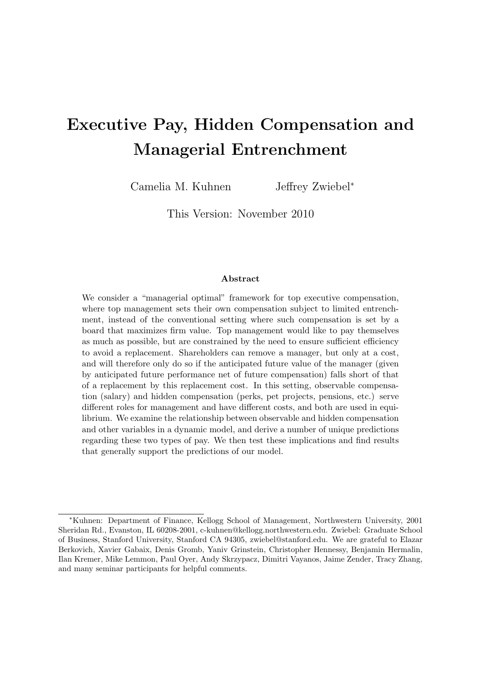# **Executive Pay, Hidden Compensation and Managerial Entrenchment**

Camelia M. Kuhnen Jeffrey Zwiebel*<sup>∗</sup>*

This Version: November 2010

#### **Abstract**

We consider a "managerial optimal" framework for top executive compensation, where top management sets their own compensation subject to limited entrenchment, instead of the conventional setting where such compensation is set by a board that maximizes firm value. Top management would like to pay themselves as much as possible, but are constrained by the need to ensure sufficient efficiency to avoid a replacement. Shareholders can remove a manager, but only at a cost, and will therefore only do so if the anticipated future value of the manager (given by anticipated future performance net of future compensation) falls short of that of a replacement by this replacement cost. In this setting, observable compensation (salary) and hidden compensation (perks, pet projects, pensions, etc.) serve different roles for management and have different costs, and both are used in equilibrium. We examine the relationship between observable and hidden compensation and other variables in a dynamic model, and derive a number of unique predictions regarding these two types of pay. We then test these implications and find results that generally support the predictions of our model.

*<sup>∗</sup>*Kuhnen: Department of Finance, Kellogg School of Management, Northwestern University, 2001 Sheridan Rd., Evanston, IL 60208-2001, c-kuhnen@kellogg.northwestern.edu. Zwiebel: Graduate School of Business, Stanford University, Stanford CA 94305, zwiebel@stanford.edu. We are grateful to Elazar Berkovich, Xavier Gabaix, Denis Gromb, Yaniv Grinstein, Christopher Hennessy, Benjamin Hermalin, Ilan Kremer, Mike Lemmon, Paul Oyer, Andy Skrzypacz, Dimitri Vayanos, Jaime Zender, Tracy Zhang, and many seminar participants for helpful comments.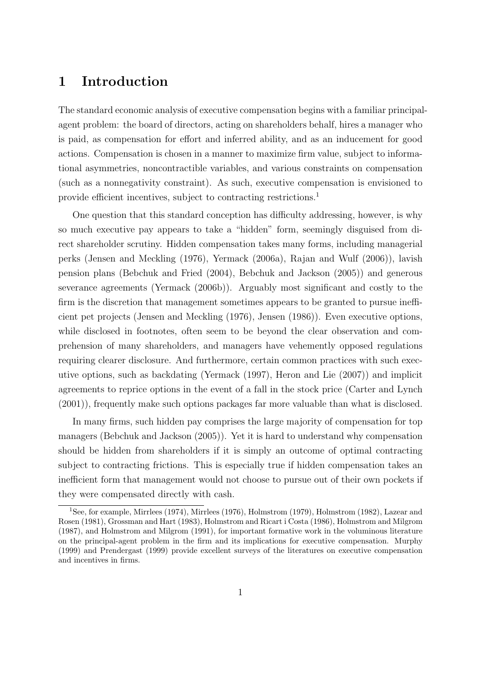# **1 Introduction**

The standard economic analysis of executive compensation begins with a familiar principalagent problem: the board of directors, acting on shareholders behalf, hires a manager who is paid, as compensation for effort and inferred ability, and as an inducement for good actions. Compensation is chosen in a manner to maximize firm value, subject to informational asymmetries, noncontractible variables, and various constraints on compensation (such as a nonnegativity constraint). As such, executive compensation is envisioned to provide efficient incentives, subject to contracting restrictions.<sup>1</sup>

One question that this standard conception has difficulty addressing, however, is why so much executive pay appears to take a "hidden" form, seemingly disguised from direct shareholder scrutiny. Hidden compensation takes many forms, including managerial perks (Jensen and Meckling (1976), Yermack (2006a), Rajan and Wulf (2006)), lavish pension plans (Bebchuk and Fried (2004), Bebchuk and Jackson (2005)) and generous severance agreements (Yermack (2006b)). Arguably most significant and costly to the firm is the discretion that management sometimes appears to be granted to pursue inefficient pet projects (Jensen and Meckling (1976), Jensen (1986)). Even executive options, while disclosed in footnotes, often seem to be beyond the clear observation and comprehension of many shareholders, and managers have vehemently opposed regulations requiring clearer disclosure. And furthermore, certain common practices with such executive options, such as backdating (Yermack (1997), Heron and Lie (2007)) and implicit agreements to reprice options in the event of a fall in the stock price (Carter and Lynch (2001)), frequently make such options packages far more valuable than what is disclosed.

In many firms, such hidden pay comprises the large majority of compensation for top managers (Bebchuk and Jackson (2005)). Yet it is hard to understand why compensation should be hidden from shareholders if it is simply an outcome of optimal contracting subject to contracting frictions. This is especially true if hidden compensation takes an inefficient form that management would not choose to pursue out of their own pockets if they were compensated directly with cash.

<sup>1</sup>See, for example, Mirrlees (1974), Mirrlees (1976), Holmstrom (1979), Holmstrom (1982), Lazear and Rosen (1981), Grossman and Hart (1983), Holmstrom and Ricart i Costa (1986), Holmstrom and Milgrom (1987), and Holmstrom and Milgrom (1991), for important formative work in the voluminous literature on the principal-agent problem in the firm and its implications for executive compensation. Murphy (1999) and Prendergast (1999) provide excellent surveys of the literatures on executive compensation and incentives in firms.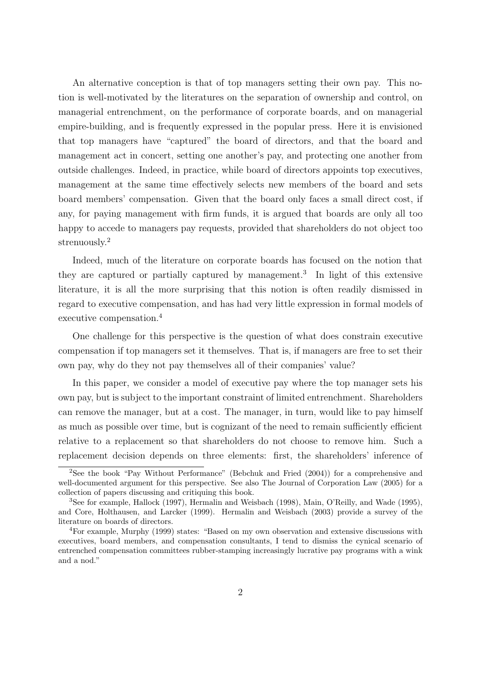An alternative conception is that of top managers setting their own pay. This notion is well-motivated by the literatures on the separation of ownership and control, on managerial entrenchment, on the performance of corporate boards, and on managerial empire-building, and is frequently expressed in the popular press. Here it is envisioned that top managers have "captured" the board of directors, and that the board and management act in concert, setting one another's pay, and protecting one another from outside challenges. Indeed, in practice, while board of directors appoints top executives, management at the same time effectively selects new members of the board and sets board members' compensation. Given that the board only faces a small direct cost, if any, for paying management with firm funds, it is argued that boards are only all too happy to accede to managers pay requests, provided that shareholders do not object too strenuously.<sup>2</sup>

Indeed, much of the literature on corporate boards has focused on the notion that they are captured or partially captured by management.<sup>3</sup> In light of this extensive literature, it is all the more surprising that this notion is often readily dismissed in regard to executive compensation, and has had very little expression in formal models of executive compensation.<sup>4</sup>

One challenge for this perspective is the question of what does constrain executive compensation if top managers set it themselves. That is, if managers are free to set their own pay, why do they not pay themselves all of their companies' value?

In this paper, we consider a model of executive pay where the top manager sets his own pay, but is subject to the important constraint of limited entrenchment. Shareholders can remove the manager, but at a cost. The manager, in turn, would like to pay himself as much as possible over time, but is cognizant of the need to remain sufficiently efficient relative to a replacement so that shareholders do not choose to remove him. Such a replacement decision depends on three elements: first, the shareholders' inference of

<sup>2</sup>See the book "Pay Without Performance" (Bebchuk and Fried (2004)) for a comprehensive and well-documented argument for this perspective. See also The Journal of Corporation Law (2005) for a collection of papers discussing and critiquing this book.

<sup>3</sup>See for example, Hallock (1997), Hermalin and Weisbach (1998), Main, O'Reilly, and Wade (1995), and Core, Holthausen, and Larcker (1999). Hermalin and Weisbach (2003) provide a survey of the literature on boards of directors.

<sup>4</sup>For example, Murphy (1999) states: "Based on my own observation and extensive discussions with executives, board members, and compensation consultants, I tend to dismiss the cynical scenario of entrenched compensation committees rubber-stamping increasingly lucrative pay programs with a wink and a nod."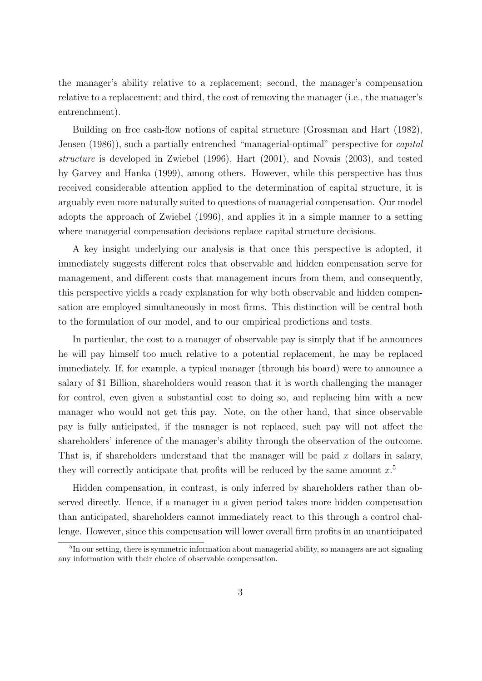the manager's ability relative to a replacement; second, the manager's compensation relative to a replacement; and third, the cost of removing the manager (i.e., the manager's entrenchment).

Building on free cash-flow notions of capital structure (Grossman and Hart (1982), Jensen (1986)), such a partially entrenched "managerial-optimal" perspective for *capital structure* is developed in Zwiebel (1996), Hart (2001), and Novais (2003), and tested by Garvey and Hanka (1999), among others. However, while this perspective has thus received considerable attention applied to the determination of capital structure, it is arguably even more naturally suited to questions of managerial compensation. Our model adopts the approach of Zwiebel (1996), and applies it in a simple manner to a setting where managerial compensation decisions replace capital structure decisions.

A key insight underlying our analysis is that once this perspective is adopted, it immediately suggests different roles that observable and hidden compensation serve for management, and different costs that management incurs from them, and consequently, this perspective yields a ready explanation for why both observable and hidden compensation are employed simultaneously in most firms. This distinction will be central both to the formulation of our model, and to our empirical predictions and tests.

In particular, the cost to a manager of observable pay is simply that if he announces he will pay himself too much relative to a potential replacement, he may be replaced immediately. If, for example, a typical manager (through his board) were to announce a salary of \$1 Billion, shareholders would reason that it is worth challenging the manager for control, even given a substantial cost to doing so, and replacing him with a new manager who would not get this pay. Note, on the other hand, that since observable pay is fully anticipated, if the manager is not replaced, such pay will not affect the shareholders' inference of the manager's ability through the observation of the outcome. That is, if shareholders understand that the manager will be paid *x* dollars in salary, they will correctly anticipate that profits will be reduced by the same amount *x*. 5

Hidden compensation, in contrast, is only inferred by shareholders rather than observed directly. Hence, if a manager in a given period takes more hidden compensation than anticipated, shareholders cannot immediately react to this through a control challenge. However, since this compensation will lower overall firm profits in an unanticipated

<sup>&</sup>lt;sup>5</sup>In our setting, there is symmetric information about managerial ability, so managers are not signaling any information with their choice of observable compensation.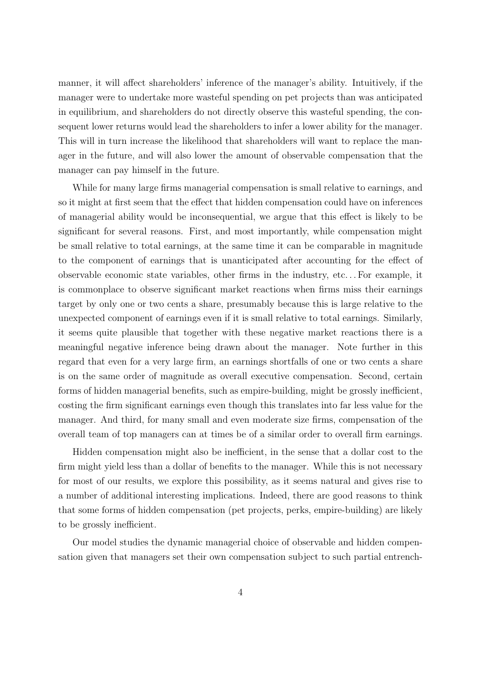manner, it will affect shareholders' inference of the manager's ability. Intuitively, if the manager were to undertake more wasteful spending on pet projects than was anticipated in equilibrium, and shareholders do not directly observe this wasteful spending, the consequent lower returns would lead the shareholders to infer a lower ability for the manager. This will in turn increase the likelihood that shareholders will want to replace the manager in the future, and will also lower the amount of observable compensation that the manager can pay himself in the future.

While for many large firms managerial compensation is small relative to earnings, and so it might at first seem that the effect that hidden compensation could have on inferences of managerial ability would be inconsequential, we argue that this effect is likely to be significant for several reasons. First, and most importantly, while compensation might be small relative to total earnings, at the same time it can be comparable in magnitude to the component of earnings that is unanticipated after accounting for the effect of observable economic state variables, other firms in the industry, etc. . . For example, it is commonplace to observe significant market reactions when firms miss their earnings target by only one or two cents a share, presumably because this is large relative to the unexpected component of earnings even if it is small relative to total earnings. Similarly, it seems quite plausible that together with these negative market reactions there is a meaningful negative inference being drawn about the manager. Note further in this regard that even for a very large firm, an earnings shortfalls of one or two cents a share is on the same order of magnitude as overall executive compensation. Second, certain forms of hidden managerial benefits, such as empire-building, might be grossly inefficient, costing the firm significant earnings even though this translates into far less value for the manager. And third, for many small and even moderate size firms, compensation of the overall team of top managers can at times be of a similar order to overall firm earnings.

Hidden compensation might also be inefficient, in the sense that a dollar cost to the firm might yield less than a dollar of benefits to the manager. While this is not necessary for most of our results, we explore this possibility, as it seems natural and gives rise to a number of additional interesting implications. Indeed, there are good reasons to think that some forms of hidden compensation (pet projects, perks, empire-building) are likely to be grossly inefficient.

Our model studies the dynamic managerial choice of observable and hidden compensation given that managers set their own compensation subject to such partial entrench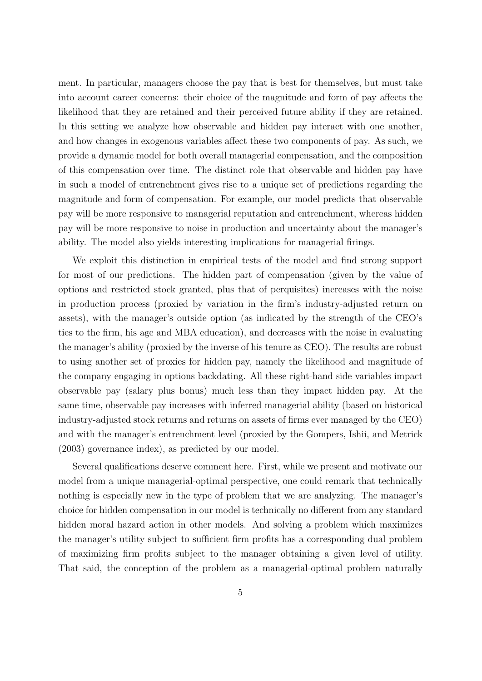ment. In particular, managers choose the pay that is best for themselves, but must take into account career concerns: their choice of the magnitude and form of pay affects the likelihood that they are retained and their perceived future ability if they are retained. In this setting we analyze how observable and hidden pay interact with one another, and how changes in exogenous variables affect these two components of pay. As such, we provide a dynamic model for both overall managerial compensation, and the composition of this compensation over time. The distinct role that observable and hidden pay have in such a model of entrenchment gives rise to a unique set of predictions regarding the magnitude and form of compensation. For example, our model predicts that observable pay will be more responsive to managerial reputation and entrenchment, whereas hidden pay will be more responsive to noise in production and uncertainty about the manager's ability. The model also yields interesting implications for managerial firings.

We exploit this distinction in empirical tests of the model and find strong support for most of our predictions. The hidden part of compensation (given by the value of options and restricted stock granted, plus that of perquisites) increases with the noise in production process (proxied by variation in the firm's industry-adjusted return on assets), with the manager's outside option (as indicated by the strength of the CEO's ties to the firm, his age and MBA education), and decreases with the noise in evaluating the manager's ability (proxied by the inverse of his tenure as CEO). The results are robust to using another set of proxies for hidden pay, namely the likelihood and magnitude of the company engaging in options backdating. All these right-hand side variables impact observable pay (salary plus bonus) much less than they impact hidden pay. At the same time, observable pay increases with inferred managerial ability (based on historical industry-adjusted stock returns and returns on assets of firms ever managed by the CEO) and with the manager's entrenchment level (proxied by the Gompers, Ishii, and Metrick (2003) governance index), as predicted by our model.

Several qualifications deserve comment here. First, while we present and motivate our model from a unique managerial-optimal perspective, one could remark that technically nothing is especially new in the type of problem that we are analyzing. The manager's choice for hidden compensation in our model is technically no different from any standard hidden moral hazard action in other models. And solving a problem which maximizes the manager's utility subject to sufficient firm profits has a corresponding dual problem of maximizing firm profits subject to the manager obtaining a given level of utility. That said, the conception of the problem as a managerial-optimal problem naturally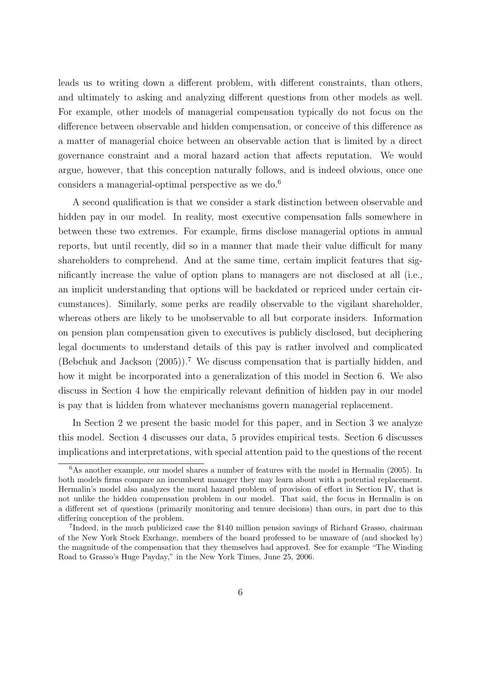leads us to writing down a different problem, with different constraints, than others, and ultimately to asking and analyzing different questions from other models as well. For example, other models of managerial compensation typically do not focus on the difference between observable and hidden compensation, or conceive of this difference as a matter of managerial choice between an observable action that is limited by a direct governance constraint and a moral hazard action that affects reputation. We would argue, however, that this conception naturally follows, and is indeed obvious, once one considers a managerial-optimal perspective as we do.<sup>6</sup>

A second qualification is that we consider a stark distinction between observable and hidden pay in our model. In reality, most executive compensation falls somewhere in between these two extremes. For example, firms disclose managerial options in annual reports, but until recently, did so in a manner that made their value difficult for many shareholders to comprehend. And at the same time, certain implicit features that significantly increase the value of option plans to managers are not disclosed at all (i.e., an implicit understanding that options will be backdated or repriced under certain circumstances). Similarly, some perks are readily observable to the vigilant shareholder, whereas others are likely to be unobservable to all but corporate insiders. Information on pension plan compensation given to executives is publicly disclosed, but deciphering legal documents to understand details of this pay is rather involved and complicated (Bebchuk and Jackson  $(2005)$ ).<sup>7</sup> We discuss compensation that is partially hidden, and how it might be incorporated into a generalization of this model in Section 6. We also discuss in Section 4 how the empirically relevant definition of hidden pay in our model is pay that is hidden from whatever mechanisms govern managerial replacement.

In Section 2 we present the basic model for this paper, and in Section 3 we analyze this model. Section 4 discusses our data, 5 provides empirical tests. Section 6 discusses implications and interpretations, with special attention paid to the questions of the recent

 $6$ As another example, our model shares a number of features with the model in Hermalin (2005). In both models firms compare an incumbent manager they may learn about with a potential replacement. Hermalin's model also analyzes the moral hazard problem of provision of effort in Section IV, that is not unlike the hidden compensation problem in our model. That said, the focus in Hermalin is on a different set of questions (primarily monitoring and tenure decisions) than ours, in part due to this differing conception of the problem.

<sup>7</sup> Indeed, in the much publicized case the \$140 million pension savings of Richard Grasso, chairman of the New York Stock Exchange, members of the board professed to be unaware of (and shocked by) the magnitude of the compensation that they themselves had approved. See for example "The Winding Road to Grasso's Huge Payday," in the New York Times, June 25, 2006.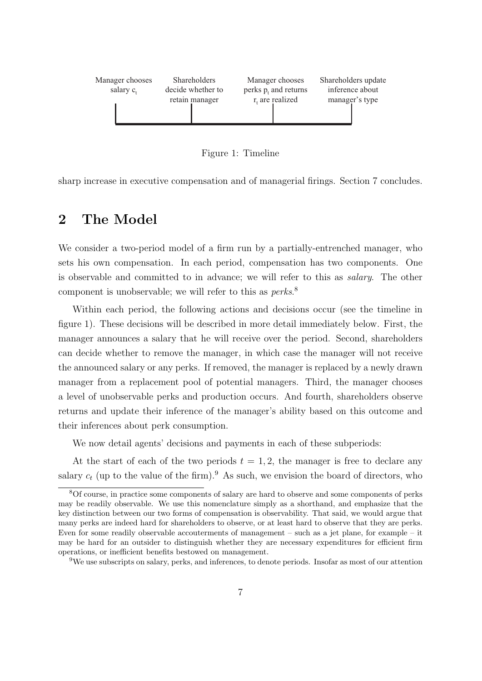

Figure 1: Timeline

sharp increase in executive compensation and of managerial firings. Section 7 concludes.

### **2 The Model**

We consider a two-period model of a firm run by a partially-entrenched manager, who sets his own compensation. In each period, compensation has two components. One is observable and committed to in advance; we will refer to this as *salary*. The other component is unobservable; we will refer to this as *perks*. 8

Within each period, the following actions and decisions occur (see the timeline in figure 1). These decisions will be described in more detail immediately below. First, the manager announces a salary that he will receive over the period. Second, shareholders can decide whether to remove the manager, in which case the manager will not receive the announced salary or any perks. If removed, the manager is replaced by a newly drawn manager from a replacement pool of potential managers. Third, the manager chooses a level of unobservable perks and production occurs. And fourth, shareholders observe returns and update their inference of the manager's ability based on this outcome and their inferences about perk consumption.

We now detail agents' decisions and payments in each of these subperiods:

At the start of each of the two periods  $t = 1, 2$ , the manager is free to declare any salary  $c_t$  (up to the value of the firm).<sup>9</sup> As such, we envision the board of directors, who

<sup>9</sup>We use subscripts on salary, perks, and inferences, to denote periods. Insofar as most of our attention

<sup>8</sup>Of course, in practice some components of salary are hard to observe and some components of perks may be readily observable. We use this nomenclature simply as a shorthand, and emphasize that the key distinction between our two forms of compensation is observability. That said, we would argue that many perks are indeed hard for shareholders to observe, or at least hard to observe that they are perks. Even for some readily observable accouterments of management – such as a jet plane, for example – it may be hard for an outsider to distinguish whether they are necessary expenditures for efficient firm operations, or inefficient benefits bestowed on management.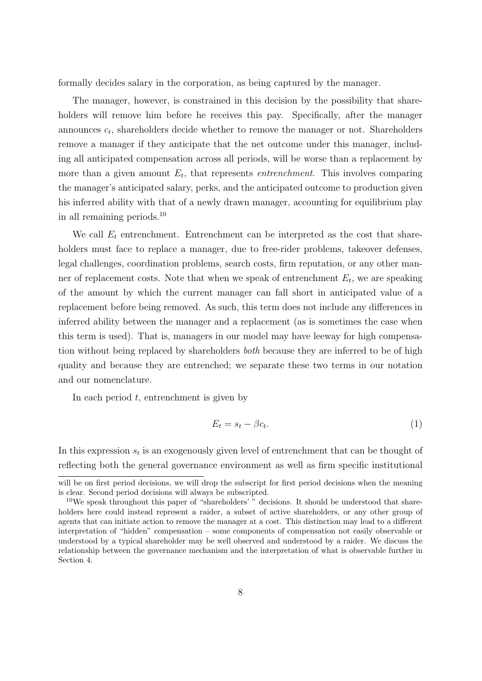formally decides salary in the corporation, as being captured by the manager.

The manager, however, is constrained in this decision by the possibility that shareholders will remove him before he receives this pay. Specifically, after the manager announces *c<sup>t</sup>* , shareholders decide whether to remove the manager or not. Shareholders remove a manager if they anticipate that the net outcome under this manager, including all anticipated compensation across all periods, will be worse than a replacement by more than a given amount  $E_t$ , that represents *entrenchment*. This involves comparing the manager's anticipated salary, perks, and the anticipated outcome to production given his inferred ability with that of a newly drawn manager, accounting for equilibrium play in all remaining periods.<sup>10</sup>

We call  $E_t$  entrenchment. Entrenchment can be interpreted as the cost that shareholders must face to replace a manager, due to free-rider problems, takeover defenses, legal challenges, coordination problems, search costs, firm reputation, or any other manner of replacement costs. Note that when we speak of entrenchment *E<sup>t</sup>* , we are speaking of the amount by which the current manager can fall short in anticipated value of a replacement before being removed. As such, this term does not include any differences in inferred ability between the manager and a replacement (as is sometimes the case when this term is used). That is, managers in our model may have leeway for high compensation without being replaced by shareholders *both* because they are inferred to be of high quality and because they are entrenched; we separate these two terms in our notation and our nomenclature.

In each period *t*, entrenchment is given by

$$
E_t = s_t - \beta c_t. \tag{1}
$$

In this expression  $s_t$  is an exogenously given level of entrenchment that can be thought of reflecting both the general governance environment as well as firm specific institutional

will be on first period decisions, we will drop the subscript for first period decisions when the meaning is clear. Second period decisions will always be subscripted.

<sup>&</sup>lt;sup>10</sup>We speak throughout this paper of "shareholders'" decisions. It should be understood that shareholders here could instead represent a raider, a subset of active shareholders, or any other group of agents that can initiate action to remove the manager at a cost. This distinction may lead to a different interpretation of "hidden" compensation – some components of compensation not easily observable or understood by a typical shareholder may be well observed and understood by a raider. We discuss the relationship between the governance mechanism and the interpretation of what is observable further in Section 4.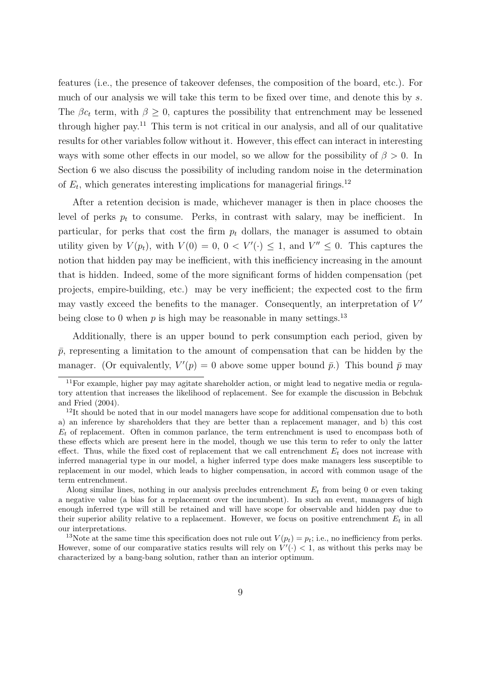features (i.e., the presence of takeover defenses, the composition of the board, etc.). For much of our analysis we will take this term to be fixed over time, and denote this by *s*. The  $\beta c_t$  term, with  $\beta \geq 0$ , captures the possibility that entrenchment may be lessened through higher pay.<sup>11</sup> This term is not critical in our analysis, and all of our qualitative results for other variables follow without it. However, this effect can interact in interesting ways with some other effects in our model, so we allow for the possibility of  $\beta > 0$ . In Section 6 we also discuss the possibility of including random noise in the determination of  $E_t$ , which generates interesting implications for managerial firings.<sup>12</sup>

After a retention decision is made, whichever manager is then in place chooses the level of perks  $p_t$  to consume. Perks, in contrast with salary, may be inefficient. In particular, for perks that cost the firm  $p_t$  dollars, the manager is assumed to obtain utility given by  $V(p_t)$ , with  $V(0) = 0$ ,  $0 < V'(\cdot) \leq 1$ , and  $V'' \leq 0$ . This captures the notion that hidden pay may be inefficient, with this inefficiency increasing in the amount that is hidden. Indeed, some of the more significant forms of hidden compensation (pet projects, empire-building, etc.) may be very inefficient; the expected cost to the firm may vastly exceed the benefits to the manager. Consequently, an interpretation of *V ′* being close to 0 when  $p$  is high may be reasonable in many settings.<sup>13</sup>

Additionally, there is an upper bound to perk consumption each period, given by  $\bar{p}$ , representing a limitation to the amount of compensation that can be hidden by the manager. (Or equivalently,  $V'(p) = 0$  above some upper bound  $\bar{p}$ .) This bound  $\bar{p}$  may

<sup>&</sup>lt;sup>11</sup>For example, higher pay may agitate shareholder action, or might lead to negative media or regulatory attention that increases the likelihood of replacement. See for example the discussion in Bebchuk and Fried (2004).

<sup>&</sup>lt;sup>12</sup>It should be noted that in our model managers have scope for additional compensation due to both a) an inference by shareholders that they are better than a replacement manager, and b) this cost *E<sup>t</sup>* of replacement. Often in common parlance, the term entrenchment is used to encompass both of these effects which are present here in the model, though we use this term to refer to only the latter effect. Thus, while the fixed cost of replacement that we call entrenchment  $E_t$  does not increase with inferred managerial type in our model, a higher inferred type does make managers less susceptible to replacement in our model, which leads to higher compensation, in accord with common usage of the term entrenchment.

Along similar lines, nothing in our analysis precludes entrenchment *E<sup>t</sup>* from being 0 or even taking a negative value (a bias for a replacement over the incumbent). In such an event, managers of high enough inferred type will still be retained and will have scope for observable and hidden pay due to their superior ability relative to a replacement. However, we focus on positive entrenchment  $E_t$  in all our interpretations.

<sup>&</sup>lt;sup>13</sup>Note at the same time this specification does not rule out  $V(p_t) = p_t$ ; i.e., no inefficiency from perks. However, some of our comparative statics results will rely on  $V'(\cdot) < 1$ , as without this perks may be characterized by a bang-bang solution, rather than an interior optimum.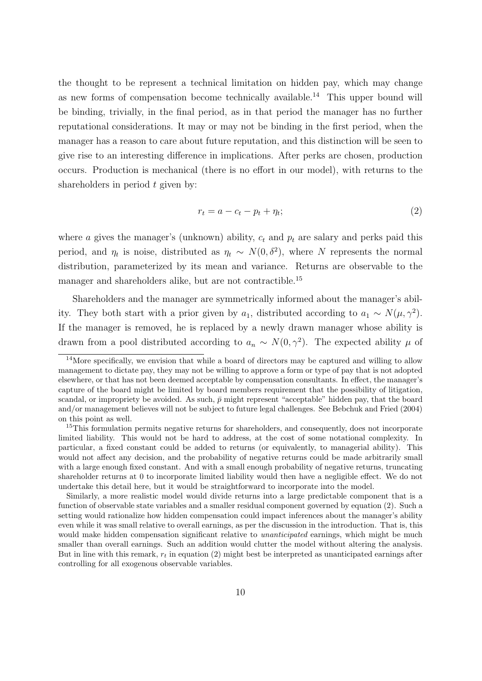the thought to be represent a technical limitation on hidden pay, which may change as new forms of compensation become technically available.<sup>14</sup> This upper bound will be binding, trivially, in the final period, as in that period the manager has no further reputational considerations. It may or may not be binding in the first period, when the manager has a reason to care about future reputation, and this distinction will be seen to give rise to an interesting difference in implications. After perks are chosen, production occurs. Production is mechanical (there is no effort in our model), with returns to the shareholders in period *t* given by:

$$
r_t = a - c_t - p_t + \eta_t; \tag{2}
$$

where *a* gives the manager's (unknown) ability, *c<sup>t</sup>* and *p<sup>t</sup>* are salary and perks paid this period, and  $\eta_t$  is noise, distributed as  $\eta_t \sim N(0, \delta^2)$ , where *N* represents the normal distribution, parameterized by its mean and variance. Returns are observable to the manager and shareholders alike, but are not contractible.<sup>15</sup>

Shareholders and the manager are symmetrically informed about the manager's ability. They both start with a prior given by  $a_1$ , distributed according to  $a_1 \sim N(\mu, \gamma^2)$ . If the manager is removed, he is replaced by a newly drawn manager whose ability is drawn from a pool distributed according to  $a_n \sim N(0, \gamma^2)$ . The expected ability  $\mu$  of

<sup>&</sup>lt;sup>14</sup>More specifically, we envision that while a board of directors may be captured and willing to allow management to dictate pay, they may not be willing to approve a form or type of pay that is not adopted elsewhere, or that has not been deemed acceptable by compensation consultants. In effect, the manager's capture of the board might be limited by board members requirement that the possibility of litigation, scandal, or impropriety be avoided. As such,  $\bar{p}$  might represent "acceptable" hidden pay, that the board and/or management believes will not be subject to future legal challenges. See Bebchuk and Fried (2004) on this point as well.

<sup>&</sup>lt;sup>15</sup>This formulation permits negative returns for shareholders, and consequently, does not incorporate limited liability. This would not be hard to address, at the cost of some notational complexity. In particular, a fixed constant could be added to returns (or equivalently, to managerial ability). This would not affect any decision, and the probability of negative returns could be made arbitrarily small with a large enough fixed constant. And with a small enough probability of negative returns, truncating shareholder returns at 0 to incorporate limited liability would then have a negligible effect. We do not undertake this detail here, but it would be straightforward to incorporate into the model.

Similarly, a more realistic model would divide returns into a large predictable component that is a function of observable state variables and a smaller residual component governed by equation (2). Such a setting would rationalize how hidden compensation could impact inferences about the manager's ability even while it was small relative to overall earnings, as per the discussion in the introduction. That is, this would make hidden compensation significant relative to *unanticipated* earnings, which might be much smaller than overall earnings. Such an addition would clutter the model without altering the analysis. But in line with this remark, *r<sup>t</sup>* in equation (2) might best be interpreted as unanticipated earnings after controlling for all exogenous observable variables.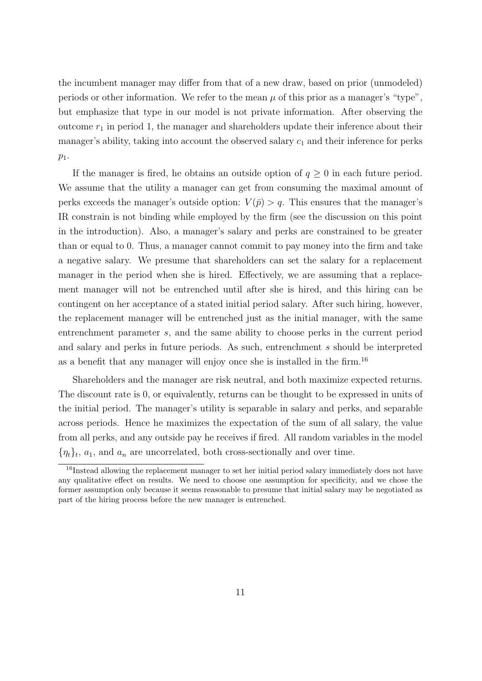the incumbent manager may differ from that of a new draw, based on prior (unmodeled) periods or other information. We refer to the mean  $\mu$  of this prior as a manager's "type", but emphasize that type in our model is not private information. After observing the outcome *r*<sup>1</sup> in period 1, the manager and shareholders update their inference about their manager's ability, taking into account the observed salary  $c_1$  and their inference for perks *p*1.

If the manager is fired, he obtains an outside option of  $q \geq 0$  in each future period. We assume that the utility a manager can get from consuming the maximal amount of perks exceeds the manager's outside option:  $V(\bar{p}) > q$ . This ensures that the manager's IR constrain is not binding while employed by the firm (see the discussion on this point in the introduction). Also, a manager's salary and perks are constrained to be greater than or equal to 0. Thus, a manager cannot commit to pay money into the firm and take a negative salary. We presume that shareholders can set the salary for a replacement manager in the period when she is hired. Effectively, we are assuming that a replacement manager will not be entrenched until after she is hired, and this hiring can be contingent on her acceptance of a stated initial period salary. After such hiring, however, the replacement manager will be entrenched just as the initial manager, with the same entrenchment parameter *s*, and the same ability to choose perks in the current period and salary and perks in future periods. As such, entrenchment *s* should be interpreted as a benefit that any manager will enjoy once she is installed in the firm.<sup>16</sup>

Shareholders and the manager are risk neutral, and both maximize expected returns. The discount rate is 0, or equivalently, returns can be thought to be expressed in units of the initial period. The manager's utility is separable in salary and perks, and separable across periods. Hence he maximizes the expectation of the sum of all salary, the value from all perks, and any outside pay he receives if fired. All random variables in the model  $\{\eta_t\}_t$ ,  $a_1$ , and  $a_n$  are uncorrelated, both cross-sectionally and over time.

 $16$ Instead allowing the replacement manager to set her initial period salary immediately does not have any qualitative effect on results. We need to choose one assumption for specificity, and we chose the former assumption only because it seems reasonable to presume that initial salary may be negotiated as part of the hiring process before the new manager is entrenched.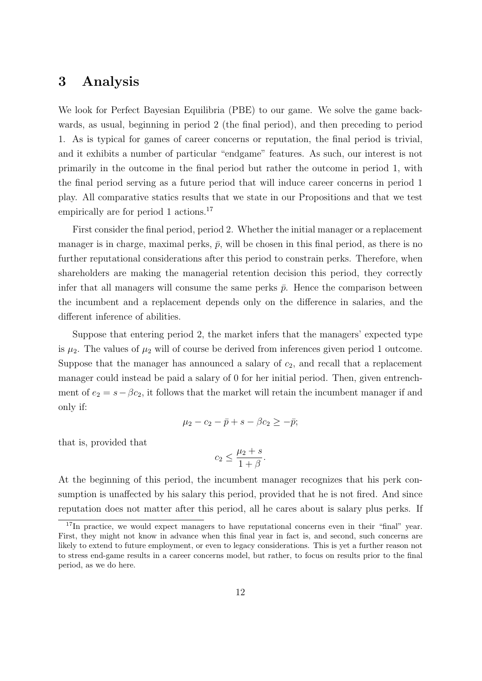### **3 Analysis**

We look for Perfect Bayesian Equilibria (PBE) to our game. We solve the game backwards, as usual, beginning in period 2 (the final period), and then preceding to period 1. As is typical for games of career concerns or reputation, the final period is trivial, and it exhibits a number of particular "endgame" features. As such, our interest is not primarily in the outcome in the final period but rather the outcome in period 1, with the final period serving as a future period that will induce career concerns in period 1 play. All comparative statics results that we state in our Propositions and that we test empirically are for period 1 actions.<sup>17</sup>

First consider the final period, period 2. Whether the initial manager or a replacement manager is in charge, maximal perks,  $\bar{p}$ , will be chosen in this final period, as there is no further reputational considerations after this period to constrain perks. Therefore, when shareholders are making the managerial retention decision this period, they correctly infer that all managers will consume the same perks  $\bar{p}$ . Hence the comparison between the incumbent and a replacement depends only on the difference in salaries, and the different inference of abilities.

Suppose that entering period 2, the market infers that the managers' expected type is  $\mu_2$ . The values of  $\mu_2$  will of course be derived from inferences given period 1 outcome. Suppose that the manager has announced a salary of  $c_2$ , and recall that a replacement manager could instead be paid a salary of 0 for her initial period. Then, given entrenchment of  $e_2 = s - \beta c_2$ , it follows that the market will retain the incumbent manager if and only if:

$$
\mu_2 - c_2 - \bar{p} + s - \beta c_2 \geq -\bar{p};
$$

that is, provided that

$$
c_2 \le \frac{\mu_2 + s}{1 + \beta}.
$$

At the beginning of this period, the incumbent manager recognizes that his perk consumption is unaffected by his salary this period, provided that he is not fired. And since reputation does not matter after this period, all he cares about is salary plus perks. If

<sup>&</sup>lt;sup>17</sup>In practice, we would expect managers to have reputational concerns even in their "final" year. First, they might not know in advance when this final year in fact is, and second, such concerns are likely to extend to future employment, or even to legacy considerations. This is yet a further reason not to stress end-game results in a career concerns model, but rather, to focus on results prior to the final period, as we do here.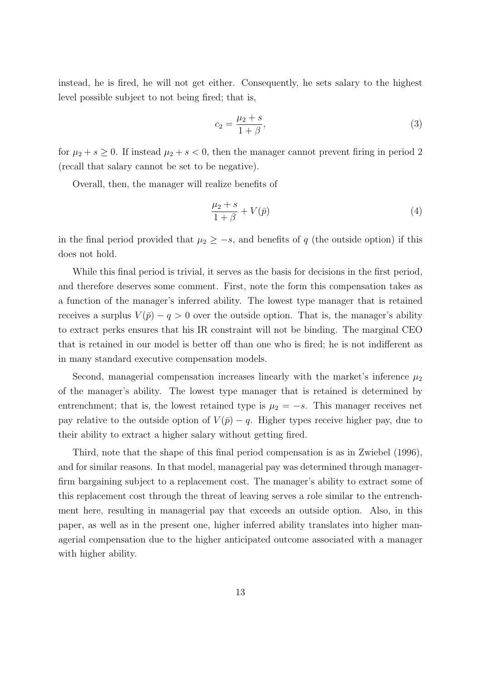instead, he is fired, he will not get either. Consequently, he sets salary to the highest level possible subject to not being fired; that is,

$$
c_2 = \frac{\mu_2 + s}{1 + \beta},\tag{3}
$$

for  $\mu_2 + s \geq 0$ . If instead  $\mu_2 + s < 0$ , then the manager cannot prevent firing in period 2 (recall that salary cannot be set to be negative).

Overall, then, the manager will realize benefits of

$$
\frac{\mu_2 + s}{1 + \beta} + V(\bar{p})\tag{4}
$$

in the final period provided that  $\mu_2 \geq -s$ , and benefits of *q* (the outside option) if this does not hold.

While this final period is trivial, it serves as the basis for decisions in the first period, and therefore deserves some comment. First, note the form this compensation takes as a function of the manager's inferred ability. The lowest type manager that is retained receives a surplus  $V(\bar{p}) - q > 0$  over the outside option. That is, the manager's ability to extract perks ensures that his IR constraint will not be binding. The marginal CEO that is retained in our model is better off than one who is fired; he is not indifferent as in many standard executive compensation models.

Second, managerial compensation increases linearly with the market's inference  $\mu_2$ of the manager's ability. The lowest type manager that is retained is determined by entrenchment; that is, the lowest retained type is  $\mu_2 = -s$ . This manager receives net pay relative to the outside option of  $V(\bar{p}) - q$ . Higher types receive higher pay, due to their ability to extract a higher salary without getting fired.

Third, note that the shape of this final period compensation is as in Zwiebel (1996), and for similar reasons. In that model, managerial pay was determined through managerfirm bargaining subject to a replacement cost. The manager's ability to extract some of this replacement cost through the threat of leaving serves a role similar to the entrenchment here, resulting in managerial pay that exceeds an outside option. Also, in this paper, as well as in the present one, higher inferred ability translates into higher managerial compensation due to the higher anticipated outcome associated with a manager with higher ability.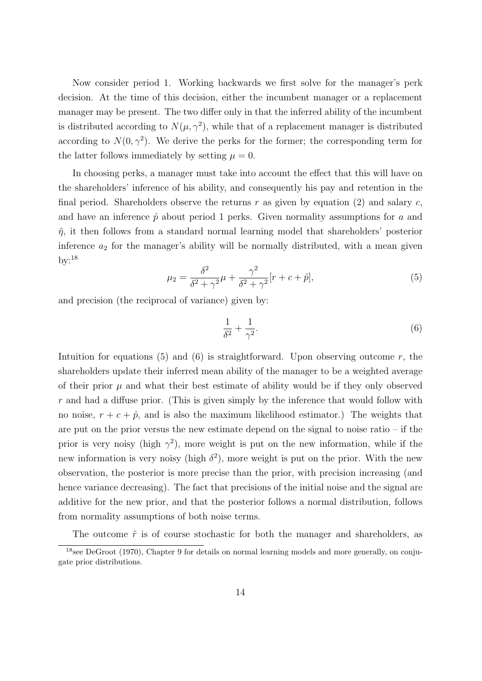Now consider period 1. Working backwards we first solve for the manager's perk decision. At the time of this decision, either the incumbent manager or a replacement manager may be present. The two differ only in that the inferred ability of the incumbent is distributed according to  $N(\mu, \gamma^2)$ , while that of a replacement manager is distributed according to  $N(0, \gamma^2)$ . We derive the perks for the former; the corresponding term for the latter follows immediately by setting  $\mu = 0$ .

In choosing perks, a manager must take into account the effect that this will have on the shareholders' inference of his ability, and consequently his pay and retention in the final period. Shareholders observe the returns *r* as given by equation (2) and salary *c*, and have an inference  $\hat{p}$  about period 1 perks. Given normality assumptions for  $a$  and  $\tilde{\eta}$ , it then follows from a standard normal learning model that shareholders' posterior inference  $a_2$  for the manager's ability will be normally distributed, with a mean given by: $18$ 

$$
\mu_2 = \frac{\delta^2}{\delta^2 + \gamma^2} \mu + \frac{\gamma^2}{\delta^2 + \gamma^2} [r + c + \hat{p}],\tag{5}
$$

and precision (the reciprocal of variance) given by:

$$
\frac{1}{\delta^2} + \frac{1}{\gamma^2}.\tag{6}
$$

Intuition for equations  $(5)$  and  $(6)$  is straightforward. Upon observing outcome  $r$ , the shareholders update their inferred mean ability of the manager to be a weighted average of their prior  $\mu$  and what their best estimate of ability would be if they only observed *r* and had a diffuse prior. (This is given simply by the inference that would follow with no noise,  $r + c + \hat{p}$ , and is also the maximum likelihood estimator.) The weights that are put on the prior versus the new estimate depend on the signal to noise ratio – if the prior is very noisy (high  $\gamma^2$ ), more weight is put on the new information, while if the new information is very noisy (high  $\delta^2$ ), more weight is put on the prior. With the new observation, the posterior is more precise than the prior, with precision increasing (and hence variance decreasing). The fact that precisions of the initial noise and the signal are additive for the new prior, and that the posterior follows a normal distribution, follows from normality assumptions of both noise terms.

The outcome  $\tilde{r}$  is of course stochastic for both the manager and shareholders, as

<sup>18</sup>see DeGroot (1970), Chapter 9 for details on normal learning models and more generally, on conjugate prior distributions.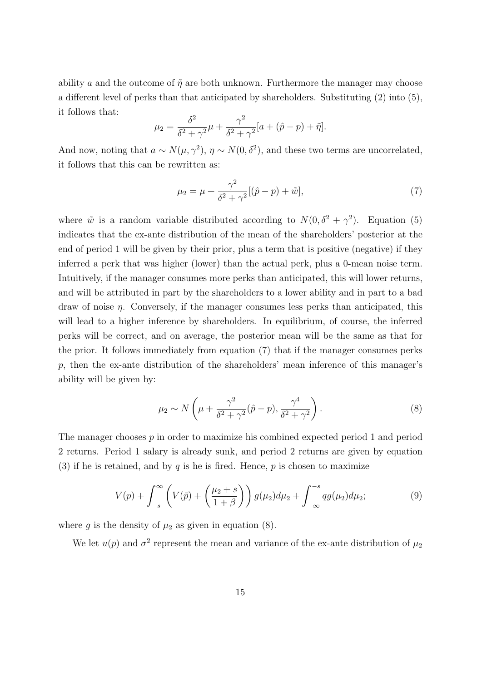ability *a* and the outcome of  $\tilde{\eta}$  are both unknown. Furthermore the manager may choose a different level of perks than that anticipated by shareholders. Substituting (2) into (5), it follows that:

$$
\mu_2 = \frac{\delta^2}{\delta^2 + \gamma^2} \mu + \frac{\gamma^2}{\delta^2 + \gamma^2} [a + (\hat{p} - p) + \tilde{\eta}].
$$

And now, noting that  $a \sim N(\mu, \gamma^2)$ ,  $\eta \sim N(0, \delta^2)$ , and these two terms are uncorrelated, it follows that this can be rewritten as:

$$
\mu_2 = \mu + \frac{\gamma^2}{\delta^2 + \gamma^2} [(\hat{p} - p) + \tilde{w}], \tag{7}
$$

where  $\tilde{w}$  is a random variable distributed according to  $N(0, \delta^2 + \gamma^2)$ . Equation (5) indicates that the ex-ante distribution of the mean of the shareholders' posterior at the end of period 1 will be given by their prior, plus a term that is positive (negative) if they inferred a perk that was higher (lower) than the actual perk, plus a 0-mean noise term. Intuitively, if the manager consumes more perks than anticipated, this will lower returns, and will be attributed in part by the shareholders to a lower ability and in part to a bad draw of noise *η*. Conversely, if the manager consumes less perks than anticipated, this will lead to a higher inference by shareholders. In equilibrium, of course, the inferred perks will be correct, and on average, the posterior mean will be the same as that for the prior. It follows immediately from equation (7) that if the manager consumes perks *p*, then the ex-ante distribution of the shareholders' mean inference of this manager's ability will be given by:

$$
\mu_2 \sim N\left(\mu + \frac{\gamma^2}{\delta^2 + \gamma^2}(\hat{p} - p), \frac{\gamma^4}{\delta^2 + \gamma^2}\right).
$$
\n(8)

The manager chooses *p* in order to maximize his combined expected period 1 and period 2 returns. Period 1 salary is already sunk, and period 2 returns are given by equation (3) if he is retained, and by  $q$  is he is fired. Hence,  $p$  is chosen to maximize

$$
V(p) + \int_{-s}^{\infty} \left( V(\bar{p}) + \left( \frac{\mu_2 + s}{1 + \beta} \right) \right) g(\mu_2) d\mu_2 + \int_{-\infty}^{-s} q g(\mu_2) d\mu_2; \tag{9}
$$

where  $g$  is the density of  $\mu_2$  as given in equation (8).

We let  $u(p)$  and  $\sigma^2$  represent the mean and variance of the ex-ante distribution of  $\mu_2$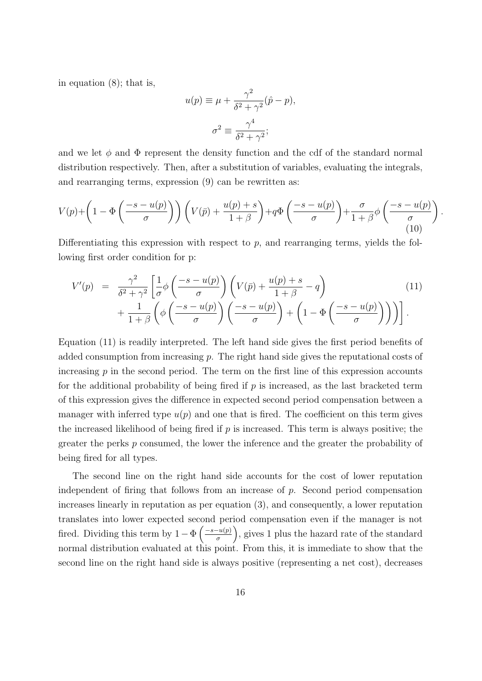in equation (8); that is,

$$
u(p) \equiv \mu + \frac{\gamma^2}{\delta^2 + \gamma^2} (\hat{p} - p),
$$

$$
\sigma^2 \equiv \frac{\gamma^4}{\delta^2 + \gamma^2};
$$

and we let  $\phi$  and  $\Phi$  represent the density function and the cdf of the standard normal distribution respectively. Then, after a substitution of variables, evaluating the integrals, and rearranging terms, expression (9) can be rewritten as:

$$
V(p) + \left(1 - \Phi\left(\frac{-s - u(p)}{\sigma}\right)\right) \left(V(\bar{p}) + \frac{u(p) + s}{1 + \beta}\right) + q\Phi\left(\frac{-s - u(p)}{\sigma}\right) + \frac{\sigma}{1 + \beta}\phi\left(\frac{-s - u(p)}{\sigma}\right) \tag{10}
$$

*.*

Differentiating this expression with respect to *p*, and rearranging terms, yields the following first order condition for p:

$$
V'(p) = \frac{\gamma^2}{\delta^2 + \gamma^2} \left[ \frac{1}{\sigma} \phi \left( \frac{-s - u(p)}{\sigma} \right) \left( V(\bar{p}) + \frac{u(p) + s}{1 + \beta} - q \right) + \frac{1}{1 + \beta} \left( \phi \left( \frac{-s - u(p)}{\sigma} \right) \left( \frac{-s - u(p)}{\sigma} \right) + \left( 1 - \Phi \left( \frac{-s - u(p)}{\sigma} \right) \right) \right) \right].
$$
\n(11)

Equation (11) is readily interpreted. The left hand side gives the first period benefits of added consumption from increasing *p*. The right hand side gives the reputational costs of increasing *p* in the second period. The term on the first line of this expression accounts for the additional probability of being fired if *p* is increased, as the last bracketed term of this expression gives the difference in expected second period compensation between a manager with inferred type  $u(p)$  and one that is fired. The coefficient on this term gives the increased likelihood of being fired if *p* is increased. This term is always positive; the greater the perks *p* consumed, the lower the inference and the greater the probability of being fired for all types.

The second line on the right hand side accounts for the cost of lower reputation independent of firing that follows from an increase of *p*. Second period compensation increases linearly in reputation as per equation (3), and consequently, a lower reputation translates into lower expected second period compensation even if the manager is not fired. Dividing this term by  $1 - \Phi\left(\frac{-s - u(p)}{\sigma}\right)$ ) , gives 1 plus the hazard rate of the standard normal distribution evaluated at this point. From this, it is immediate to show that the second line on the right hand side is always positive (representing a net cost), decreases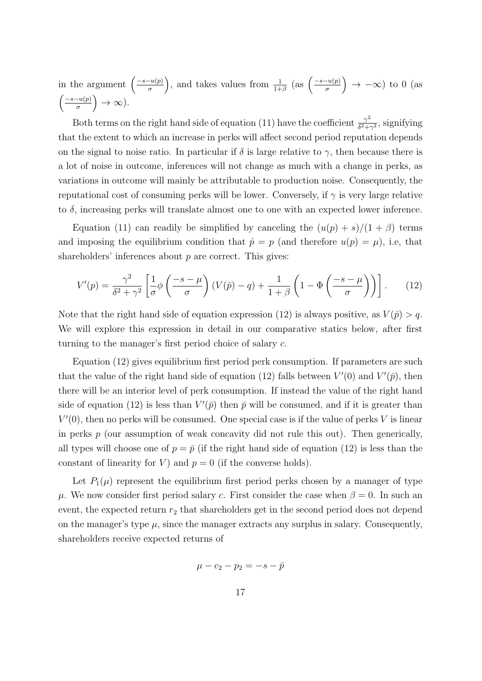in the argument  $\left(\frac{-s-u(p)}{\sigma}\right)$ ), and takes values from  $\frac{1}{1+\beta}$  (as  $\left(\frac{-s-u(p)}{\sigma}\right)$ ) *→ −∞*) to 0 (as ( *−s−u*(*p*) *σ* ) *→ ∞*).

Both terms on the right hand side of equation (11) have the coefficient  $\frac{\gamma^2}{\delta^2 + \gamma^2}$  $\frac{\gamma^2}{\delta^2 + \gamma^2}$ , signifying that the extent to which an increase in perks will affect second period reputation depends on the signal to noise ratio. In particular if  $\delta$  is large relative to  $\gamma$ , then because there is a lot of noise in outcome, inferences will not change as much with a change in perks, as variations in outcome will mainly be attributable to production noise. Consequently, the reputational cost of consuming perks will be lower. Conversely, if *γ* is very large relative to  $\delta$ , increasing perks will translate almost one to one with an expected lower inference.

Equation (11) can readily be simplified by canceling the  $(u(p) + s)/(1 + \beta)$  terms and imposing the equilibrium condition that  $\hat{p} = p$  (and therefore  $u(p) = \mu$ ), i.e, that shareholders' inferences about *p* are correct. This gives:

$$
V'(p) = \frac{\gamma^2}{\delta^2 + \gamma^2} \left[ \frac{1}{\sigma} \phi \left( \frac{-s - \mu}{\sigma} \right) (V(\bar{p}) - q) + \frac{1}{1 + \beta} \left( 1 - \Phi \left( \frac{-s - \mu}{\sigma} \right) \right) \right]. \tag{12}
$$

Note that the right hand side of equation expression (12) is always positive, as  $V(\bar{p}) > q$ . We will explore this expression in detail in our comparative statics below, after first turning to the manager's first period choice of salary *c*.

Equation (12) gives equilibrium first period perk consumption. If parameters are such that the value of the right hand side of equation (12) falls between  $V'(0)$  and  $V'(\bar{p})$ , then there will be an interior level of perk consumption. If instead the value of the right hand side of equation (12) is less than  $V'(\bar{p})$  then  $\bar{p}$  will be consumed, and if it is greater than  $V'(0)$ , then no perks will be consumed. One special case is if the value of perks *V* is linear in perks *p* (our assumption of weak concavity did not rule this out). Then generically, all types will choose one of  $p = \bar{p}$  (if the right hand side of equation (12) is less than the constant of linearity for *V*) and  $p = 0$  (if the converse holds).

Let  $P_1(\mu)$  represent the equilibrium first period perks chosen by a manager of type *μ*. We now consider first period salary *c*. First consider the case when  $β = 0$ . In such an event, the expected return  $r_2$  that shareholders get in the second period does not depend on the manager's type  $\mu$ , since the manager extracts any surplus in salary. Consequently, shareholders receive expected returns of

$$
\mu - c_2 - p_2 = -s - \bar{p}
$$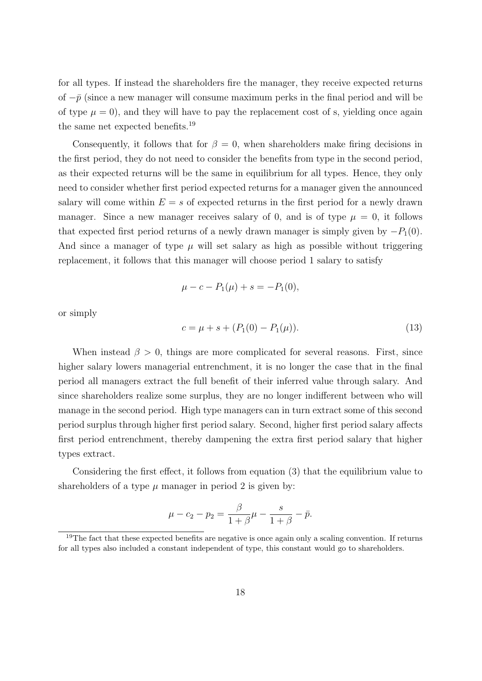for all types. If instead the shareholders fire the manager, they receive expected returns of  $-p$  (since a new manager will consume maximum perks in the final period and will be of type  $\mu = 0$ ), and they will have to pay the replacement cost of s, yielding once again the same net expected benefits.<sup>19</sup>

Consequently, it follows that for  $\beta = 0$ , when shareholders make firing decisions in the first period, they do not need to consider the benefits from type in the second period, as their expected returns will be the same in equilibrium for all types. Hence, they only need to consider whether first period expected returns for a manager given the announced salary will come within  $E = s$  of expected returns in the first period for a newly drawn manager. Since a new manager receives salary of 0, and is of type  $\mu = 0$ , it follows that expected first period returns of a newly drawn manager is simply given by  $-P_1(0)$ . And since a manager of type  $\mu$  will set salary as high as possible without triggering replacement, it follows that this manager will choose period 1 salary to satisfy

$$
\mu - c - P_1(\mu) + s = -P_1(0),
$$

or simply

$$
c = \mu + s + (P_1(0) - P_1(\mu)).
$$
\n(13)

When instead  $\beta > 0$ , things are more complicated for several reasons. First, since higher salary lowers managerial entrenchment, it is no longer the case that in the final period all managers extract the full benefit of their inferred value through salary. And since shareholders realize some surplus, they are no longer indifferent between who will manage in the second period. High type managers can in turn extract some of this second period surplus through higher first period salary. Second, higher first period salary affects first period entrenchment, thereby dampening the extra first period salary that higher types extract.

Considering the first effect, it follows from equation (3) that the equilibrium value to shareholders of a type  $\mu$  manager in period 2 is given by:

$$
\mu - c_2 - p_2 = \frac{\beta}{1 + \beta}\mu - \frac{s}{1 + \beta} - \bar{p}.
$$

<sup>&</sup>lt;sup>19</sup>The fact that these expected benefits are negative is once again only a scaling convention. If returns for all types also included a constant independent of type, this constant would go to shareholders.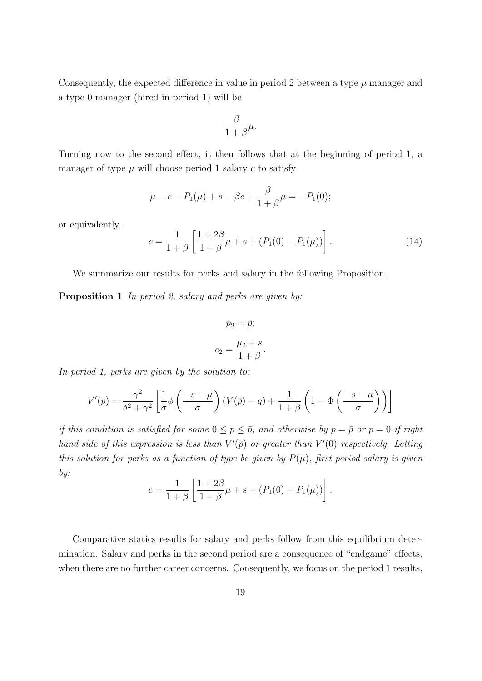Consequently, the expected difference in value in period 2 between a type  $\mu$  manager and a type 0 manager (hired in period 1) will be

$$
\frac{\beta}{1+\beta}\mu.
$$

Turning now to the second effect, it then follows that at the beginning of period 1, a manager of type  $\mu$  will choose period 1 salary  $c$  to satisfy

$$
\mu - c - P_1(\mu) + s - \beta c + \frac{\beta}{1 + \beta}\mu = -P_1(0);
$$

or equivalently,

$$
c = \frac{1}{1+\beta} \left[ \frac{1+2\beta}{1+\beta}\mu + s + (P_1(0) - P_1(\mu)) \right].
$$
 (14)

We summarize our results for perks and salary in the following Proposition.

**Proposition 1** *In period 2, salary and perks are given by:*

$$
p_2 = \bar{p};
$$

$$
c_2 = \frac{\mu_2 + s}{1 + \beta}
$$

*.*

*In period 1, perks are given by the solution to:*

$$
V'(p) = \frac{\gamma^2}{\delta^2 + \gamma^2} \left[ \frac{1}{\sigma} \phi \left( \frac{-s - \mu}{\sigma} \right) (V(\bar{p}) - q) + \frac{1}{1 + \beta} \left( 1 - \Phi \left( \frac{-s - \mu}{\sigma} \right) \right) \right]
$$

*if this condition is satisfied for some*  $0 \leq p \leq \bar{p}$ , and otherwise by  $p = \bar{p}$  or  $p = 0$  *if right hand side of this expression is less than*  $V'(\bar{p})$  *or greater than*  $V'(0)$  *respectively. Letting this solution for perks as a function of type be given by*  $P(\mu)$ *, first period salary is given by:*

$$
c = \frac{1}{1+\beta} \left[ \frac{1+2\beta}{1+\beta}\mu + s + (P_1(0) - P_1(\mu)) \right].
$$

Comparative statics results for salary and perks follow from this equilibrium determination. Salary and perks in the second period are a consequence of "endgame" effects, when there are no further career concerns. Consequently, we focus on the period 1 results,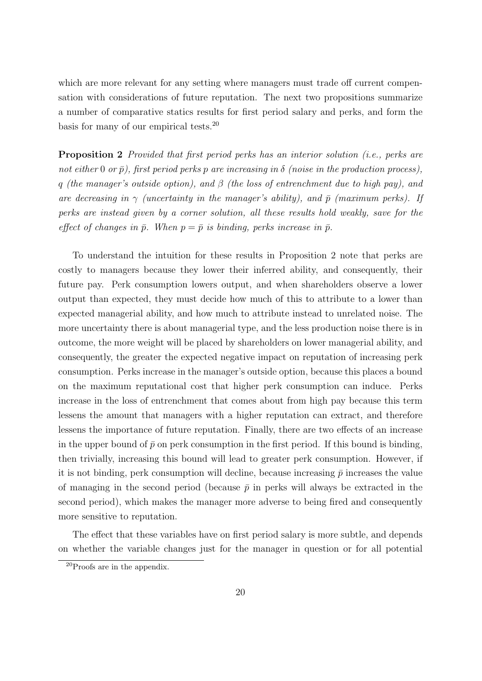which are more relevant for any setting where managers must trade off current compensation with considerations of future reputation. The next two propositions summarize a number of comparative statics results for first period salary and perks, and form the basis for many of our empirical tests.<sup>20</sup>

**Proposition 2** *Provided that first period perks has an interior solution (i.e., perks are*  $not\ either\ 0\ or\ \bar{p}$ , first period perks p are increasing in  $\delta$  (noise in the production process), *q (the manager's outside option), and β (the loss of entrenchment due to high pay), and are decreasing in*  $\gamma$  *(uncertainty in the manager's ability), and*  $\bar{p}$  *(maximum perks). If perks are instead given by a corner solution, all these results hold weakly, save for the effect of changes in*  $\bar{p}$ . When  $p = \bar{p}$  *is binding, perks increase in*  $\bar{p}$ .

To understand the intuition for these results in Proposition 2 note that perks are costly to managers because they lower their inferred ability, and consequently, their future pay. Perk consumption lowers output, and when shareholders observe a lower output than expected, they must decide how much of this to attribute to a lower than expected managerial ability, and how much to attribute instead to unrelated noise. The more uncertainty there is about managerial type, and the less production noise there is in outcome, the more weight will be placed by shareholders on lower managerial ability, and consequently, the greater the expected negative impact on reputation of increasing perk consumption. Perks increase in the manager's outside option, because this places a bound on the maximum reputational cost that higher perk consumption can induce. Perks increase in the loss of entrenchment that comes about from high pay because this term lessens the amount that managers with a higher reputation can extract, and therefore lessens the importance of future reputation. Finally, there are two effects of an increase in the upper bound of  $\bar{p}$  on perk consumption in the first period. If this bound is binding, then trivially, increasing this bound will lead to greater perk consumption. However, if it is not binding, perk consumption will decline, because increasing  $\bar{p}$  increases the value of managing in the second period (because  $\bar{p}$  in perks will always be extracted in the second period), which makes the manager more adverse to being fired and consequently more sensitive to reputation.

The effect that these variables have on first period salary is more subtle, and depends on whether the variable changes just for the manager in question or for all potential

<sup>20</sup>Proofs are in the appendix.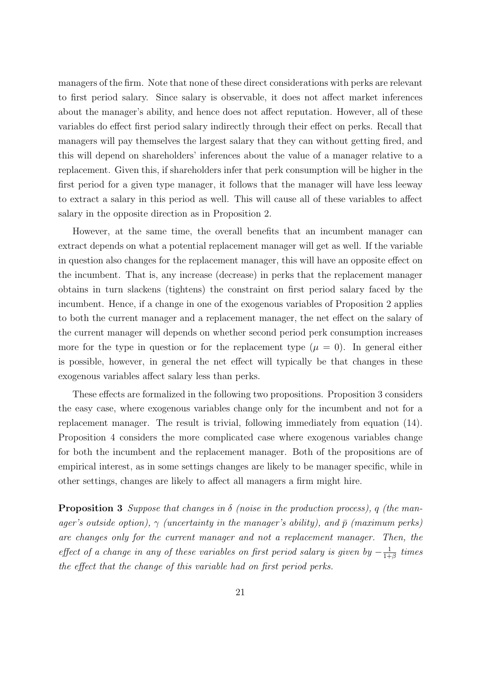managers of the firm. Note that none of these direct considerations with perks are relevant to first period salary. Since salary is observable, it does not affect market inferences about the manager's ability, and hence does not affect reputation. However, all of these variables do effect first period salary indirectly through their effect on perks. Recall that managers will pay themselves the largest salary that they can without getting fired, and this will depend on shareholders' inferences about the value of a manager relative to a replacement. Given this, if shareholders infer that perk consumption will be higher in the first period for a given type manager, it follows that the manager will have less leeway to extract a salary in this period as well. This will cause all of these variables to affect salary in the opposite direction as in Proposition 2.

However, at the same time, the overall benefits that an incumbent manager can extract depends on what a potential replacement manager will get as well. If the variable in question also changes for the replacement manager, this will have an opposite effect on the incumbent. That is, any increase (decrease) in perks that the replacement manager obtains in turn slackens (tightens) the constraint on first period salary faced by the incumbent. Hence, if a change in one of the exogenous variables of Proposition 2 applies to both the current manager and a replacement manager, the net effect on the salary of the current manager will depends on whether second period perk consumption increases more for the type in question or for the replacement type  $(\mu = 0)$ . In general either is possible, however, in general the net effect will typically be that changes in these exogenous variables affect salary less than perks.

These effects are formalized in the following two propositions. Proposition 3 considers the easy case, where exogenous variables change only for the incumbent and not for a replacement manager. The result is trivial, following immediately from equation (14). Proposition 4 considers the more complicated case where exogenous variables change for both the incumbent and the replacement manager. Both of the propositions are of empirical interest, as in some settings changes are likely to be manager specific, while in other settings, changes are likely to affect all managers a firm might hire.

**Proposition 3** *Suppose that changes in δ (noise in the production process), q (the manager's outside option),*  $\gamma$  *(uncertainty in the manager's ability), and*  $\bar{p}$  *(maximum perks) are changes only for the current manager and not a replacement manager. Then, the effect of a change in any of these variables on first period salary is given by*  $-\frac{1}{1+}$  $\frac{1}{1+\beta}$  *times the effect that the change of this variable had on first period perks.*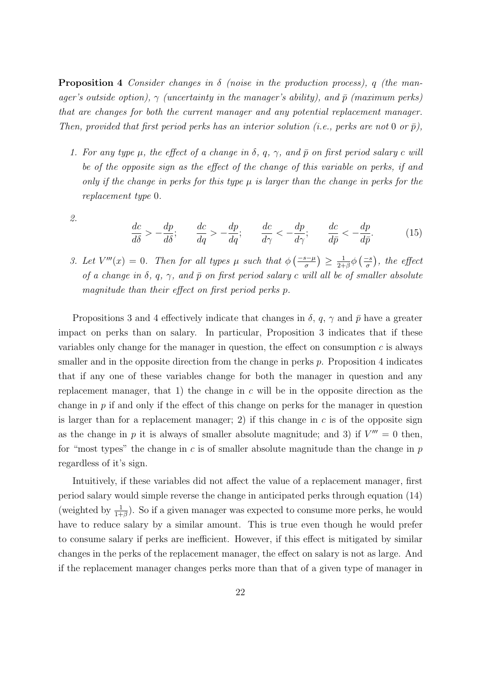**Proposition 4** *Consider changes in δ (noise in the production process), q (the manager's outside option),*  $\gamma$  *(uncertainty in the manager's ability), and*  $\bar{p}$  *(maximum perks) that are changes for both the current manager and any potential replacement manager. Then, provided that first period perks has an interior solution (i.e., perks are not* 0 *or*  $\bar{p}$ ),

- *1.* For any type  $\mu$ , the effect of a change in  $\delta$ ,  $q$ ,  $\gamma$ , and  $\bar{p}$  on first period salary c will *be of the opposite sign as the effect of the change of this variable on perks, if and only if the change in perks for this type µ is larger than the change in perks for the replacement type* 0*.*
- *2.*

$$
\frac{dc}{d\delta} > -\frac{dp}{d\delta}; \qquad \frac{dc}{dq} > -\frac{dp}{dq}; \qquad \frac{dc}{d\gamma} < -\frac{dp}{d\gamma}; \qquad \frac{dc}{d\bar{p}} < -\frac{dp}{d\bar{p}}.\tag{15}
$$

3. Let  $V'''(x) = 0$ . Then for all types  $\mu$  such that  $\phi\left(\frac{-s-\mu}{\sigma}\right) \geq \frac{1}{2+1}$  $\frac{1}{2+\beta}\phi\left(\frac{-s}{\sigma}\right)$ *, the effect of a change in*  $\delta$ *, q,*  $\gamma$ *, and*  $\bar{p}$  *on first period salary c will all be of smaller absolute magnitude than their effect on first period perks p.*

Propositions 3 and 4 effectively indicate that changes in  $\delta$ ,  $q$ ,  $\gamma$  and  $\bar{p}$  have a greater impact on perks than on salary. In particular, Proposition 3 indicates that if these variables only change for the manager in question, the effect on consumption *c* is always smaller and in the opposite direction from the change in perks *p*. Proposition 4 indicates that if any one of these variables change for both the manager in question and any replacement manager, that 1) the change in *c* will be in the opposite direction as the change in *p* if and only if the effect of this change on perks for the manager in question is larger than for a replacement manager; 2) if this change in  $c$  is of the opposite sign as the change in p it is always of smaller absolute magnitude; and 3) if  $V''' = 0$  then, for "most types" the change in *c* is of smaller absolute magnitude than the change in *p* regardless of it's sign.

Intuitively, if these variables did not affect the value of a replacement manager, first period salary would simple reverse the change in anticipated perks through equation (14) (weighted by  $\frac{1}{1+\beta}$ ). So if a given manager was expected to consume more perks, he would have to reduce salary by a similar amount. This is true even though he would prefer to consume salary if perks are inefficient. However, if this effect is mitigated by similar changes in the perks of the replacement manager, the effect on salary is not as large. And if the replacement manager changes perks more than that of a given type of manager in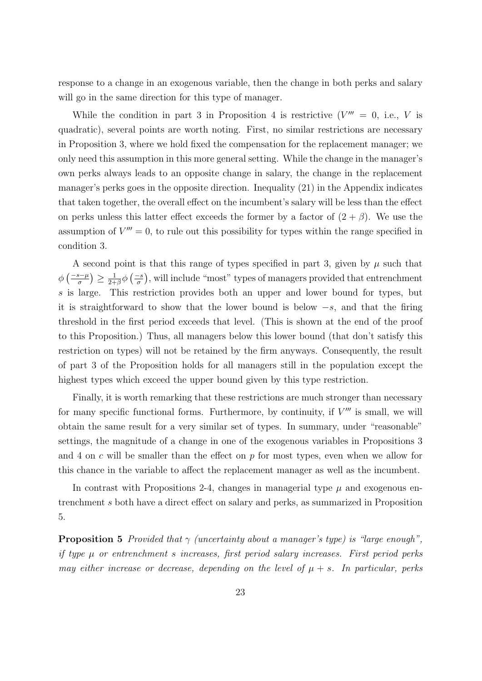response to a change in an exogenous variable, then the change in both perks and salary will go in the same direction for this type of manager.

While the condition in part 3 in Proposition 4 is restrictive  $(V^{\prime\prime\prime} = 0, i.e., V$  is quadratic), several points are worth noting. First, no similar restrictions are necessary in Proposition 3, where we hold fixed the compensation for the replacement manager; we only need this assumption in this more general setting. While the change in the manager's own perks always leads to an opposite change in salary, the change in the replacement manager's perks goes in the opposite direction. Inequality (21) in the Appendix indicates that taken together, the overall effect on the incumbent's salary will be less than the effect on perks unless this latter effect exceeds the former by a factor of  $(2 + \beta)$ . We use the assumption of  $V''' = 0$ , to rule out this possibility for types within the range specified in condition 3.

A second point is that this range of types specified in part 3, given by  $\mu$  such that  $\phi\left(\frac{-s-\mu}{\sigma}\right) \geq \frac{1}{2+1}$  $\frac{1}{2+\beta}\phi\left(\frac{-s}{\sigma}\right)$ , will include "most" types of managers provided that entrenchment *s* is large. This restriction provides both an upper and lower bound for types, but it is straightforward to show that the lower bound is below *−s*, and that the firing threshold in the first period exceeds that level. (This is shown at the end of the proof to this Proposition.) Thus, all managers below this lower bound (that don't satisfy this restriction on types) will not be retained by the firm anyways. Consequently, the result of part 3 of the Proposition holds for all managers still in the population except the highest types which exceed the upper bound given by this type restriction.

Finally, it is worth remarking that these restrictions are much stronger than necessary for many specific functional forms. Furthermore, by continuity, if  $V'''$  is small, we will obtain the same result for a very similar set of types. In summary, under "reasonable" settings, the magnitude of a change in one of the exogenous variables in Propositions 3 and 4 on *c* will be smaller than the effect on *p* for most types, even when we allow for this chance in the variable to affect the replacement manager as well as the incumbent.

In contrast with Propositions 2-4, changes in managerial type  $\mu$  and exogenous entrenchment *s* both have a direct effect on salary and perks, as summarized in Proposition 5.

**Proposition 5** *Provided that γ (uncertainty about a manager's type) is "large enough", if type µ or entrenchment s increases, first period salary increases. First period perks may either increase or decrease, depending on the level of*  $\mu + s$ *. In particular, perks*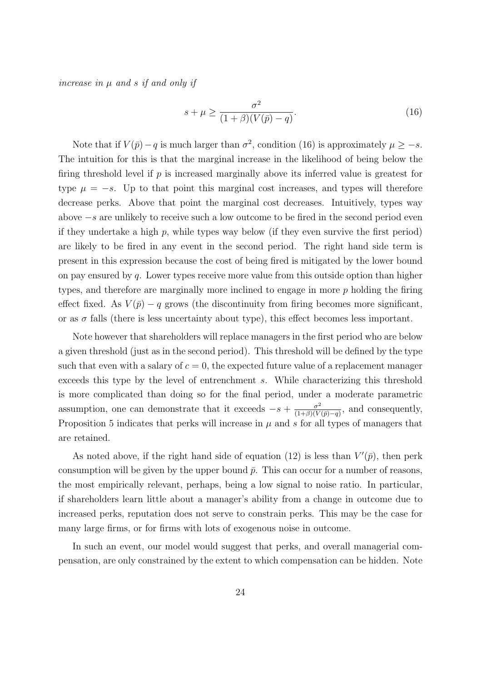*increase in µ and s if and only if*

$$
s + \mu \ge \frac{\sigma^2}{(1+\beta)(V(\bar{p}) - q)}.\tag{16}
$$

Note that if  $V(\bar{p}) - q$  is much larger than  $\sigma^2$ , condition (16) is approximately  $\mu \geq -s$ . The intuition for this is that the marginal increase in the likelihood of being below the firing threshold level if *p* is increased marginally above its inferred value is greatest for type  $\mu = -s$ . Up to that point this marginal cost increases, and types will therefore decrease perks. Above that point the marginal cost decreases. Intuitively, types way above *−s* are unlikely to receive such a low outcome to be fired in the second period even if they undertake a high *p*, while types way below (if they even survive the first period) are likely to be fired in any event in the second period. The right hand side term is present in this expression because the cost of being fired is mitigated by the lower bound on pay ensured by *q*. Lower types receive more value from this outside option than higher types, and therefore are marginally more inclined to engage in more *p* holding the firing effect fixed. As  $V(\bar{p}) - q$  grows (the discontinuity from firing becomes more significant, or as  $\sigma$  falls (there is less uncertainty about type), this effect becomes less important.

Note however that shareholders will replace managers in the first period who are below a given threshold (just as in the second period). This threshold will be defined by the type such that even with a salary of  $c = 0$ , the expected future value of a replacement manager exceeds this type by the level of entrenchment *s*. While characterizing this threshold is more complicated than doing so for the final period, under a moderate parametric assumption, one can demonstrate that it exceeds  $-s + \frac{\sigma^2}{(1+\beta)(V+1)}$  $\frac{\sigma^2}{(1+\beta)(V(\bar{p})-q)}$ , and consequently, Proposition 5 indicates that perks will increase in  $\mu$  and  $\sigma$  for all types of managers that are retained.

As noted above, if the right hand side of equation (12) is less than  $V'(\bar{p})$ , then perk consumption will be given by the upper bound  $\bar{p}$ . This can occur for a number of reasons, the most empirically relevant, perhaps, being a low signal to noise ratio. In particular, if shareholders learn little about a manager's ability from a change in outcome due to increased perks, reputation does not serve to constrain perks. This may be the case for many large firms, or for firms with lots of exogenous noise in outcome.

In such an event, our model would suggest that perks, and overall managerial compensation, are only constrained by the extent to which compensation can be hidden. Note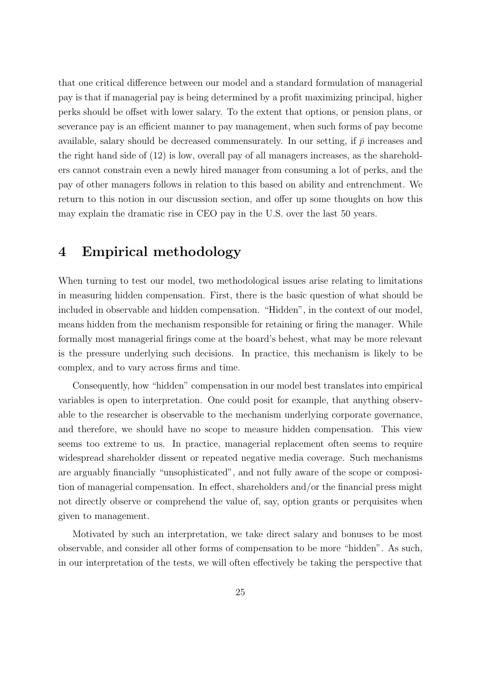that one critical difference between our model and a standard formulation of managerial pay is that if managerial pay is being determined by a profit maximizing principal, higher perks should be offset with lower salary. To the extent that options, or pension plans, or severance pay is an efficient manner to pay management, when such forms of pay become available, salary should be decreased commensurately. In our setting, if  $\bar{p}$  increases and the right hand side of (12) is low, overall pay of all managers increases, as the shareholders cannot constrain even a newly hired manager from consuming a lot of perks, and the pay of other managers follows in relation to this based on ability and entrenchment. We return to this notion in our discussion section, and offer up some thoughts on how this may explain the dramatic rise in CEO pay in the U.S. over the last 50 years.

# **4 Empirical methodology**

When turning to test our model, two methodological issues arise relating to limitations in measuring hidden compensation. First, there is the basic question of what should be included in observable and hidden compensation. "Hidden", in the context of our model, means hidden from the mechanism responsible for retaining or firing the manager. While formally most managerial firings come at the board's behest, what may be more relevant is the pressure underlying such decisions. In practice, this mechanism is likely to be complex, and to vary across firms and time.

Consequently, how "hidden" compensation in our model best translates into empirical variables is open to interpretation. One could posit for example, that anything observable to the researcher is observable to the mechanism underlying corporate governance, and therefore, we should have no scope to measure hidden compensation. This view seems too extreme to us. In practice, managerial replacement often seems to require widespread shareholder dissent or repeated negative media coverage. Such mechanisms are arguably financially "unsophisticated", and not fully aware of the scope or composition of managerial compensation. In effect, shareholders and/or the financial press might not directly observe or comprehend the value of, say, option grants or perquisites when given to management.

Motivated by such an interpretation, we take direct salary and bonuses to be most observable, and consider all other forms of compensation to be more "hidden". As such, in our interpretation of the tests, we will often effectively be taking the perspective that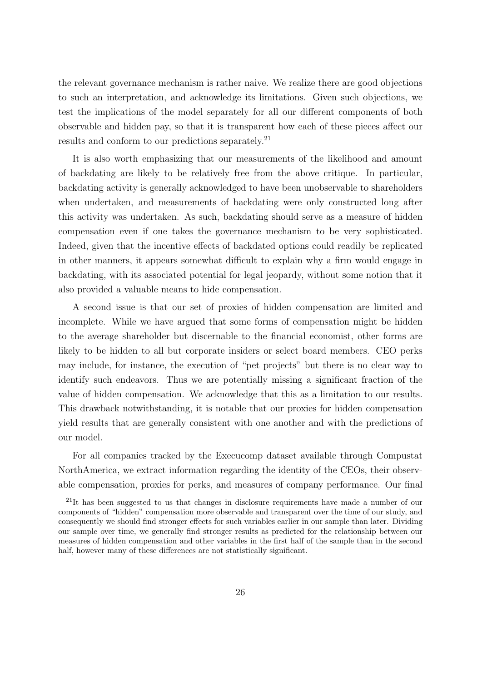the relevant governance mechanism is rather naive. We realize there are good objections to such an interpretation, and acknowledge its limitations. Given such objections, we test the implications of the model separately for all our different components of both observable and hidden pay, so that it is transparent how each of these pieces affect our results and conform to our predictions separately.<sup>21</sup>

It is also worth emphasizing that our measurements of the likelihood and amount of backdating are likely to be relatively free from the above critique. In particular, backdating activity is generally acknowledged to have been unobservable to shareholders when undertaken, and measurements of backdating were only constructed long after this activity was undertaken. As such, backdating should serve as a measure of hidden compensation even if one takes the governance mechanism to be very sophisticated. Indeed, given that the incentive effects of backdated options could readily be replicated in other manners, it appears somewhat difficult to explain why a firm would engage in backdating, with its associated potential for legal jeopardy, without some notion that it also provided a valuable means to hide compensation.

A second issue is that our set of proxies of hidden compensation are limited and incomplete. While we have argued that some forms of compensation might be hidden to the average shareholder but discernable to the financial economist, other forms are likely to be hidden to all but corporate insiders or select board members. CEO perks may include, for instance, the execution of "pet projects" but there is no clear way to identify such endeavors. Thus we are potentially missing a significant fraction of the value of hidden compensation. We acknowledge that this as a limitation to our results. This drawback notwithstanding, it is notable that our proxies for hidden compensation yield results that are generally consistent with one another and with the predictions of our model.

For all companies tracked by the Execucomp dataset available through Compustat NorthAmerica, we extract information regarding the identity of the CEOs, their observable compensation, proxies for perks, and measures of company performance. Our final

<sup>&</sup>lt;sup>21</sup>It has been suggested to us that changes in disclosure requirements have made a number of our components of "hidden" compensation more observable and transparent over the time of our study, and consequently we should find stronger effects for such variables earlier in our sample than later. Dividing our sample over time, we generally find stronger results as predicted for the relationship between our measures of hidden compensation and other variables in the first half of the sample than in the second half, however many of these differences are not statistically significant.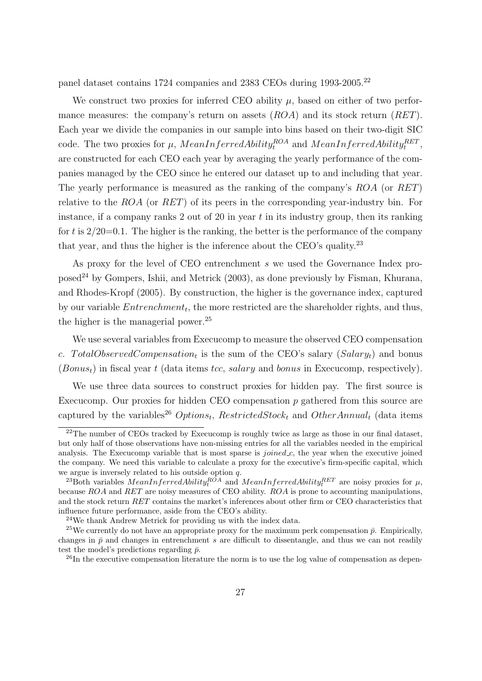panel dataset contains 1724 companies and 2383 CEOs during 1993-2005.<sup>22</sup>

We construct two proxies for inferred CEO ability  $\mu$ , based on either of two performance measures: the company's return on assets (*ROA*) and its stock return (*RET*). Each year we divide the companies in our sample into bins based on their two-digit SIC code. The two proxies for  $\mu$ ,  $MeanInferredAibility_t^{ROA}$  and  $MeanInferredAibility_t^{RET}$ , are constructed for each CEO each year by averaging the yearly performance of the companies managed by the CEO since he entered our dataset up to and including that year. The yearly performance is measured as the ranking of the company's *ROA* (or *RET*) relative to the *ROA* (or *RET*) of its peers in the corresponding year-industry bin. For instance, if a company ranks 2 out of 20 in year *t* in its industry group, then its ranking for *t* is 2/20=0.1. The higher is the ranking, the better is the performance of the company that year, and thus the higher is the inference about the CEO's quality.<sup>23</sup>

As proxy for the level of CEO entrenchment *s* we used the Governance Index proposed<sup>24</sup> by Gompers, Ishii, and Metrick (2003), as done previously by Fisman, Khurana, and Rhodes-Kropf (2005). By construction, the higher is the governance index, captured by our variable *Entrenchment<sup>t</sup>* , the more restricted are the shareholder rights, and thus, the higher is the managerial power.<sup>25</sup>

We use several variables from Execucomp to measure the observed CEO compensation *c*. *T otalObservedCompensation<sup>t</sup>* is the sum of the CEO's salary (*Salaryt*) and bonus (*Bonust*) in fiscal year *t* (data items *tcc*, *salary* and *bonus* in Execucomp, respectively).

We use three data sources to construct proxies for hidden pay. The first source is Execucomp. Our proxies for hidden CEO compensation *p* gathered from this source are captured by the variables<sup>26</sup>  $Options<sub>t</sub>$ ,  $RestrictedStock<sub>t</sub>$  and  $OtherAnnual<sub>t</sub>$  (data items

 $22$ The number of CEOs tracked by Execucomp is roughly twice as large as those in our final dataset, but only half of those observations have non-missing entries for all the variables needed in the empirical analysis. The Execucomp variable that is most sparse is *joined c*, the year when the executive joined the company. We need this variable to calculate a proxy for the executive's firm-specific capital, which we argue is inversely related to his outside option *q*.

<sup>&</sup>lt;sup>23</sup>Both variables  $MeanInferredAibility<sub>t</sub><sup>ROA</sup>$  and  $MeanInferredAibility<sub>t</sub><sup>RET</sup>$  are noisy proxies for  $\mu$ , because *ROA* and *RET* are noisy measures of CEO ability. *ROA* is prone to accounting manipulations, and the stock return *RET* contains the market's inferences about other firm or CEO characteristics that influence future performance, aside from the CEO's ability.

<sup>24</sup>We thank Andrew Metrick for providing us with the index data.

<sup>&</sup>lt;sup>25</sup>We currently do not have an appropriate proxy for the maximum perk compensation  $\bar{p}$ . Empirically, changes in  $\bar{p}$  and changes in entrenchment *s* are difficult to dissentangle, and thus we can not readily test the model's predictions regarding  $\bar{p}$ .

 $^{26}$ In the executive compensation literature the norm is to use the log value of compensation as depen-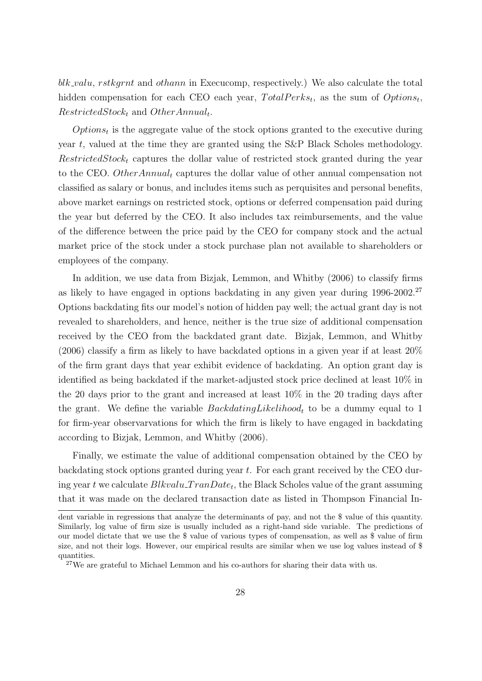*blk valu*, *rstkgrnt* and *othann* in Execucomp, respectively.) We also calculate the total hidden compensation for each CEO each year,  $TotalPerks_t$ , as the sum of  $Options_t$ , *RestrictedStock<sup>t</sup>* and *OtherAnnual<sup>t</sup>* .

*Options<sup>t</sup>* is the aggregate value of the stock options granted to the executive during year *t*, valued at the time they are granted using the S&P Black Scholes methodology. *RestrictedStock<sup>t</sup>* captures the dollar value of restricted stock granted during the year to the CEO. *OtherAnnual<sup>t</sup>* captures the dollar value of other annual compensation not classified as salary or bonus, and includes items such as perquisites and personal benefits, above market earnings on restricted stock, options or deferred compensation paid during the year but deferred by the CEO. It also includes tax reimbursements, and the value of the difference between the price paid by the CEO for company stock and the actual market price of the stock under a stock purchase plan not available to shareholders or employees of the company.

In addition, we use data from Bizjak, Lemmon, and Whitby (2006) to classify firms as likely to have engaged in options backdating in any given year during 1996-2002.<sup>27</sup> Options backdating fits our model's notion of hidden pay well; the actual grant day is not revealed to shareholders, and hence, neither is the true size of additional compensation received by the CEO from the backdated grant date. Bizjak, Lemmon, and Whitby  $(2006)$  classify a firm as likely to have backdated options in a given year if at least  $20\%$ of the firm grant days that year exhibit evidence of backdating. An option grant day is identified as being backdated if the market-adjusted stock price declined at least 10% in the 20 days prior to the grant and increased at least 10% in the 20 trading days after the grant. We define the variable *BackdatingLikelihood<sup>t</sup>* to be a dummy equal to 1 for firm-year observarvations for which the firm is likely to have engaged in backdating according to Bizjak, Lemmon, and Whitby (2006).

Finally, we estimate the value of additional compensation obtained by the CEO by backdating stock options granted during year *t*. For each grant received by the CEO during year *t* we calculate *Blkvalu T ranDate<sup>t</sup>* , the Black Scholes value of the grant assuming that it was made on the declared transaction date as listed in Thompson Financial In-

dent variable in regressions that analyze the determinants of pay, and not the \$ value of this quantity. Similarly, log value of firm size is usually included as a right-hand side variable. The predictions of our model dictate that we use the \$ value of various types of compensation, as well as \$ value of firm size, and not their logs. However, our empirical results are similar when we use log values instead of \$ quantities.

<sup>&</sup>lt;sup>27</sup>We are grateful to Michael Lemmon and his co-authors for sharing their data with us.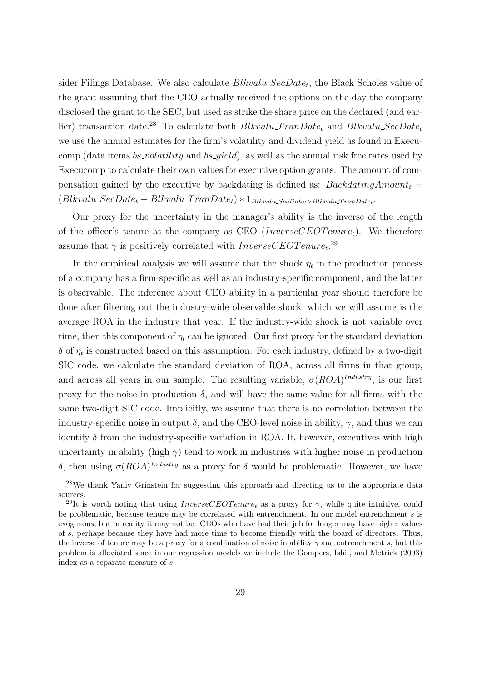sider Filings Database. We also calculate *Blkvalu SecDate<sup>t</sup>* , the Black Scholes value of the grant assuming that the CEO actually received the options on the day the company disclosed the grant to the SEC, but used as strike the share price on the declared (and earlier) transaction date.<sup>28</sup> To calculate both *Blkvalu\_TranDate<sub>t</sub>* and *Blkvalu\_SecDate<sub>t</sub>* we use the annual estimates for the firm's volatility and dividend yield as found in Execucomp (data items *bs volatility* and *bs yield*), as well as the annual risk free rates used by Execucomp to calculate their own values for executive option grants. The amount of compensation gained by the executive by backdating is defined as:  $BackdatingAmount<sub>t</sub>$  $(Blkvalu\_SecDate_t - Blkvalu\_TranDate_t) * 1_{Blkvalu\_SecDate_t > Blkvalu\_TranDate_t}$ 

Our proxy for the uncertainty in the manager's ability is the inverse of the length of the officer's tenure at the company as CEO (*InverseCEOT enuret*). We therefore assume that  $\gamma$  is positively correlated with  $InverseCEOTenure_t$ <sup>29</sup>

In the empirical analysis we will assume that the shock  $\eta_t$  in the production process of a company has a firm-specific as well as an industry-specific component, and the latter is observable. The inference about CEO ability in a particular year should therefore be done after filtering out the industry-wide observable shock, which we will assume is the average ROA in the industry that year. If the industry-wide shock is not variable over time, then this component of  $\eta_t$  can be ignored. Our first proxy for the standard deviation  $\delta$  of  $\eta_t$  is constructed based on this assumption. For each industry, defined by a two-digit SIC code, we calculate the standard deviation of ROA, across all firms in that group, and across all years in our sample. The resulting variable,  $\sigma (ROA)^{Industry}$ , is our first proxy for the noise in production  $\delta$ , and will have the same value for all firms with the same two-digit SIC code. Implicitly, we assume that there is no correlation between the industry-specific noise in output  $\delta$ , and the CEO-level noise in ability,  $\gamma$ , and thus we can identify  $\delta$  from the industry-specific variation in ROA. If, however, executives with high uncertainty in ability (high  $\gamma$ ) tend to work in industries with higher noise in production *δ*, then using  $\sigma (ROA)^{Industry}$  as a proxy for *δ* would be problematic. However, we have

<sup>28</sup>We thank Yaniv Grinstein for suggesting this approach and directing us to the appropriate data sources.

<sup>&</sup>lt;sup>29</sup>It is worth noting that using *InverseCEOT enure*<sub>t</sub> as a proxy for  $\gamma$ , while quite intuitive, could be problematic, because tenure may be correlated with entrenchment. In our model entrenchment *s* is exogenous, but in reality it may not be. CEOs who have had their job for longer may have higher values of *s*, perhaps because they have had more time to become friendly with the board of directors. Thus, the inverse of tenure may be a proxy for a combination of noise in ability  $\gamma$  and entrenchment *s*, but this problem is alleviated since in our regression models we include the Gompers, Ishii, and Metrick (2003) index as a separate measure of *s*.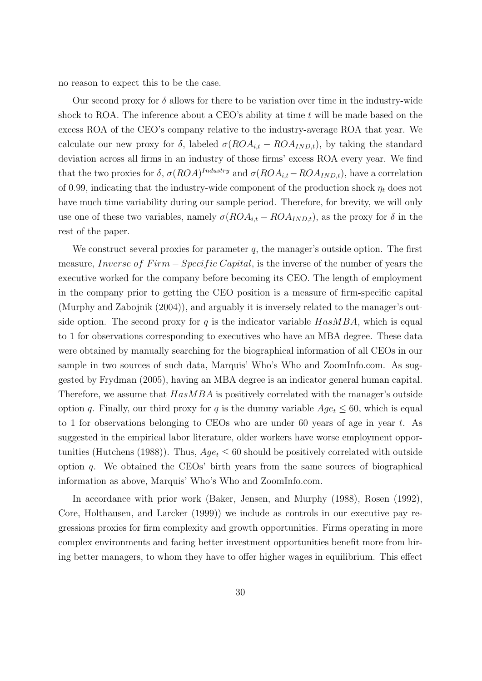no reason to expect this to be the case.

Our second proxy for  $\delta$  allows for there to be variation over time in the industry-wide shock to ROA. The inference about a CEO's ability at time *t* will be made based on the excess ROA of the CEO's company relative to the industry-average ROA that year. We calculate our new proxy for  $\delta$ , labeled  $\sigma(ROA_{i,t} - ROA_{IND,t})$ , by taking the standard deviation across all firms in an industry of those firms' excess ROA every year. We find that the two proxies for  $\delta$ ,  $\sigma (ROA)^{Industry}$  and  $\sigma (ROA_{i,t} - ROA_{IND,t})$ , have a correlation of 0.99, indicating that the industry-wide component of the production shock *η<sup>t</sup>* does not have much time variability during our sample period. Therefore, for brevity, we will only use one of these two variables, namely  $\sigma (ROA_{i,t} - ROA_{IND,t})$ , as the proxy for  $\delta$  in the rest of the paper.

We construct several proxies for parameter *q*, the manager's outside option. The first measure, *Inverse of Firm* − *Specific Capital*, is the inverse of the number of years the executive worked for the company before becoming its CEO. The length of employment in the company prior to getting the CEO position is a measure of firm-specific capital (Murphy and Zabojnik (2004)), and arguably it is inversely related to the manager's outside option. The second proxy for *q* is the indicator variable *HasMBA*, which is equal to 1 for observations corresponding to executives who have an MBA degree. These data were obtained by manually searching for the biographical information of all CEOs in our sample in two sources of such data, Marquis' Who's Who and ZoomInfo.com. As suggested by Frydman (2005), having an MBA degree is an indicator general human capital. Therefore, we assume that *HasMBA* is positively correlated with the manager's outside option *q*. Finally, our third proxy for *q* is the dummy variable  $Age_t \leq 60$ , which is equal to 1 for observations belonging to CEOs who are under 60 years of age in year *t*. As suggested in the empirical labor literature, older workers have worse employment opportunities (Hutchens (1988)). Thus,  $Age_t \leq 60$  should be positively correlated with outside option *q*. We obtained the CEOs' birth years from the same sources of biographical information as above, Marquis' Who's Who and ZoomInfo.com.

In accordance with prior work (Baker, Jensen, and Murphy (1988), Rosen (1992), Core, Holthausen, and Larcker (1999)) we include as controls in our executive pay regressions proxies for firm complexity and growth opportunities. Firms operating in more complex environments and facing better investment opportunities benefit more from hiring better managers, to whom they have to offer higher wages in equilibrium. This effect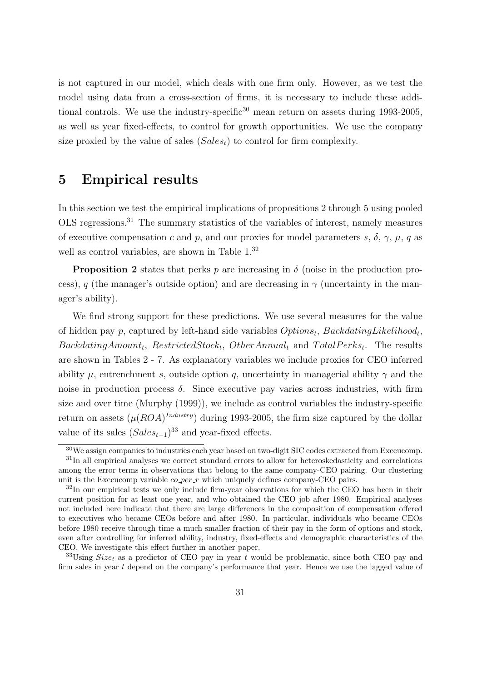is not captured in our model, which deals with one firm only. However, as we test the model using data from a cross-section of firms, it is necessary to include these additional controls. We use the industry-specific<sup>30</sup> mean return on assets during 1993-2005, as well as year fixed-effects, to control for growth opportunities. We use the company size proxied by the value of sales (*Salest*) to control for firm complexity.

### **5 Empirical results**

In this section we test the empirical implications of propositions 2 through 5 using pooled OLS regressions.<sup>31</sup> The summary statistics of the variables of interest, namely measures of executive compensation *c* and *p*, and our proxies for model parameters *s*,  $\delta$ ,  $\gamma$ ,  $\mu$ , *q* as well as control variables, are shown in Table  $1.^{32}$ 

**Proposition 2** states that perks *p* are increasing in  $\delta$  (noise in the production process), *q* (the manager's outside option) and are decreasing in  $\gamma$  (uncertainty in the manager's ability).

We find strong support for these predictions. We use several measures for the value of hidden pay *p*, captured by left-hand side variables *Options<sup>t</sup>* , *BackdatingLikelihood<sup>t</sup>* , *BackdatingAmount<sup>t</sup>* , *RestrictedStock<sup>t</sup>* , *OtherAnnual<sup>t</sup>* and *T otalP erks<sup>t</sup>* . The results are shown in Tables 2 - 7. As explanatory variables we include proxies for CEO inferred ability  $\mu$ , entrenchment *s*, outside option *q*, uncertainty in managerial ability  $\gamma$  and the noise in production process  $\delta$ . Since executive pay varies across industries, with firm size and over time (Murphy (1999)), we include as control variables the industry-specific return on assets  $(\mu (ROA)^{Industry})$  during 1993-2005, the firm size captured by the dollar value of its sales  $(Sales_{t-1})^{33}$  and year-fixed effects.

<sup>&</sup>lt;sup>30</sup>We assign companies to industries each year based on two-digit SIC codes extracted from Execucomp. <sup>31</sup>In all empirical analyses we correct standard errors to allow for heteroskedasticity and correlations among the error terms in observations that belong to the same company-CEO pairing. Our clustering unit is the Execucomp variable *co per r* which uniquely defines company-CEO pairs.

<sup>&</sup>lt;sup>32</sup>In our empirical tests we only include firm-year observations for which the CEO has been in their current position for at least one year, and who obtained the CEO job after 1980. Empirical analyses not included here indicate that there are large differences in the composition of compensation offered to executives who became CEOs before and after 1980. In particular, individuals who became CEOs before 1980 receive through time a much smaller fraction of their pay in the form of options and stock, even after controlling for inferred ability, industry, fixed-effects and demographic characteristics of the CEO. We investigate this effect further in another paper.

<sup>33</sup>Using *Size<sup>t</sup>* as a predictor of CEO pay in year *t* would be problematic, since both CEO pay and firm sales in year *t* depend on the company's performance that year. Hence we use the lagged value of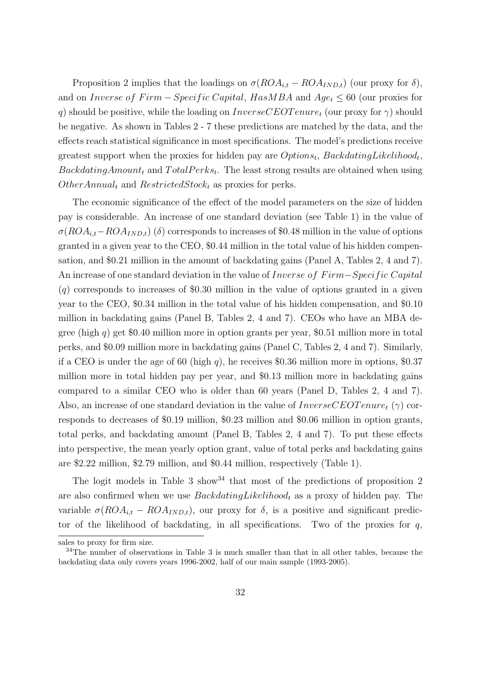Proposition 2 implies that the loadings on  $\sigma (ROA_{i,t} - ROA_{IND,t})$  (our proxy for  $\delta$ ), and on *Inverse of Firm* – *Specific Capital*, *HasMBA* and  $Age_t ≤ 60$  (our proxies for *q*) should be positive, while the loading on *InverseCEOT enure<sup>t</sup>* (our proxy for *γ*) should be negative. As shown in Tables 2 - 7 these predictions are matched by the data, and the effects reach statistical significance in most specifications. The model's predictions receive greatest support when the proxies for hidden pay are  $Options_t$ ,  $Back dating Likelihood_t$ ,  $Back datingAmount<sub>t</sub>$  and  $TotalPerks<sub>t</sub>$ . The least strong results are obtained when using *OtherAnnual<sup>t</sup>* and *RestrictedStock<sup>t</sup>* as proxies for perks.

The economic significance of the effect of the model parameters on the size of hidden pay is considerable. An increase of one standard deviation (see Table 1) in the value of  $\sigma(ROA_{i,t}-ROA_{IND,t})$  (*δ*) corresponds to increases of \$0.48 million in the value of options granted in a given year to the CEO, \$0.44 million in the total value of his hidden compensation, and \$0.21 million in the amount of backdating gains (Panel A, Tables 2, 4 and 7). An increase of one standard deviation in the value of *Inverse of F irm−Specif ic Capital* (*q*) corresponds to increases of \$0.30 million in the value of options granted in a given year to the CEO, \$0.34 million in the total value of his hidden compensation, and \$0.10 million in backdating gains (Panel B, Tables 2, 4 and 7). CEOs who have an MBA degree (high *q*) get \$0.40 million more in option grants per year, \$0.51 million more in total perks, and \$0.09 million more in backdating gains (Panel C, Tables 2, 4 and 7). Similarly, if a CEO is under the age of 60 (high *q*), he receives \$0.36 million more in options, \$0.37 million more in total hidden pay per year, and \$0.13 million more in backdating gains compared to a similar CEO who is older than 60 years (Panel D, Tables 2, 4 and 7). Also, an increase of one standard deviation in the value of *InverseCEOT enure<sup>t</sup>* (*γ*) corresponds to decreases of \$0.19 million, \$0.23 million and \$0.06 million in option grants, total perks, and backdating amount (Panel B, Tables 2, 4 and 7). To put these effects into perspective, the mean yearly option grant, value of total perks and backdating gains are \$2.22 million, \$2.79 million, and \$0.44 million, respectively (Table 1).

The logit models in Table 3 show  $34$  that most of the predictions of proposition 2 are also confirmed when we use *BackdatingLikelihood<sup>t</sup>* as a proxy of hidden pay. The variable  $\sigma(ROA_{i,t} -ROA_{IND,t})$ , our proxy for  $\delta$ , is a positive and significant predictor of the likelihood of backdating, in all specifications. Two of the proxies for  $q$ ,

sales to proxy for firm size.

<sup>&</sup>lt;sup>34</sup>The number of observations in Table 3 is much smaller than that in all other tables, because the backdating data only covers years 1996-2002, half of our main sample (1993-2005).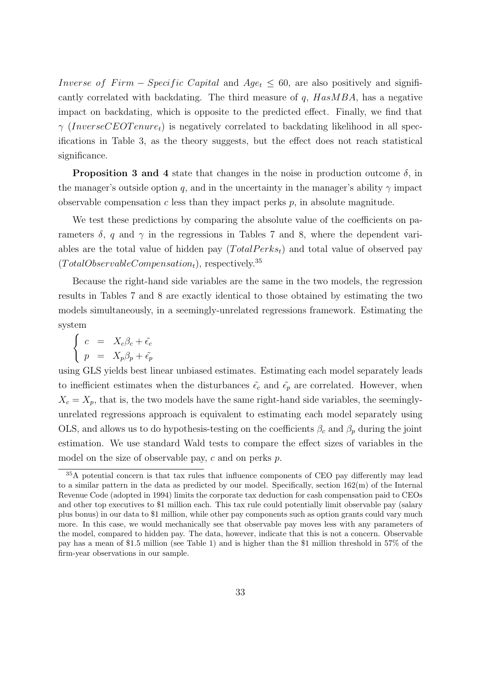*Inverse of Firm* – *Specific Capital* and  $Age_t \leq 60$ , are also positively and significantly correlated with backdating. The third measure of *q*, *HasMBA*, has a negative impact on backdating, which is opposite to the predicted effect. Finally, we find that  $\gamma$  (*InverseCEOT enure<sub>t</sub>*) is negatively correlated to backdating likelihood in all specifications in Table 3, as the theory suggests, but the effect does not reach statistical significance.

**Proposition 3 and 4** state that changes in the noise in production outcome  $\delta$ , in the manager's outside option *q*, and in the uncertainty in the manager's ability  $\gamma$  impact observable compensation *c* less than they impact perks *p*, in absolute magnitude.

We test these predictions by comparing the absolute value of the coefficients on parameters  $\delta$ , *q* and  $\gamma$  in the regressions in Tables 7 and 8, where the dependent variables are the total value of hidden pay  $(TotalPerks<sub>t</sub>)$  and total value of observed pay (*T otalObservableCompensationt*), respectively.<sup>35</sup>

Because the right-hand side variables are the same in the two models, the regression results in Tables 7 and 8 are exactly identical to those obtained by estimating the two models simultaneously, in a seemingly-unrelated regressions framework. Estimating the system

$$
\left\{ \begin{array}{rcl} c &=& X_c \beta_c + \tilde{\epsilon_c} \\ p &=& X_p \beta_p + \tilde{\epsilon_p} \end{array} \right.
$$

using GLS yields best linear unbiased estimates. Estimating each model separately leads to inefficient estimates when the disturbances  $\tilde{\epsilon}_c$  and  $\tilde{\epsilon}_p$  are correlated. However, when  $X_c = X_p$ , that is, the two models have the same right-hand side variables, the seeminglyunrelated regressions approach is equivalent to estimating each model separately using OLS, and allows us to do hypothesis-testing on the coefficients  $\beta_c$  and  $\beta_p$  during the joint estimation. We use standard Wald tests to compare the effect sizes of variables in the model on the size of observable pay, *c* and on perks *p*.

<sup>&</sup>lt;sup>35</sup>A potential concern is that tax rules that influence components of CEO pay differently may lead to a similar pattern in the data as predicted by our model. Specifically, section  $162(m)$  of the Internal Revenue Code (adopted in 1994) limits the corporate tax deduction for cash compensation paid to CEOs and other top executives to \$1 million each. This tax rule could potentially limit observable pay (salary plus bonus) in our data to \$1 million, while other pay components such as option grants could vary much more. In this case, we would mechanically see that observable pay moves less with any parameters of the model, compared to hidden pay. The data, however, indicate that this is not a concern. Observable pay has a mean of \$1.5 million (see Table 1) and is higher than the \$1 million threshold in 57% of the firm-year observations in our sample.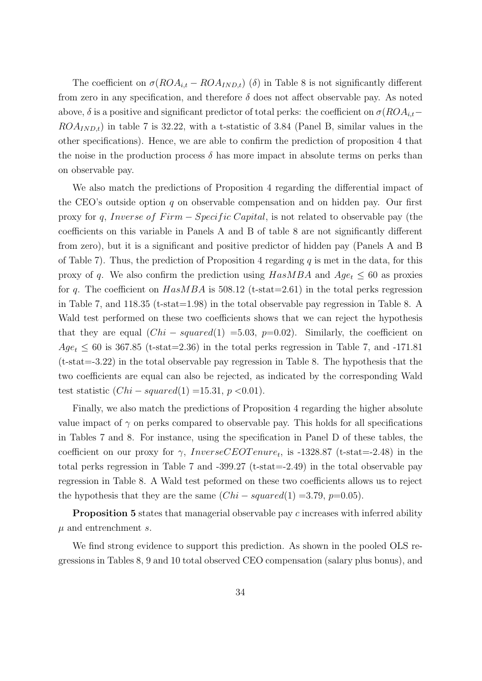The coefficient on  $\sigma(ROA_{i,t} - ROA_{IND,t})$  ( $\delta$ ) in Table 8 is not significantly different from zero in any specification, and therefore  $\delta$  does not affect observable pay. As noted above,  $\delta$  is a positive and significant predictor of total perks: the coefficient on  $\sigma(ROA_{i,t}$ −  $ROA_{IND,t}$ ) in table 7 is 32.22, with a t-statistic of 3.84 (Panel B, similar values in the other specifications). Hence, we are able to confirm the prediction of proposition 4 that the noise in the production process  $\delta$  has more impact in absolute terms on perks than on observable pay.

We also match the predictions of Proposition 4 regarding the differential impact of the CEO's outside option *q* on observable compensation and on hidden pay. Our first proxy for *q*, *Inverse of Firm* − *Specific Capital*, is not related to observable pay (the coefficients on this variable in Panels A and B of table 8 are not significantly different from zero), but it is a significant and positive predictor of hidden pay (Panels A and B of Table 7). Thus, the prediction of Proposition 4 regarding *q* is met in the data, for this proxy of *q*. We also confirm the prediction using  $HasMBA$  and  $Age_t \leq 60$  as proxies for *q*. The coefficient on *HasMBA* is 508.12 (t-stat=2.61) in the total perks regression in Table 7, and 118.35 (t-stat=1.98) in the total observable pay regression in Table 8. A Wald test performed on these two coefficients shows that we can reject the hypothesis that they are equal  $(Chi-squared(1) = 5.03, p=0.02)$ . Similarly, the coefficient on  $Age_t \leq 60$  is 367.85 (t-stat=2.36) in the total perks regression in Table 7, and -171.81 (t-stat=-3.22) in the total observable pay regression in Table 8. The hypothesis that the two coefficients are equal can also be rejected, as indicated by the corresponding Wald test statistic  $(Chi-squared(1) =15.31, p < 0.01)$ .

Finally, we also match the predictions of Proposition 4 regarding the higher absolute value impact of  $\gamma$  on perks compared to observable pay. This holds for all specifications in Tables 7 and 8. For instance, using the specification in Panel D of these tables, the coefficient on our proxy for  $\gamma$ , *InverseCEOT enure<sub>t</sub>*, is -1328.87 (t-stat=-2.48) in the total perks regression in Table 7 and  $-399.27$  (t-stat  $=-2.49$ ) in the total observable pay regression in Table 8. A Wald test peformed on these two coefficients allows us to reject the hypothesis that they are the same  $(Chi-squared(1) = 3.79, p=0.05)$ .

**Proposition 5** states that managerial observable pay *c* increases with inferred ability *µ* and entrenchment *s*.

We find strong evidence to support this prediction. As shown in the pooled OLS regressions in Tables 8, 9 and 10 total observed CEO compensation (salary plus bonus), and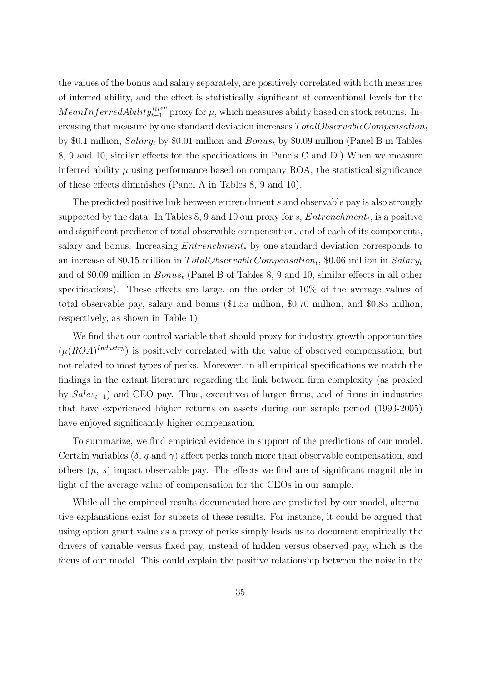the values of the bonus and salary separately, are positively correlated with both measures of inferred ability, and the effect is statistically significant at conventional levels for the *MeanInferredAbility*<sup>*RET*</sup></sup> proxy for  $\mu$ , which measures ability based on stock returns. Increasing that measure by one standard deviation increases *T otalObservableCompensation<sup>t</sup>* by \$0.1 million, *Salary<sup>t</sup>* by \$0.01 million and *Bonus<sup>t</sup>* by \$0.09 million (Panel B in Tables 8, 9 and 10, similar effects for the specifications in Panels C and D.) When we measure inferred ability  $\mu$  using performance based on company ROA, the statistical significance of these effects diminishes (Panel A in Tables 8, 9 and 10).

The predicted positive link between entrenchment *s* and observable pay is also strongly supported by the data. In Tables 8, 9 and 10 our proxy for *s*, *Entrenchment<sup>t</sup>* , is a positive and significant predictor of total observable compensation, and of each of its components, salary and bonus. Increasing *Entrenchment<sup>s</sup>* by one standard deviation corresponds to an increase of \$0.15 million in *T otalObservableCompensation<sup>t</sup>* , \$0.06 million in *Salary<sup>t</sup>* and of \$0.09 million in *Bonus<sup>t</sup>* (Panel B of Tables 8, 9 and 10, similar effects in all other specifications). These effects are large, on the order of 10% of the average values of total observable pay, salary and bonus (\$1.55 million, \$0.70 million, and \$0.85 million, respectively, as shown in Table 1).

We find that our control variable that should proxy for industry growth opportunities  $(\mu (ROA)^{Industry})$  is positively correlated with the value of observed compensation, but not related to most types of perks. Moreover, in all empirical specifications we match the findings in the extant literature regarding the link between firm complexity (as proxied by *Sales<sup>t</sup>−*<sup>1</sup>) and CEO pay. Thus, executives of larger firms, and of firms in industries that have experienced higher returns on assets during our sample period (1993-2005) have enjoyed significantly higher compensation.

To summarize, we find empirical evidence in support of the predictions of our model. Certain variables  $(\delta, q \text{ and } \gamma)$  affect perks much more than observable compensation, and others  $(\mu, s)$  impact observable pay. The effects we find are of significant magnitude in light of the average value of compensation for the CEOs in our sample.

While all the empirical results documented here are predicted by our model, alternative explanations exist for subsets of these results. For instance, it could be argued that using option grant value as a proxy of perks simply leads us to document empirically the drivers of variable versus fixed pay, instead of hidden versus observed pay, which is the focus of our model. This could explain the positive relationship between the noise in the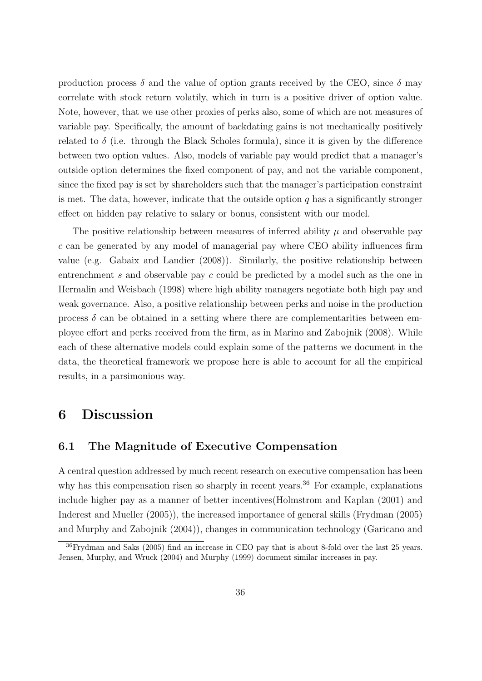production process  $\delta$  and the value of option grants received by the CEO, since  $\delta$  may correlate with stock return volatily, which in turn is a positive driver of option value. Note, however, that we use other proxies of perks also, some of which are not measures of variable pay. Specifically, the amount of backdating gains is not mechanically positively related to  $\delta$  (i.e. through the Black Scholes formula), since it is given by the difference between two option values. Also, models of variable pay would predict that a manager's outside option determines the fixed component of pay, and not the variable component, since the fixed pay is set by shareholders such that the manager's participation constraint is met. The data, however, indicate that the outside option  $q$  has a significantly stronger effect on hidden pay relative to salary or bonus, consistent with our model.

The positive relationship between measures of inferred ability  $\mu$  and observable pay *c* can be generated by any model of managerial pay where CEO ability influences firm value (e.g. Gabaix and Landier (2008)). Similarly, the positive relationship between entrenchment *s* and observable pay *c* could be predicted by a model such as the one in Hermalin and Weisbach (1998) where high ability managers negotiate both high pay and weak governance. Also, a positive relationship between perks and noise in the production process  $\delta$  can be obtained in a setting where there are complementarities between employee effort and perks received from the firm, as in Marino and Zabojnik (2008). While each of these alternative models could explain some of the patterns we document in the data, the theoretical framework we propose here is able to account for all the empirical results, in a parsimonious way.

## **6 Discussion**

### **6.1 The Magnitude of Executive Compensation**

A central question addressed by much recent research on executive compensation has been why has this compensation risen so sharply in recent years.<sup>36</sup> For example, explanations include higher pay as a manner of better incentives(Holmstrom and Kaplan (2001) and Inderest and Mueller (2005)), the increased importance of general skills (Frydman (2005) and Murphy and Zabojnik (2004)), changes in communication technology (Garicano and

<sup>36</sup>Frydman and Saks (2005) find an increase in CEO pay that is about 8-fold over the last 25 years. Jensen, Murphy, and Wruck (2004) and Murphy (1999) document similar increases in pay.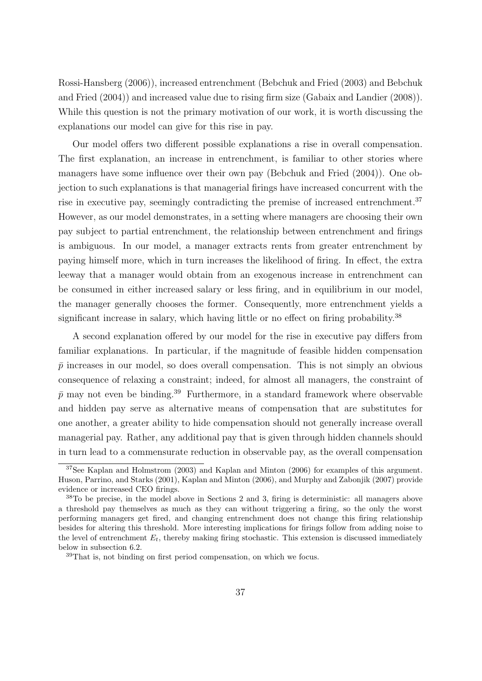Rossi-Hansberg (2006)), increased entrenchment (Bebchuk and Fried (2003) and Bebchuk and Fried (2004)) and increased value due to rising firm size (Gabaix and Landier (2008)). While this question is not the primary motivation of our work, it is worth discussing the explanations our model can give for this rise in pay.

Our model offers two different possible explanations a rise in overall compensation. The first explanation, an increase in entrenchment, is familiar to other stories where managers have some influence over their own pay (Bebchuk and Fried (2004)). One objection to such explanations is that managerial firings have increased concurrent with the rise in executive pay, seemingly contradicting the premise of increased entrenchment.<sup>37</sup> However, as our model demonstrates, in a setting where managers are choosing their own pay subject to partial entrenchment, the relationship between entrenchment and firings is ambiguous. In our model, a manager extracts rents from greater entrenchment by paying himself more, which in turn increases the likelihood of firing. In effect, the extra leeway that a manager would obtain from an exogenous increase in entrenchment can be consumed in either increased salary or less firing, and in equilibrium in our model, the manager generally chooses the former. Consequently, more entrenchment yields a significant increase in salary, which having little or no effect on firing probability.<sup>38</sup>

A second explanation offered by our model for the rise in executive pay differs from familiar explanations. In particular, if the magnitude of feasible hidden compensation  $\bar{p}$  increases in our model, so does overall compensation. This is not simply an obvious consequence of relaxing a constraint; indeed, for almost all managers, the constraint of  $\bar{p}$  may not even be binding.<sup>39</sup> Furthermore, in a standard framework where observable and hidden pay serve as alternative means of compensation that are substitutes for one another, a greater ability to hide compensation should not generally increase overall managerial pay. Rather, any additional pay that is given through hidden channels should in turn lead to a commensurate reduction in observable pay, as the overall compensation

 $37$ See Kaplan and Holmstrom (2003) and Kaplan and Minton (2006) for examples of this argument. Huson, Parrino, and Starks (2001), Kaplan and Minton (2006), and Murphy and Zabonjik (2007) provide evidence or increased CEO firings.

<sup>38</sup>To be precise, in the model above in Sections 2 and 3, firing is deterministic: all managers above a threshold pay themselves as much as they can without triggering a firing, so the only the worst performing managers get fired, and changing entrenchment does not change this firing relationship besides for altering this threshold. More interesting implications for firings follow from adding noise to the level of entrenchment  $E_t$ , thereby making firing stochastic. This extension is discussed immediately below in subsection 6.2.

<sup>39</sup>That is, not binding on first period compensation, on which we focus.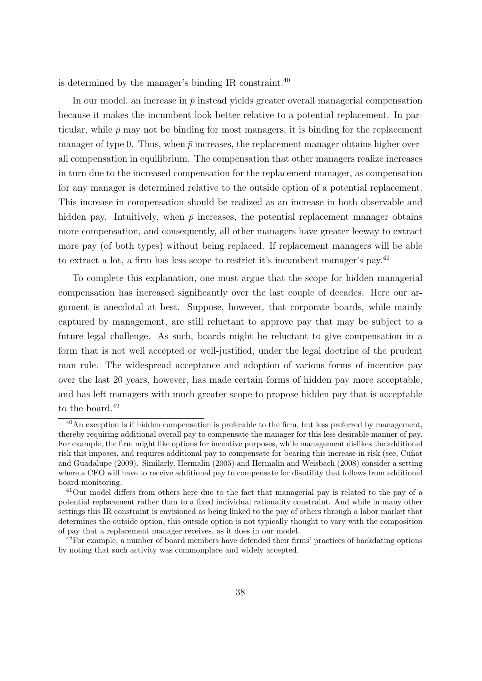is determined by the manager's binding IR constraint. $40$ 

In our model, an increase in  $\bar{p}$  instead yields greater overall managerial compensation because it makes the incumbent look better relative to a potential replacement. In particular, while  $\bar{p}$  may not be binding for most managers, it is binding for the replacement manager of type 0. Thus, when  $\bar{p}$  increases, the replacement manager obtains higher overall compensation in equilibrium. The compensation that other managers realize increases in turn due to the increased compensation for the replacement manager, as compensation for any manager is determined relative to the outside option of a potential replacement. This increase in compensation should be realized as an increase in both observable and hidden pay. Intuitively, when  $\bar{p}$  increases, the potential replacement manager obtains more compensation, and consequently, all other managers have greater leeway to extract more pay (of both types) without being replaced. If replacement managers will be able to extract a lot, a firm has less scope to restrict it's incumbent manager's pay.<sup>41</sup>

To complete this explanation, one must argue that the scope for hidden managerial compensation has increased significantly over the last couple of decades. Here our argument is anecdotal at best. Suppose, however, that corporate boards, while mainly captured by management, are still reluctant to approve pay that may be subject to a future legal challenge. As such, boards might be reluctant to give compensation in a form that is not well accepted or well-justified, under the legal doctrine of the prudent man rule. The widespread acceptance and adoption of various forms of incentive pay over the last 20 years, however, has made certain forms of hidden pay more acceptable, and has left managers with much greater scope to propose hidden pay that is acceptable to the board. $42$ 

 $^{40}$ An exception is if hidden compensation is preferable to the firm, but less preferred by management, thereby requiring additional overall pay to compensate the manager for this less desirable manner of pay. For example, the firm might like options for incentive purposes, while management dislikes the additional risk this imposes, and requires additional pay to compensate for bearing this increase in risk (see, Cunat and Guadalupe (2009). Similarly, Hermalin (2005) and Hermalin and Weisbach (2008) consider a setting where a CEO will have to receive additional pay to compensate for disutility that follows from additional board monitoring.

<sup>&</sup>lt;sup>41</sup>Our model differs from others here due to the fact that managerial pay is related to the pay of a potential replacement rather than to a fixed individual rationality constraint. And while in many other settings this IR constraint is envisioned as being linked to the pay of others through a labor market that determines the outside option, this outside option is not typically thought to vary with the composition of pay that a replacement manager receives, as it does in our model.

 $^{42}$ For example, a number of board members have defended their firms' practices of backdating options by noting that such activity was commonplace and widely accepted.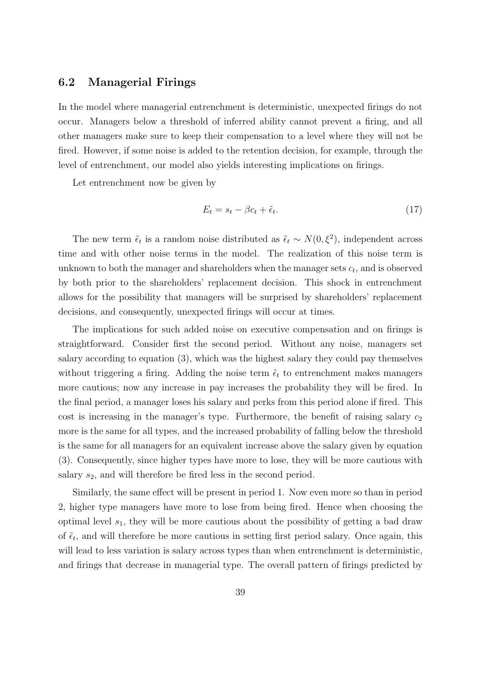#### **6.2 Managerial Firings**

In the model where managerial entrenchment is deterministic, unexpected firings do not occur. Managers below a threshold of inferred ability cannot prevent a firing, and all other managers make sure to keep their compensation to a level where they will not be fired. However, if some noise is added to the retention decision, for example, through the level of entrenchment, our model also yields interesting implications on firings.

Let entrenchment now be given by

$$
E_t = s_t - \beta c_t + \tilde{\epsilon}_t. \tag{17}
$$

The new term  $\tilde{\epsilon}_t$  is a random noise distributed as  $\tilde{\epsilon}_t \sim N(0,\xi^2)$ , independent across time and with other noise terms in the model. The realization of this noise term is unknown to both the manager and shareholders when the manager sets  $c_t$ , and is observed by both prior to the shareholders' replacement decision. This shock in entrenchment allows for the possibility that managers will be surprised by shareholders' replacement decisions, and consequently, unexpected firings will occur at times.

The implications for such added noise on executive compensation and on firings is straightforward. Consider first the second period. Without any noise, managers set salary according to equation (3), which was the highest salary they could pay themselves without triggering a firing. Adding the noise term  $\tilde{\epsilon}_t$  to entrenchment makes managers more cautious; now any increase in pay increases the probability they will be fired. In the final period, a manager loses his salary and perks from this period alone if fired. This cost is increasing in the manager's type. Furthermore, the benefit of raising salary  $c_2$ more is the same for all types, and the increased probability of falling below the threshold is the same for all managers for an equivalent increase above the salary given by equation (3). Consequently, since higher types have more to lose, they will be more cautious with salary  $s_2$ , and will therefore be fired less in the second period.

Similarly, the same effect will be present in period 1. Now even more so than in period 2, higher type managers have more to lose from being fired. Hence when choosing the optimal level *s*1, they will be more cautious about the possibility of getting a bad draw of  $\tilde{\epsilon}_t$ , and will therefore be more cautious in setting first period salary. Once again, this will lead to less variation is salary across types than when entrenchment is deterministic, and firings that decrease in managerial type. The overall pattern of firings predicted by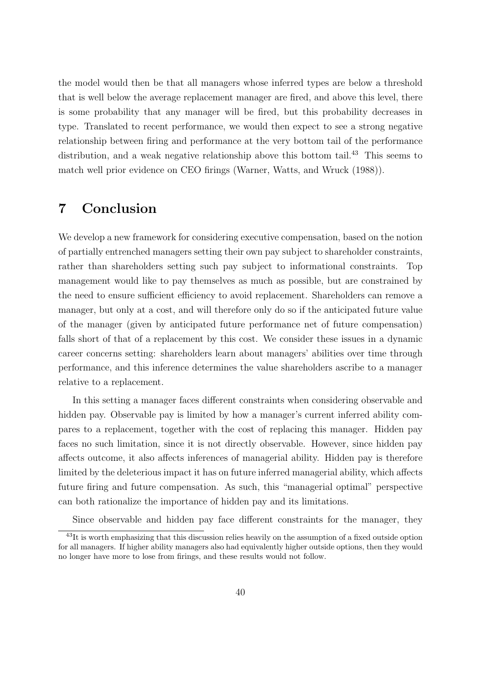the model would then be that all managers whose inferred types are below a threshold that is well below the average replacement manager are fired, and above this level, there is some probability that any manager will be fired, but this probability decreases in type. Translated to recent performance, we would then expect to see a strong negative relationship between firing and performance at the very bottom tail of the performance distribution, and a weak negative relationship above this bottom tail.<sup>43</sup> This seems to match well prior evidence on CEO firings (Warner, Watts, and Wruck (1988)).

### **7 Conclusion**

We develop a new framework for considering executive compensation, based on the notion of partially entrenched managers setting their own pay subject to shareholder constraints, rather than shareholders setting such pay subject to informational constraints. Top management would like to pay themselves as much as possible, but are constrained by the need to ensure sufficient efficiency to avoid replacement. Shareholders can remove a manager, but only at a cost, and will therefore only do so if the anticipated future value of the manager (given by anticipated future performance net of future compensation) falls short of that of a replacement by this cost. We consider these issues in a dynamic career concerns setting: shareholders learn about managers' abilities over time through performance, and this inference determines the value shareholders ascribe to a manager relative to a replacement.

In this setting a manager faces different constraints when considering observable and hidden pay. Observable pay is limited by how a manager's current inferred ability compares to a replacement, together with the cost of replacing this manager. Hidden pay faces no such limitation, since it is not directly observable. However, since hidden pay affects outcome, it also affects inferences of managerial ability. Hidden pay is therefore limited by the deleterious impact it has on future inferred managerial ability, which affects future firing and future compensation. As such, this "managerial optimal" perspective can both rationalize the importance of hidden pay and its limitations.

Since observable and hidden pay face different constraints for the manager, they

 $^{43}$ It is worth emphasizing that this discussion relies heavily on the assumption of a fixed outside option for all managers. If higher ability managers also had equivalently higher outside options, then they would no longer have more to lose from firings, and these results would not follow.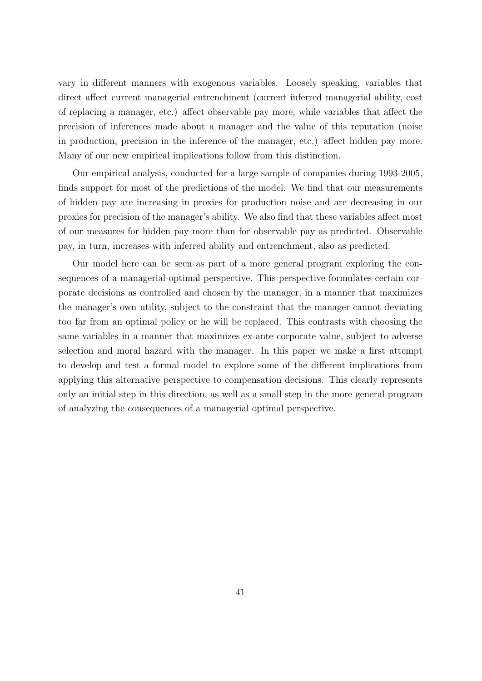vary in different manners with exogenous variables. Loosely speaking, variables that direct affect current managerial entrenchment (current inferred managerial ability, cost of replacing a manager, etc.) affect observable pay more, while variables that affect the precision of inferences made about a manager and the value of this reputation (noise in production, precision in the inference of the manager, etc.) affect hidden pay more. Many of our new empirical implications follow from this distinction.

Our empirical analysis, conducted for a large sample of companies during 1993-2005, finds support for most of the predictions of the model. We find that our measurements of hidden pay are increasing in proxies for production noise and are decreasing in our proxies for precision of the manager's ability. We also find that these variables affect most of our measures for hidden pay more than for observable pay as predicted. Observable pay, in turn, increases with inferred ability and entrenchment, also as predicted.

Our model here can be seen as part of a more general program exploring the consequences of a managerial-optimal perspective. This perspective formulates certain corporate decisions as controlled and chosen by the manager, in a manner that maximizes the manager's own utility, subject to the constraint that the manager cannot deviating too far from an optimal policy or he will be replaced. This contrasts with choosing the same variables in a manner that maximizes ex-ante corporate value, subject to adverse selection and moral hazard with the manager. In this paper we make a first attempt to develop and test a formal model to explore some of the different implications from applying this alternative perspective to compensation decisions. This clearly represents only an initial step in this direction, as well as a small step in the more general program of analyzing the consequences of a managerial optimal perspective.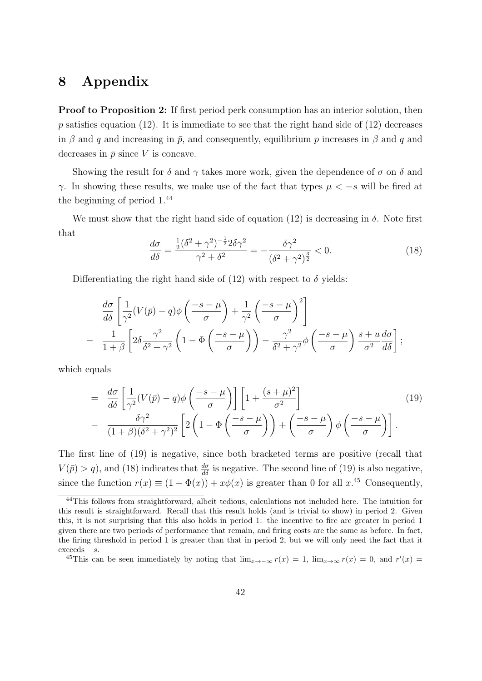# **8 Appendix**

**Proof to Proposition 2:** If first period perk consumption has an interior solution, then p satisfies equation  $(12)$ . It is immediate to see that the right hand side of  $(12)$  decreases in  $\beta$  and  $q$  and increasing in  $\bar{p}$ , and consequently, equilibrium  $p$  increases in  $\beta$  and  $q$  and decreases in  $\bar{p}$  since *V* is concave.

Showing the result for  $\delta$  and  $\gamma$  takes more work, given the dependence of  $\sigma$  on  $\delta$  and *γ*. In showing these results, we make use of the fact that types  $\mu$  < −*s* will be fired at the beginning of period 1.<sup>44</sup>

We must show that the right hand side of equation  $(12)$  is decreasing in  $\delta$ . Note first that

$$
\frac{d\sigma}{d\delta} = \frac{\frac{1}{2}(\delta^2 + \gamma^2)^{-\frac{1}{2}} 2\delta \gamma^2}{\gamma^2 + \delta^2} = -\frac{\delta \gamma^2}{(\delta^2 + \gamma^2)^{\frac{3}{2}}} < 0.
$$
\n(18)

Differentiating the right hand side of  $(12)$  with respect to  $\delta$  yields:

$$
\frac{d\sigma}{d\delta} \left[ \frac{1}{\gamma^2} (V(\bar{p}) - q) \phi \left( \frac{-s - \mu}{\sigma} \right) + \frac{1}{\gamma^2} \left( \frac{-s - \mu}{\sigma} \right)^2 \right] \n- \frac{1}{1 + \beta} \left[ 2\delta \frac{\gamma^2}{\delta^2 + \gamma^2} \left( 1 - \Phi \left( \frac{-s - \mu}{\sigma} \right) \right) - \frac{\gamma^2}{\delta^2 + \gamma^2} \phi \left( \frac{-s - \mu}{\sigma} \right) \frac{s + u}{\sigma^2} \frac{d\sigma}{d\delta} \right];
$$

which equals

$$
= \frac{d\sigma}{d\delta} \left[ \frac{1}{\gamma^2} (V(\bar{p}) - q) \phi \left( \frac{-s - \mu}{\sigma} \right) \right] \left[ 1 + \frac{(s + \mu)^2}{\sigma^2} \right] - \frac{\delta \gamma^2}{(1 + \beta)(\delta^2 + \gamma^2)^2} \left[ 2 \left( 1 - \Phi \left( \frac{-s - \mu}{\sigma} \right) \right) + \left( \frac{-s - \mu}{\sigma} \right) \phi \left( \frac{-s - \mu}{\sigma} \right) \right].
$$
\n(19)

The first line of (19) is negative, since both bracketed terms are positive (recall that  $V(\bar{p}) > q$ , and (18) indicates that  $\frac{d\sigma}{d\delta}$  is negative. The second line of (19) is also negative, since the function  $r(x) \equiv (1 - \Phi(x)) + x\phi(x)$  is greater than 0 for all  $x^{0.45}$  Consequently,

<sup>44</sup>This follows from straightforward, albeit tedious, calculations not included here. The intuition for this result is straightforward. Recall that this result holds (and is trivial to show) in period 2. Given this, it is not surprising that this also holds in period 1: the incentive to fire are greater in period 1 given there are two periods of performance that remain, and firing costs are the same as before. In fact, the firing threshold in period 1 is greater than that in period 2, but we will only need the fact that it exceeds *−s*.

<sup>&</sup>lt;sup>45</sup>This can be seen immediately by noting that  $\lim_{x\to-\infty} r(x) = 1$ ,  $\lim_{x\to\infty} r(x) = 0$ , and  $r'(x) = 0$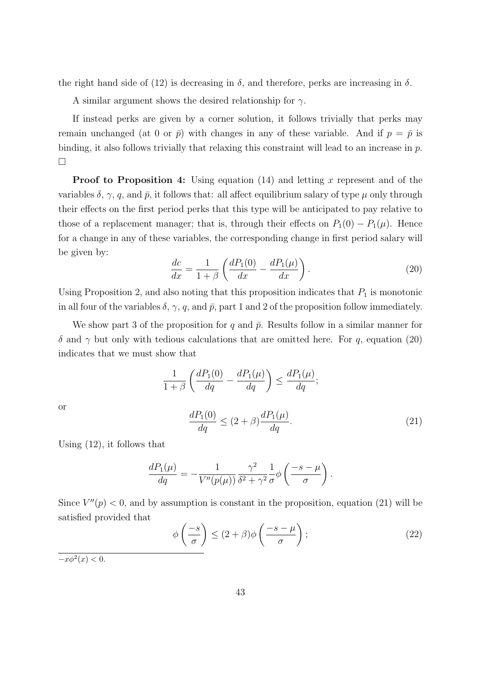the right hand side of (12) is decreasing in  $\delta$ , and therefore, perks are increasing in  $\delta$ .

A similar argument shows the desired relationship for *γ*.

If instead perks are given by a corner solution, it follows trivially that perks may remain unchanged (at 0 or  $\bar{p}$ ) with changes in any of these variable. And if  $p = \bar{p}$  is binding, it also follows trivially that relaxing this constraint will lead to an increase in *p*.  $\Box$ 

**Proof to Proposition 4:** Using equation (14) and letting x represent and of the variables  $\delta$ ,  $\gamma$ , *q*, and  $\bar{p}$ , it follows that: all affect equilibrium salary of type  $\mu$  only through their effects on the first period perks that this type will be anticipated to pay relative to those of a replacement manager; that is, through their effects on  $P_1(0) - P_1(\mu)$ . Hence for a change in any of these variables, the corresponding change in first period salary will be given by:

$$
\frac{dc}{dx} = \frac{1}{1+\beta} \left( \frac{dP_1(0)}{dx} - \frac{dP_1(\mu)}{dx} \right). \tag{20}
$$

Using Proposition 2, and also noting that this proposition indicates that  $P_1$  is monotonic in all four of the variables  $\delta$ ,  $\gamma$ ,  $q$ , and  $\bar{p}$ , part 1 and 2 of the proposition follow immediately.

We show part 3 of the proposition for  $q$  and  $\bar{p}$ . Results follow in a similar manner for *δ* and  $\gamma$  but only with tedious calculations that are omitted here. For *q*, equation (20) indicates that we must show that

$$
\frac{1}{1+\beta} \left( \frac{dP_1(0)}{dq} - \frac{dP_1(\mu)}{dq} \right) \le \frac{dP_1(\mu)}{dq};
$$
  

$$
\frac{dP_1(0)}{dq} \le (2+\beta) \frac{dP_1(\mu)}{dq}.
$$
 (21)

or

Using 
$$
(12)
$$
, it follows that

$$
\frac{dP_1(\mu)}{dq} = -\frac{1}{V''(p(\mu))} \frac{\gamma^2}{\delta^2 + \gamma^2} \frac{1}{\sigma} \phi \left( \frac{-s - \mu}{\sigma} \right).
$$

Since  $V''(p) < 0$ , and by assumption is constant in the proposition, equation (21) will be satisfied provided that

$$
\phi\left(\frac{-s}{\sigma}\right) \le (2+\beta)\phi\left(\frac{-s-\mu}{\sigma}\right);
$$
\n(22)

 $-x\phi^2(x) < 0.$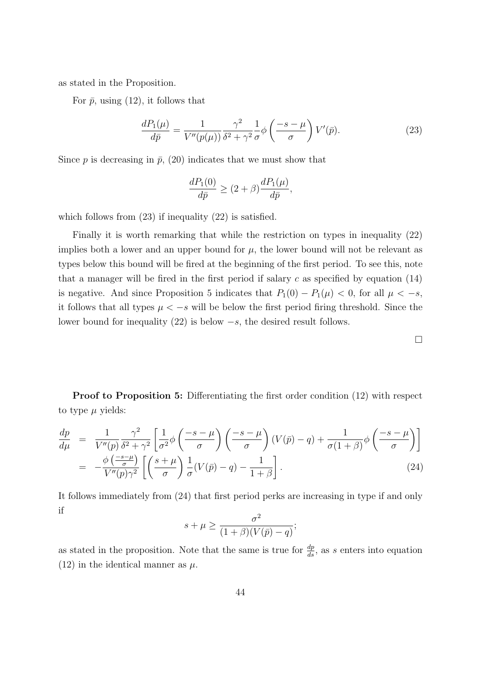as stated in the Proposition.

For  $\bar{p}$ , using (12), it follows that

$$
\frac{dP_1(\mu)}{d\bar{p}} = \frac{1}{V''(p(\mu))} \frac{\gamma^2}{\delta^2 + \gamma^2} \frac{1}{\sigma} \phi \left(\frac{-s - \mu}{\sigma}\right) V'(\bar{p}).\tag{23}
$$

Since  $p$  is decreasing in  $\bar{p}$ , (20) indicates that we must show that

$$
\frac{dP_1(0)}{d\bar{p}} \ge (2+\beta) \frac{dP_1(\mu)}{d\bar{p}},
$$

which follows from  $(23)$  if inequality  $(22)$  is satisfied.

Finally it is worth remarking that while the restriction on types in inequality (22) implies both a lower and an upper bound for  $\mu$ , the lower bound will not be relevant as types below this bound will be fired at the beginning of the first period. To see this, note that a manager will be fired in the first period if salary *c* as specified by equation (14) is negative. And since Proposition 5 indicates that  $P_1(0) - P_1(\mu) < 0$ , for all  $\mu < -s$ , it follows that all types  $\mu < -s$  will be below the first period firing threshold. Since the lower bound for inequality (22) is below *−s*, the desired result follows.

**Proof to Proposition 5:** Differentiating the first order condition (12) with respect to type  $\mu$  yields:

$$
\frac{dp}{d\mu} = \frac{1}{V''(p)} \frac{\gamma^2}{\delta^2 + \gamma^2} \left[ \frac{1}{\sigma^2} \phi \left( \frac{-s - \mu}{\sigma} \right) \left( \frac{-s - \mu}{\sigma} \right) (V(\bar{p}) - q) + \frac{1}{\sigma(1 + \beta)} \phi \left( \frac{-s - \mu}{\sigma} \right) \right]
$$
\n
$$
= -\frac{\phi \left( \frac{-s - \mu}{\sigma} \right)}{V''(p)\gamma^2} \left[ \left( \frac{s + \mu}{\sigma} \right) \frac{1}{\sigma} (V(\bar{p}) - q) - \frac{1}{1 + \beta} \right].
$$
\n(24)

It follows immediately from (24) that first period perks are increasing in type if and only if

$$
s + \mu \ge \frac{\sigma^2}{(1+\beta)(V(\bar{p}) - q)};
$$

as stated in the proposition. Note that the same is true for  $\frac{dp}{ds}$ , as *s* enters into equation (12) in the identical manner as  $\mu$ .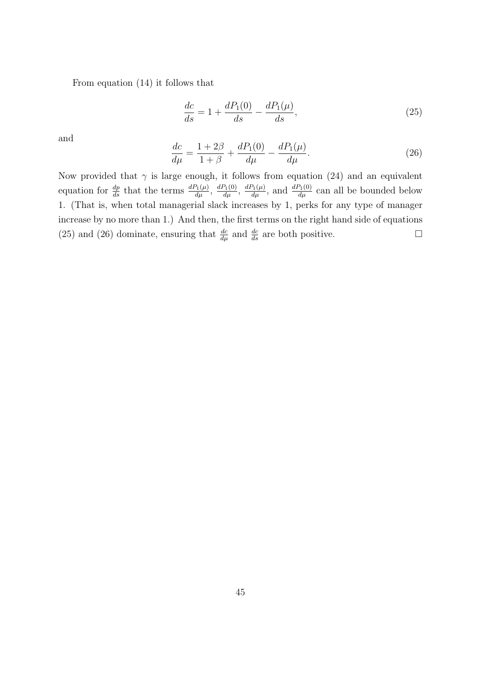From equation (14) it follows that

$$
\frac{dc}{ds} = 1 + \frac{dP_1(0)}{ds} - \frac{dP_1(\mu)}{ds},\tag{25}
$$

and

$$
\frac{dc}{d\mu} = \frac{1+2\beta}{1+\beta} + \frac{dP_1(0)}{d\mu} - \frac{dP_1(\mu)}{d\mu}.
$$
\n(26)

Now provided that  $\gamma$  is large enough, it follows from equation (24) and an equivalent equation for  $\frac{dp}{ds}$  that the terms  $\frac{dP_1(\mu)}{d\mu}$ ,  $\frac{dP_1(0)}{d\mu}$ ,  $\frac{dP_1(\mu)}{d\mu}$ , and  $\frac{dP_1(0)}{d\mu}$  can all be bounded below 1. (That is, when total managerial slack increases by 1, perks for any type of manager increase by no more than 1.) And then, the first terms on the right hand side of equations (25) and (26) dominate, ensuring that  $\frac{dc}{d\mu}$  and  $\frac{dc}{ds}$  are both positive.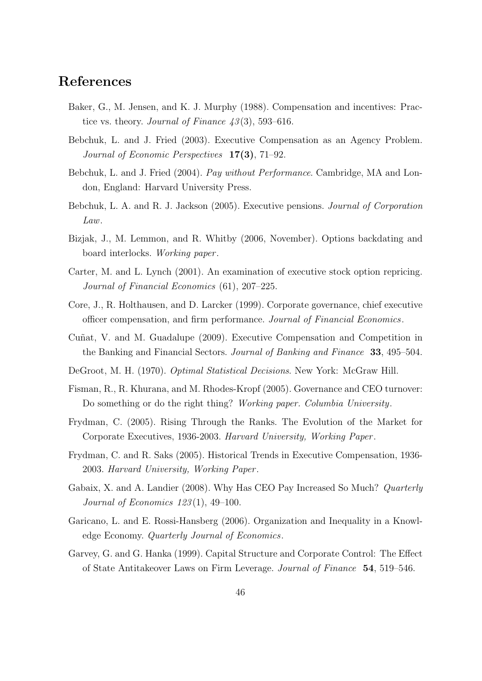# **References**

- Baker, G., M. Jensen, and K. J. Murphy (1988). Compensation and incentives: Practice vs. theory. *Journal of Finance 43* (3), 593–616.
- Bebchuk, L. and J. Fried (2003). Executive Compensation as an Agency Problem. *Journal of Economic Perspectives* **17(3)**, 71–92.
- Bebchuk, L. and J. Fried (2004). *Pay without Performance*. Cambridge, MA and London, England: Harvard University Press.
- Bebchuk, L. A. and R. J. Jackson (2005). Executive pensions. *Journal of Corporation Law*.
- Bizjak, J., M. Lemmon, and R. Whitby (2006, November). Options backdating and board interlocks. *Working paper* .
- Carter, M. and L. Lynch (2001). An examination of executive stock option repricing. *Journal of Financial Economics* (61), 207–225.
- Core, J., R. Holthausen, and D. Larcker (1999). Corporate governance, chief executive officer compensation, and firm performance. *Journal of Financial Economics*.
- Cuñat, V. and M. Guadalupe (2009). Executive Compensation and Competition in the Banking and Financial Sectors. *Journal of Banking and Finance* **33**, 495–504.
- DeGroot, M. H. (1970). *Optimal Statistical Decisions*. New York: McGraw Hill.
- Fisman, R., R. Khurana, and M. Rhodes-Kropf (2005). Governance and CEO turnover: Do something or do the right thing? *Working paper. Columbia University*.
- Frydman, C. (2005). Rising Through the Ranks. The Evolution of the Market for Corporate Executives, 1936-2003. *Harvard University, Working Paper* .
- Frydman, C. and R. Saks (2005). Historical Trends in Executive Compensation, 1936- 2003. *Harvard University, Working Paper* .
- Gabaix, X. and A. Landier (2008). Why Has CEO Pay Increased So Much? *Quarterly Journal of Economics 123* (1), 49–100.
- Garicano, L. and E. Rossi-Hansberg (2006). Organization and Inequality in a Knowledge Economy. *Quarterly Journal of Economics*.
- Garvey, G. and G. Hanka (1999). Capital Structure and Corporate Control: The Effect of State Antitakeover Laws on Firm Leverage. *Journal of Finance* **54**, 519–546.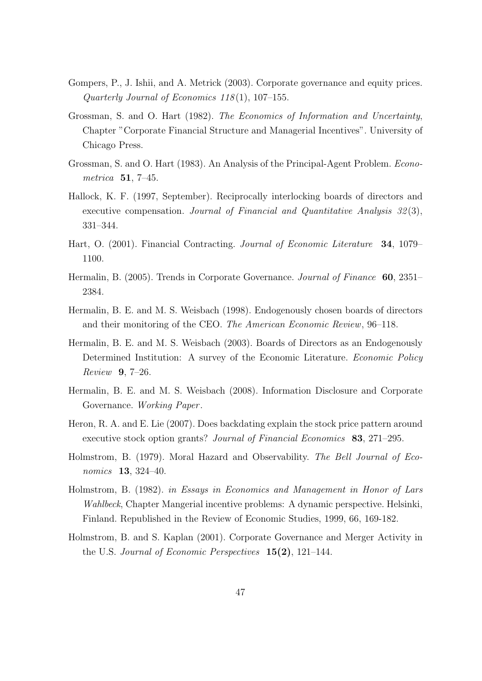- Gompers, P., J. Ishii, and A. Metrick (2003). Corporate governance and equity prices. *Quarterly Journal of Economics 118* (1), 107–155.
- Grossman, S. and O. Hart (1982). *The Economics of Information and Uncertainty*, Chapter "Corporate Financial Structure and Managerial Incentives". University of Chicago Press.
- Grossman, S. and O. Hart (1983). An Analysis of the Principal-Agent Problem. *Econometrica* **51**, 7–45.
- Hallock, K. F. (1997, September). Reciprocally interlocking boards of directors and executive compensation. *Journal of Financial and Quantitative Analysis 32* (3), 331–344.
- Hart, O. (2001). Financial Contracting. *Journal of Economic Literature* **34**, 1079– 1100.
- Hermalin, B. (2005). Trends in Corporate Governance. *Journal of Finance* **60**, 2351– 2384.
- Hermalin, B. E. and M. S. Weisbach (1998). Endogenously chosen boards of directors and their monitoring of the CEO. *The American Economic Review*, 96–118.
- Hermalin, B. E. and M. S. Weisbach (2003). Boards of Directors as an Endogenously Determined Institution: A survey of the Economic Literature. *Economic Policy Review* **9**, 7–26.
- Hermalin, B. E. and M. S. Weisbach (2008). Information Disclosure and Corporate Governance. *Working Paper* .
- Heron, R. A. and E. Lie (2007). Does backdating explain the stock price pattern around executive stock option grants? *Journal of Financial Economics* **83**, 271–295.
- Holmstrom, B. (1979). Moral Hazard and Observability. *The Bell Journal of Economics* **13**, 324–40.
- Holmstrom, B. (1982). *in Essays in Economics and Management in Honor of Lars Wahlbeck*, Chapter Mangerial incentive problems: A dynamic perspective. Helsinki, Finland. Republished in the Review of Economic Studies, 1999, 66, 169-182.
- Holmstrom, B. and S. Kaplan (2001). Corporate Governance and Merger Activity in the U.S. *Journal of Economic Perspectives* **15(2)**, 121–144.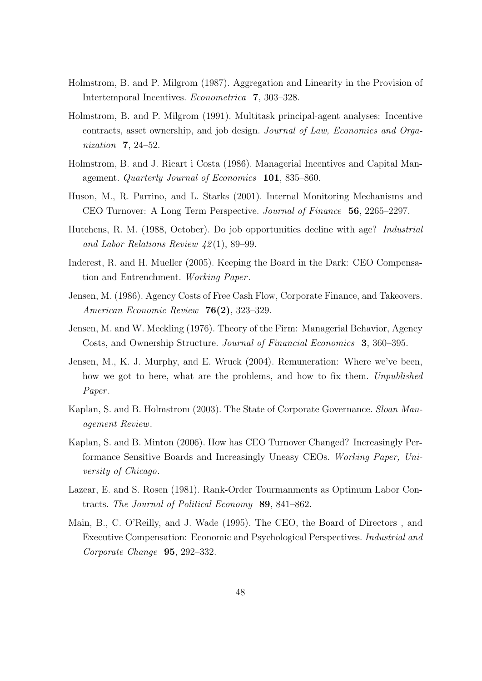- Holmstrom, B. and P. Milgrom (1987). Aggregation and Linearity in the Provision of Intertemporal Incentives. *Econometrica* **7**, 303–328.
- Holmstrom, B. and P. Milgrom (1991). Multitask principal-agent analyses: Incentive contracts, asset ownership, and job design. *Journal of Law, Economics and Organization* **7**, 24–52.
- Holmstrom, B. and J. Ricart i Costa (1986). Managerial Incentives and Capital Management. *Quarterly Journal of Economics* **101**, 835–860.
- Huson, M., R. Parrino, and L. Starks (2001). Internal Monitoring Mechanisms and CEO Turnover: A Long Term Perspective. *Journal of Finance* **56**, 2265–2297.
- Hutchens, R. M. (1988, October). Do job opportunities decline with age? *Industrial and Labor Relations Review 42* (1), 89–99.
- Inderest, R. and H. Mueller (2005). Keeping the Board in the Dark: CEO Compensation and Entrenchment. *Working Paper* .
- Jensen, M. (1986). Agency Costs of Free Cash Flow, Corporate Finance, and Takeovers. *American Economic Review* **76(2)**, 323–329.
- Jensen, M. and W. Meckling (1976). Theory of the Firm: Managerial Behavior, Agency Costs, and Ownership Structure. *Journal of Financial Economics* **3**, 360–395.
- Jensen, M., K. J. Murphy, and E. Wruck (2004). Remuneration: Where we've been, how we got to here, what are the problems, and how to fix them. *Unpublished Paper* .
- Kaplan, S. and B. Holmstrom (2003). The State of Corporate Governance. *Sloan Management Review*.
- Kaplan, S. and B. Minton (2006). How has CEO Turnover Changed? Increasingly Performance Sensitive Boards and Increasingly Uneasy CEOs. *Working Paper, University of Chicago*.
- Lazear, E. and S. Rosen (1981). Rank-Order Tourmanments as Optimum Labor Contracts. *The Journal of Political Economy* **89**, 841–862.
- Main, B., C. O'Reilly, and J. Wade (1995). The CEO, the Board of Directors , and Executive Compensation: Economic and Psychological Perspectives. *Industrial and Corporate Change* **95**, 292–332.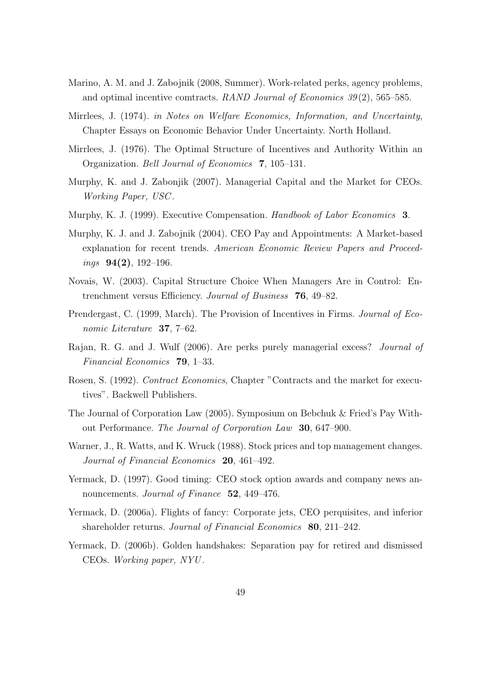- Marino, A. M. and J. Zabojnik (2008, Summer). Work-related perks, agency problems, and optimal incentive comtracts. *RAND Journal of Economics 39* (2), 565–585.
- Mirrlees, J. (1974). *in Notes on Welfare Economics, Information, and Uncertainty*, Chapter Essays on Economic Behavior Under Uncertainty. North Holland.
- Mirrlees, J. (1976). The Optimal Structure of Incentives and Authority Within an Organization. *Bell Journal of Economics* **7**, 105–131.
- Murphy, K. and J. Zabonjik (2007). Managerial Capital and the Market for CEOs. *Working Paper, USC* .
- Murphy, K. J. (1999). Executive Compensation. *Handbook of Labor Economics* **3**.
- Murphy, K. J. and J. Zabojnik (2004). CEO Pay and Appointments: A Market-based explanation for recent trends. *American Economic Review Papers and Proceedings* **94(2)**, 192–196.
- Novais, W. (2003). Capital Structure Choice When Managers Are in Control: Entrenchment versus Efficiency. *Journal of Business* **76**, 49–82.
- Prendergast, C. (1999, March). The Provision of Incentives in Firms. *Journal of Economic Literature* **37**, 7–62.
- Rajan, R. G. and J. Wulf (2006). Are perks purely managerial excess? *Journal of Financial Economics* **79**, 1–33.
- Rosen, S. (1992). *Contract Economics*, Chapter "Contracts and the market for executives". Backwell Publishers.
- The Journal of Corporation Law (2005). Symposium on Bebchuk & Fried's Pay Without Performance. *The Journal of Corporation Law* **30**, 647–900.
- Warner, J., R. Watts, and K. Wruck (1988). Stock prices and top management changes. *Journal of Financial Economics* **20**, 461–492.
- Yermack, D. (1997). Good timing: CEO stock option awards and company news announcements. *Journal of Finance* **52**, 449–476.
- Yermack, D. (2006a). Flights of fancy: Corporate jets, CEO perquisites, and inferior shareholder returns. *Journal of Financial Economics* **80**, 211–242.
- Yermack, D. (2006b). Golden handshakes: Separation pay for retired and dismissed CEOs. *Working paper, NYU* .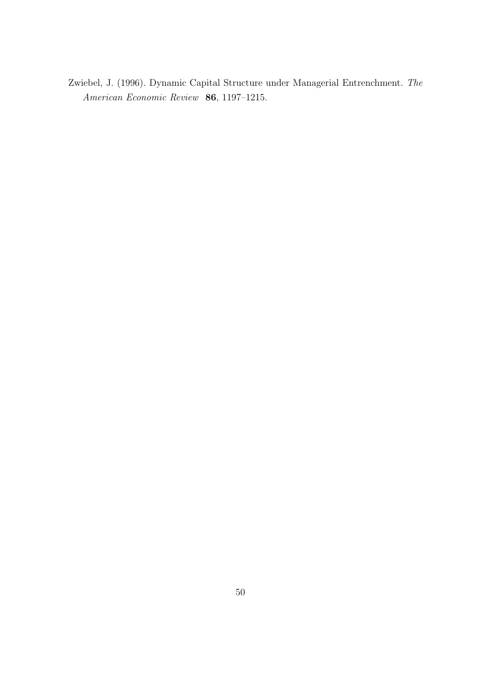Zwiebel, J. (1996). Dynamic Capital Structure under Managerial Entrenchment. *The American Economic Review* **86**, 1197–1215.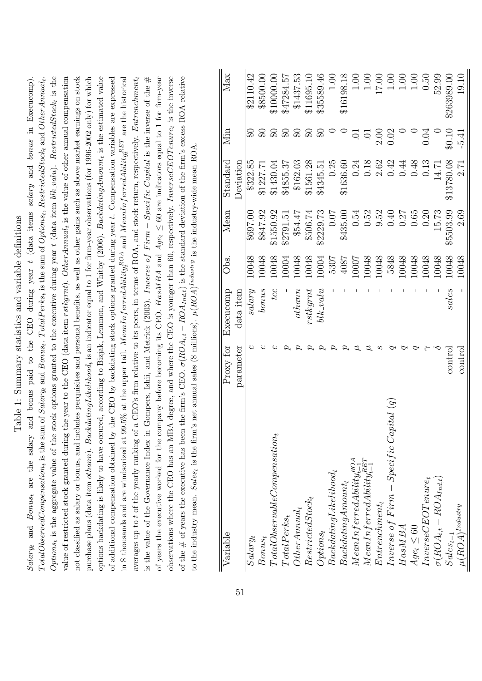| Options, is the aggregate value of the stock options granted to the executive during year $t$ (data item blk_valu). RestrictedStock, is the<br>of years the executive worked for the company before becoming its CEO. $HasMBA$ and $Age_t \leq 60$ are indicators equal to 1 for firm-year<br>Salary, and Bonus, are the salary and bonus paid to the CEO during year $t$ (data items salary and bonus in Execucomp).<br>$TotalObserved Compensation_t$ is the sum of Salaryt and Bonust. $TotalPerks_t$ is the sum of Optionst, RestrictedStockt and Other Annualt.<br>value of restricted stock granted during the year to the CEO (data item $r$ stkgrnt). Other Annual <sub>t</sub> is the value of other annual compensation<br>not classified as salary or bonus, and includes perquisites and personal benefits, as well as other gains such as above market earnings on stock<br>purchase plans (data item othann). Backdating Likelihood <sub>t</sub> is an indicator equal to 1 for firm-year observations (for 1996-2002 only) for which<br>options backdating is likely to have occured, according to Bizjak, Lemmon, and Whitby (2006). BackdatingAmount <sub>t</sub> is the estimated value<br>in \$ thousands and are windsorized at 99.5% at the upper tail. MeanInferredAbility <sub>i</sub> $^{ROA}$ and MeanInferredAbility <sub>i</sub> $^{REF}$ are the historical<br>averages up to t of the yearly ranking of a CEO's firm relative to its peers, in terms of ROA, and stock return, respectively. Entrenchment <sub>t</sub><br>observations where the CEO has an MBA degree, and where the CEO is younger than 60, respectively. InverseCEOTenure, is the inverse<br>of the # of years the executive has been the firm's CEO. $\sigma(ROA_{i,t} - ROA_{Ind,t})$ is the standard deviation of the firm's excess ROA relative<br>of additional compensation obtained by the CEO by backdating stock options granted during year t. Compensation variables are expressed<br>is the value of the Governance Index in Gompers, Ishii, and Metrick (2003). Inverse of Firm – Specific Capital is the inverse of the $#$<br>to the industry mean. Sales <sub>t</sub> is the firm's net annual sales (\$ millions). $\mu(ROA)^{Industry}$ is the industry-wide mean ROA |                    | Table 1: Summary statistics and variable definitions |       |           |                  |                |             |
|-----------------------------------------------------------------------------------------------------------------------------------------------------------------------------------------------------------------------------------------------------------------------------------------------------------------------------------------------------------------------------------------------------------------------------------------------------------------------------------------------------------------------------------------------------------------------------------------------------------------------------------------------------------------------------------------------------------------------------------------------------------------------------------------------------------------------------------------------------------------------------------------------------------------------------------------------------------------------------------------------------------------------------------------------------------------------------------------------------------------------------------------------------------------------------------------------------------------------------------------------------------------------------------------------------------------------------------------------------------------------------------------------------------------------------------------------------------------------------------------------------------------------------------------------------------------------------------------------------------------------------------------------------------------------------------------------------------------------------------------------------------------------------------------------------------------------------------------------------------------------------------------------------------------------------------------------------------------------------------------------------------------------------------------------------------------------------------------------------------------------------------------------------------------------------------------------------------------------------------------------------------------------------------------|--------------------|------------------------------------------------------|-------|-----------|------------------|----------------|-------------|
| Variable                                                                                                                                                                                                                                                                                                                                                                                                                                                                                                                                                                                                                                                                                                                                                                                                                                                                                                                                                                                                                                                                                                                                                                                                                                                                                                                                                                                                                                                                                                                                                                                                                                                                                                                                                                                                                                                                                                                                                                                                                                                                                                                                                                                                                                                                                | Proxy for          | Execucomp                                            | Obs.  | Mean      | ${\rm Standard}$ | Мin            | Max         |
|                                                                                                                                                                                                                                                                                                                                                                                                                                                                                                                                                                                                                                                                                                                                                                                                                                                                                                                                                                                                                                                                                                                                                                                                                                                                                                                                                                                                                                                                                                                                                                                                                                                                                                                                                                                                                                                                                                                                                                                                                                                                                                                                                                                                                                                                                         | parameter          | data item                                            |       |           | Deviation        |                |             |
| $Salary_t$                                                                                                                                                                                                                                                                                                                                                                                                                                                                                                                                                                                                                                                                                                                                                                                                                                                                                                                                                                                                                                                                                                                                                                                                                                                                                                                                                                                                                                                                                                                                                                                                                                                                                                                                                                                                                                                                                                                                                                                                                                                                                                                                                                                                                                                                              | C                  | $_{glass}$                                           | 10048 | 00.7698   | \$322.85         | ଛ              | \$2110.42   |
| $Bomus_t$                                                                                                                                                                                                                                                                                                                                                                                                                                                                                                                                                                                                                                                                                                                                                                                                                                                                                                                                                                                                                                                                                                                                                                                                                                                                                                                                                                                                                                                                                                                                                                                                                                                                                                                                                                                                                                                                                                                                                                                                                                                                                                                                                                                                                                                                               | ◡                  | bomus                                                | 10048 | \$847.92  | \$1227.71        | $\Omega$       | \$8500.00   |
| $\label{thm:total} Total Observed be Coulomb and its atom.$                                                                                                                                                                                                                                                                                                                                                                                                                                                                                                                                                                                                                                                                                                                                                                                                                                                                                                                                                                                                                                                                                                                                                                                                                                                                                                                                                                                                                                                                                                                                                                                                                                                                                                                                                                                                                                                                                                                                                                                                                                                                                                                                                                                                                             | $\mathcal{C}$      | tcc                                                  | 10048 | \$1550.92 | \$1430.04        | ⊕              | \$10000.00  |
| $TotalPerks_t$                                                                                                                                                                                                                                                                                                                                                                                                                                                                                                                                                                                                                                                                                                                                                                                                                                                                                                                                                                                                                                                                                                                                                                                                                                                                                                                                                                                                                                                                                                                                                                                                                                                                                                                                                                                                                                                                                                                                                                                                                                                                                                                                                                                                                                                                          | $\sigma$           |                                                      | 10004 | \$2791.51 | \$4855.37        | ₷              | \$47284.57  |
| $Other Annual_t$                                                                                                                                                                                                                                                                                                                                                                                                                                                                                                                                                                                                                                                                                                                                                                                                                                                                                                                                                                                                                                                                                                                                                                                                                                                                                                                                                                                                                                                                                                                                                                                                                                                                                                                                                                                                                                                                                                                                                                                                                                                                                                                                                                                                                                                                        | $\omega$           | othan                                                | 10048 | \$54.47   | \$162.03         | ₷              | \$1437.53   |
| $RestrictedStock_t$                                                                                                                                                                                                                                                                                                                                                                                                                                                                                                                                                                                                                                                                                                                                                                                                                                                                                                                                                                                                                                                                                                                                                                                                                                                                                                                                                                                                                                                                                                                                                                                                                                                                                                                                                                                                                                                                                                                                                                                                                                                                                                                                                                                                                                                                     | $\sigma$           | rstkgrnt                                             | 10048 | \$506.74  | \$1561.28        | $\mathfrak{S}$ | \$11695.10  |
| $Options_t$                                                                                                                                                                                                                                                                                                                                                                                                                                                                                                                                                                                                                                                                                                                                                                                                                                                                                                                                                                                                                                                                                                                                                                                                                                                                                                                                                                                                                                                                                                                                                                                                                                                                                                                                                                                                                                                                                                                                                                                                                                                                                                                                                                                                                                                                             | $\sigma$           | $blk\_value$                                         | 10004 | \$2229.73 | \$4345.51        | ⊕              | \$35589.46  |
| $Back dataing Likelihood_t$                                                                                                                                                                                                                                                                                                                                                                                                                                                                                                                                                                                                                                                                                                                                                                                                                                                                                                                                                                                                                                                                                                                                                                                                                                                                                                                                                                                                                                                                                                                                                                                                                                                                                                                                                                                                                                                                                                                                                                                                                                                                                                                                                                                                                                                             | $\sigma$           |                                                      | 5307  | 0.07      | 0.25             | $\circ$        | $1.00$      |
| $\label{eq:backd} Backdating Amount_t$                                                                                                                                                                                                                                                                                                                                                                                                                                                                                                                                                                                                                                                                                                                                                                                                                                                                                                                                                                                                                                                                                                                                                                                                                                                                                                                                                                                                                                                                                                                                                                                                                                                                                                                                                                                                                                                                                                                                                                                                                                                                                                                                                                                                                                                  | $\sigma$           |                                                      | 4087  | \$435.00  | \$1636.60        |                | \$16198.18  |
|                                                                                                                                                                                                                                                                                                                                                                                                                                                                                                                                                                                                                                                                                                                                                                                                                                                                                                                                                                                                                                                                                                                                                                                                                                                                                                                                                                                                                                                                                                                                                                                                                                                                                                                                                                                                                                                                                                                                                                                                                                                                                                                                                                                                                                                                                         | $\boldsymbol{\mu}$ |                                                      | 10007 | 0.54      | 0.24             | Ş              | 1.00        |
| $MeanInferred Ability^{\tiny{RO}}_{t-1} \ MeanInferred Ability^{\tiny{LO}}_{t-1} \$                                                                                                                                                                                                                                                                                                                                                                                                                                                                                                                                                                                                                                                                                                                                                                                                                                                                                                                                                                                                                                                                                                                                                                                                                                                                                                                                                                                                                                                                                                                                                                                                                                                                                                                                                                                                                                                                                                                                                                                                                                                                                                                                                                                                     | ユ                  |                                                      | 10048 | 0.52      | 0.18             | Б.             | $1.00$      |
| $Entrenchment_t$                                                                                                                                                                                                                                                                                                                                                                                                                                                                                                                                                                                                                                                                                                                                                                                                                                                                                                                                                                                                                                                                                                                                                                                                                                                                                                                                                                                                                                                                                                                                                                                                                                                                                                                                                                                                                                                                                                                                                                                                                                                                                                                                                                                                                                                                        | S                  |                                                      | 10048 | 9.52      | 2.62             | 2.00           | $17.00\,$   |
| $Inverse of Firm-Specific Capital (q)$                                                                                                                                                                                                                                                                                                                                                                                                                                                                                                                                                                                                                                                                                                                                                                                                                                                                                                                                                                                                                                                                                                                                                                                                                                                                                                                                                                                                                                                                                                                                                                                                                                                                                                                                                                                                                                                                                                                                                                                                                                                                                                                                                                                                                                                  | P                  |                                                      | 5848  | $0.40\,$  | 0.42             | 0.02           | 1.00        |
| $H\alpha sMBA$                                                                                                                                                                                                                                                                                                                                                                                                                                                                                                                                                                                                                                                                                                                                                                                                                                                                                                                                                                                                                                                                                                                                                                                                                                                                                                                                                                                                                                                                                                                                                                                                                                                                                                                                                                                                                                                                                                                                                                                                                                                                                                                                                                                                                                                                          | P                  |                                                      | 10048 | 0.27      | 0.44             | $\Rightarrow$  | 1.00        |
| $Age_t \leq 60$                                                                                                                                                                                                                                                                                                                                                                                                                                                                                                                                                                                                                                                                                                                                                                                                                                                                                                                                                                                                                                                                                                                                                                                                                                                                                                                                                                                                                                                                                                                                                                                                                                                                                                                                                                                                                                                                                                                                                                                                                                                                                                                                                                                                                                                                         | P                  |                                                      | 10048 | 0.65      | 0.48             | $\circ$        | 1.00        |
| $\label{eq:1} Inverse CEOTermer_t$                                                                                                                                                                                                                                                                                                                                                                                                                                                                                                                                                                                                                                                                                                                                                                                                                                                                                                                                                                                                                                                                                                                                                                                                                                                                                                                                                                                                                                                                                                                                                                                                                                                                                                                                                                                                                                                                                                                                                                                                                                                                                                                                                                                                                                                      | ≧                  |                                                      | 10048 | 0.20      | 0.13             | 0.04           | 0.50        |
| $\sigma(ROA_{i,t} - ROA_{Ind,t})$                                                                                                                                                                                                                                                                                                                                                                                                                                                                                                                                                                                                                                                                                                                                                                                                                                                                                                                                                                                                                                                                                                                                                                                                                                                                                                                                                                                                                                                                                                                                                                                                                                                                                                                                                                                                                                                                                                                                                                                                                                                                                                                                                                                                                                                       | $\sim$             |                                                      | 10048 | 15.73     | $14.71$          |                | 52.99       |
| $Sales_{t-1}$                                                                                                                                                                                                                                                                                                                                                                                                                                                                                                                                                                                                                                                                                                                                                                                                                                                                                                                                                                                                                                                                                                                                                                                                                                                                                                                                                                                                                                                                                                                                                                                                                                                                                                                                                                                                                                                                                                                                                                                                                                                                                                                                                                                                                                                                           | control            | sales                                                | 10048 | \$5503.99 | \$13780.08       | \$0.10         | \$263989.00 |

*σ*(*ROAi,t − ROAInd,t*) *δ* - 10048 15.73 14.71 0 52.99 *Salest−*1 control *sales* 10048 \$5503.99 \$13780.08 \$0.10 \$263989.00 *µ*(*ROA*)*Industry* control - 10048 2.69 2.71 -5.41 19.10

 $\frac{Sales_{t-1}}{\mu (ROA)^{Industry}}$ 

> $\mbox{control}$ control

19.10

 $-5.41$ 

2.69

10048

 $\overline{1}$ 

\$13780.08 2.71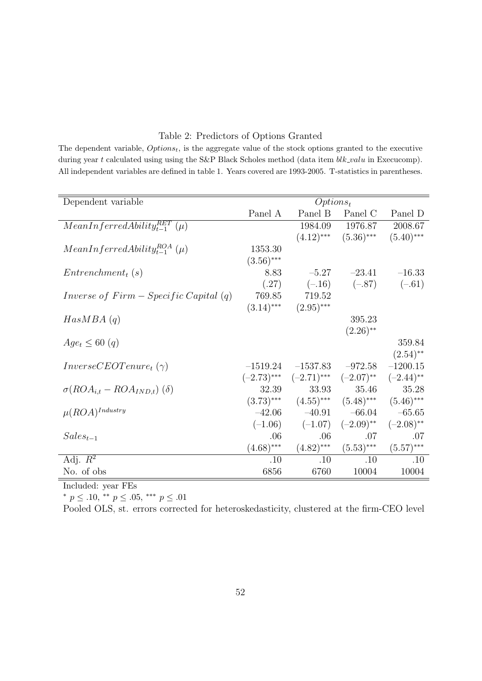#### Table 2: Predictors of Options Granted

The dependent variable, *Optionst*, is the aggregate value of the stock options granted to the executive during year *t* calculated using using the S&P Black Scholes method (data item *blk\_valu* in Execucomp). All independent variables are defined in table 1. Years covered are 1993-2005. T-statistics in parentheses.

| Dependent variable                      |              | Options <sub>t</sub>                     |                           |              |
|-----------------------------------------|--------------|------------------------------------------|---------------------------|--------------|
|                                         | Panel A      | Panel B                                  | Panel C                   | Panel D      |
| $MeanInferredAbility_{t-1}^{RET}$ (µ)   |              | 1984.09                                  | 1976.87                   | 2008.67      |
|                                         |              |                                          | $(4.12)$ *** $(5.36)$ *** | $(5.40)$ *** |
| $MeanInferredAibility_{t-1}^{ROA}(\mu)$ | 1353.30      |                                          |                           |              |
|                                         | $(3.56)$ *** |                                          |                           |              |
| $Entrenchment_t(s)$                     | 8.83         | $-5.27$                                  | $-23.41$                  | $-16.33$     |
|                                         | (.27)        | $(-.16)$                                 | $(-.87)$                  | $(-.61)$     |
| Inverse of $Firm - Specific Capital(q)$ | 769.85       | 719.52                                   |                           |              |
|                                         | $(3.14)$ *** | $(2.95)$ ***                             |                           |              |
| HasMBA(q)                               |              |                                          | 395.23                    |              |
|                                         |              |                                          | $(2.26)$ <sup>**</sup>    |              |
| $Age_t \leq 60$ (q)                     |              |                                          |                           | 359.84       |
|                                         |              |                                          |                           | $(2.54)$ **  |
| $InverseCEOTenure_t(\gamma)$            | $-1519.24$   | $-1537.83$                               | $-972.58$                 | $-1200.15$   |
|                                         |              | $(-2.73)$ *** $(-2.71)$ *** $(-2.07)$ ** |                           | $(-2.44)$ ** |
| $\sigma(ROA_{i,t} - ROA_{IND,t})$ (δ)   | 32.39        | 33.93                                    | 35.46                     | 35.28        |
|                                         | $(3.73)$ *** | $(4.55)$ ***                             | $(5.48)$ ***              | $(5.46)$ *** |
| $\mu (ROA)^{Industry}$                  | $-42.06$     | $-40.91$                                 | $-66.04$                  | $-65.65$     |
|                                         | $(-1.06)$    | $(-1.07)$                                | $(-2.09)$ **              | $(-2.08)$ ** |
| $Sales_{t-1}$                           | .06          | .06                                      | .07                       | .07          |
|                                         | $(4.68)$ *** | $(4.82)$ ***                             | $(5.53)$ ***              | $(5.57)$ *** |
| Adj. $R^2$                              | .10          | .10                                      | .10                       | .10          |
| No. of obs                              | 6856         | 6760                                     | 10004                     | 10004        |

Included: year FEs

*∗ p ≤ .*10, *∗∗ p ≤ .*05, *∗∗∗ p ≤ .*01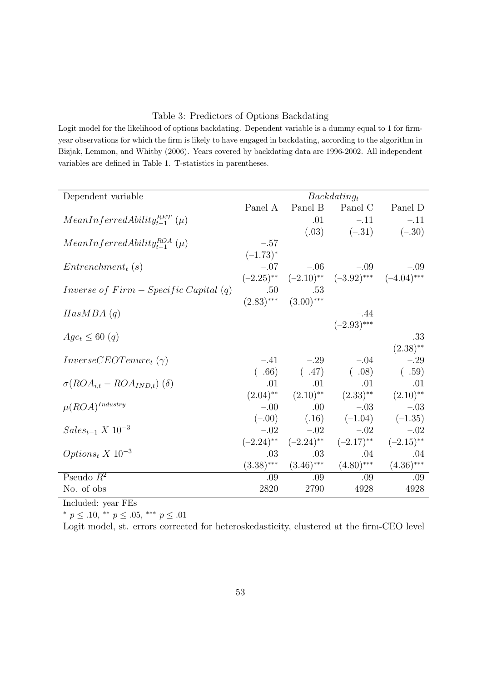#### Table 3: Predictors of Options Backdating

Logit model for the likelihood of options backdating. Dependent variable is a dummy equal to 1 for firmyear observations for which the firm is likely to have engaged in backdating, according to the algorithm in Bizjak, Lemmon, and Whitby (2006). Years covered by backdating data are 1996-2002. All independent variables are defined in Table 1. T-statistics in parentheses.

| Dependent variable                        |              |                           | $Back dating_t$                                                                             |                         |
|-------------------------------------------|--------------|---------------------------|---------------------------------------------------------------------------------------------|-------------------------|
|                                           | Panel A      | Panel B                   | Panel C                                                                                     | Panel D                 |
| $MeanInferred Abilityt-1RET(\mu)$         |              | .01                       | $-.11$                                                                                      | $-.11$                  |
|                                           |              |                           | $(.03)$ $(-.31)$                                                                            | $(-.30)$                |
| $MeanInferredAbility_{t-1}^{ROA}(\mu)$    | $-.57$       |                           |                                                                                             |                         |
|                                           | $(-1.73)^*$  |                           |                                                                                             |                         |
| $Entrenchment_t(s)$                       |              | $-.07$ $-.06$             | $-.09$                                                                                      | $-.09$                  |
|                                           |              |                           | $(-2.25)$ ** $(-2.10)$ ** $(-3.92)$ *** $(-4.04)$ ***                                       |                         |
| Inverse of $Firm - Specific Capital(q)$   | .50          | .53                       |                                                                                             |                         |
|                                           |              | $(2.83)$ *** $(3.00)$ *** |                                                                                             |                         |
| HasMBA(q)                                 |              |                           | $-.44$                                                                                      |                         |
|                                           |              |                           | $(-2.93)$ ***                                                                               |                         |
| $Age_t \leq 60$ (q)                       |              |                           |                                                                                             | .33                     |
|                                           |              |                           |                                                                                             | $(2.38)$ **             |
| $InverseCEOTenure_t(\gamma)$              |              | $-.41$ $-.29$             | $-.04$                                                                                      | $-.29$                  |
|                                           |              |                           | $(-.66)$ $(-.47)$ $(-.08)$ $(-.59)$                                                         |                         |
| $\sigma(ROA_{i,t} - ROA_{IND,t})$ (δ)     | .01          | .01                       | .01                                                                                         | .01                     |
|                                           |              |                           | $(2.04)$ <sup>**</sup> $(2.10)$ <sup>**</sup> $(2.33)$ <sup>**</sup> $(2.10)$ <sup>**</sup> |                         |
| $\mu (ROA)^{Industry}$                    | $-.00$       | .00.                      | $-.03$                                                                                      | $-.03$                  |
|                                           | $(-.00)$     |                           | $(.16)$ $(-1.04)$ $(-1.35)$                                                                 |                         |
| $Sales_{t-1} \ X \ 10^{-3}$               | $-.02$       | $-.02$                    | $-.02$                                                                                      | $-.02$                  |
|                                           |              | $(-2.24)$ ** $(-2.24)$ ** | $(-2.17)$ **                                                                                | $(-2.15)$ <sup>**</sup> |
| Options <sub>t</sub> $X$ 10 <sup>-3</sup> | .03          | .03                       | .04                                                                                         | .04                     |
|                                           | $(3.38)$ *** | $(3.46)$ ***              | $(4.80)$ ***                                                                                | $(4.36)$ ***            |
| Pseudo $R^2$                              | .09          | $.09\,$                   | .09                                                                                         | .09                     |
| No. of obs                                | 2820         | 2790                      | 4928                                                                                        | 4928                    |

Included: year FEs

*∗ p ≤ .*10, *∗∗ p ≤ .*05, *∗∗∗ p ≤ .*01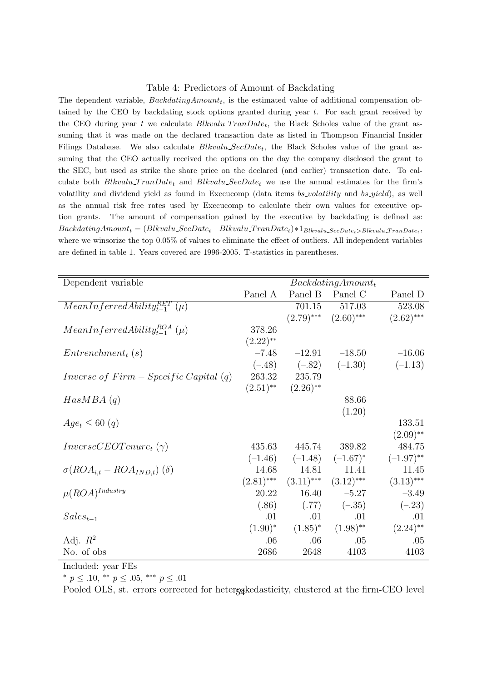#### Table 4: Predictors of Amount of Backdating

The dependent variable, *BackdatingAmountt*, is the estimated value of additional compensation obtained by the CEO by backdating stock options granted during year *t*. For each grant received by the CEO during year *t* we calculate *Blkvalu\_TranDate<sub>t</sub>*, the Black Scholes value of the grant assuming that it was made on the declared transaction date as listed in Thompson Financial Insider Filings Database. We also calculate *Blkvalu SecDatet*, the Black Scholes value of the grant assuming that the CEO actually received the options on the day the company disclosed the grant to the SEC, but used as strike the share price on the declared (and earlier) transaction date. To calculate both  $Blkvalu$  *TranDate<sub>t</sub>* and  $Blkvalu$   $SecDate_t$  we use the annual estimates for the firm's volatility and dividend yield as found in Execucomp (data items *bs volatility* and *bs yield*), as well as the annual risk free rates used by Execucomp to calculate their own values for executive option grants. The amount of compensation gained by the executive by backdating is defined as:  $Back datingAmount_t = (Blkvalu\_SecDate_t - Blkvalu\_TranDate_t)*1_{Blkvalu\_SecDate_t > Blkvalu\_TranDate_t}$ where we winsorize the top 0.05% of values to eliminate the effect of outliers. All independent variables are defined in table 1. Years covered are 1996-2005. T-statistics in parentheses.

| Dependent variable                      |                        |                        | $Back datingAmount_t$     |              |
|-----------------------------------------|------------------------|------------------------|---------------------------|--------------|
|                                         | Panel A                |                        | Panel B Panel C           | Panel D      |
| $MeanInferredAbility_{t-1}^{RET}(\mu)$  |                        | 701.15                 | 517.03                    | 523.08       |
|                                         |                        |                        | $(2.79)$ *** $(2.60)$ *** | $(2.62)$ *** |
| $MeanInferredAibility_{t-1}^{ROA}(\mu)$ | 378.26                 |                        |                           |              |
|                                         | $(2.22)$ <sup>**</sup> |                        |                           |              |
| $Entrenchment_t(s)$                     | $-7.48$                | $-12.91$               | $-18.50$                  | $-16.06$     |
|                                         |                        | $(-.48)$ $(-.82)$      | $(-1.30)$                 | $(-1.13)$    |
| Inverse of $Firm - Specific Capital(q)$ | 263.32                 | 235.79                 |                           |              |
|                                         | $(2.51)$ **            | $(2.26)$ <sup>**</sup> |                           |              |
| HasMBA(q)                               |                        |                        | 88.66                     |              |
|                                         |                        |                        | (1.20)                    |              |
| $Age_t \leq 60$ (q)                     |                        |                        |                           | 133.51       |
|                                         |                        |                        |                           | $(2.09)$ **  |
| $InverseCEOTenure_t(\gamma)$            | $-435.63$              | $-445.74$              | $-389.82$                 | $-484.75$    |
|                                         |                        | $(-1.46)$ $(-1.48)$    | $(-1.67)^{*}$             | $(-1.97)$ ** |
| $\sigma(ROA_{i,t} - ROA_{IND,t})$ (δ)   | 14.68                  | 14.81                  | 11.41                     | 11.45        |
|                                         | $(2.81)$ ***           | $(3.11)$ ***           | $(3.12)$ ***              | $(3.13)$ *** |
| $\mu (ROA)^{Industry}$                  | 20.22                  | 16.40                  | $-5.27$                   | $-3.49$      |
|                                         | (.86)                  | (.77)                  | $(-.35)$                  | $(-.23)$     |
| $Sales_{t-1}$                           | .01                    | .01                    | .01                       | .01          |
|                                         | $(1.90)^{*}$           | $(1.85)^*$             | $(1.98)$ **               | $(2.24)$ **  |
| Adj. $R^2$                              | .06                    | .06                    | .05                       | .05          |
| No. of obs                              | 2686                   | 2648                   | 4103                      | 4103         |

Included: year FEs

*∗ p ≤ .*10, *∗∗ p ≤ .*05, *∗∗∗ p ≤ .*01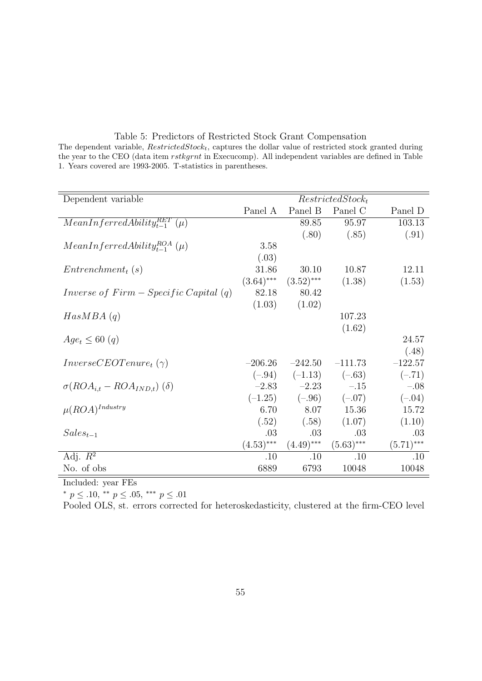Table 5: Predictors of Restricted Stock Grant Compensation The dependent variable, *RestrictedStockt*, captures the dollar value of restricted stock granted during the year to the CEO (data item *rstkgrnt* in Execucomp). All independent variables are defined in Table 1. Years covered are 1993-2005. T-statistics in parentheses.

| Dependent variable                      |              |                       | $RestrictedStock_t$ |              |
|-----------------------------------------|--------------|-----------------------|---------------------|--------------|
|                                         | Panel A      | Panel B               | Panel C             | Panel D      |
| $MeanInferredAbility_{t-1}^{RET}$ (µ)   |              | 89.85                 | 95.97               | 103.13       |
|                                         |              | (.80)                 | (.85)               | (.91)        |
| $MeanInferred Ability_{t-1}^{ROA}(\mu)$ | 3.58         |                       |                     |              |
|                                         | (.03)        |                       |                     |              |
| $Entrenchment_t(s)$                     | 31.86        | 30.10                 | 10.87               | 12.11        |
|                                         | $(3.64)$ *** | $(3.52)$ ***          | (1.38)              | (1.53)       |
| Inverse of $Firm - Specific Capital(q)$ | 82.18        | 80.42                 |                     |              |
|                                         | (1.03)       | (1.02)                |                     |              |
| HasMBA(q)                               |              |                       | 107.23              |              |
|                                         |              |                       | (1.62)              |              |
| $Age_t \leq 60$ (q)                     |              |                       |                     | 24.57        |
|                                         |              |                       |                     | (.48)        |
| $InverseCEOTenure_t(\gamma)$            | $-206.26$    | $-242.50$             | $-111.73$           | $-122.57$    |
|                                         | $(-.94)$     | $(-1.13)$ $(-.63)$    |                     | $(-.71)$     |
| $\sigma(ROA_{i,t} - ROA_{IND,t})$ (δ)   |              | $-2.83$ $-2.23$ $-15$ |                     | $-.08$       |
|                                         | $(-1.25)$    | $(-.96)$              | $(-.07)$            | $(-.04)$     |
| $\mu (ROA)^{Industry}$                  | 6.70         | 8.07                  | 15.36               | 15.72        |
|                                         | (.52)        | (.58)                 | (1.07)              | (1.10)       |
| $Sales_{t-1}$                           | .03          | .03                   | .03                 | .03          |
|                                         | $(4.53)$ *** | $(4.49)$ ***          | $(5.63)$ ***        | $(5.71)$ *** |
| Adj. $R^2$                              | .10          | .10                   | .10                 | .10          |
| No. of obs                              | 6889         | 6793                  | 10048               | 10048        |

Included: year FEs

*∗ p ≤ .*10, *∗∗ p ≤ .*05, *∗∗∗ p ≤ .*01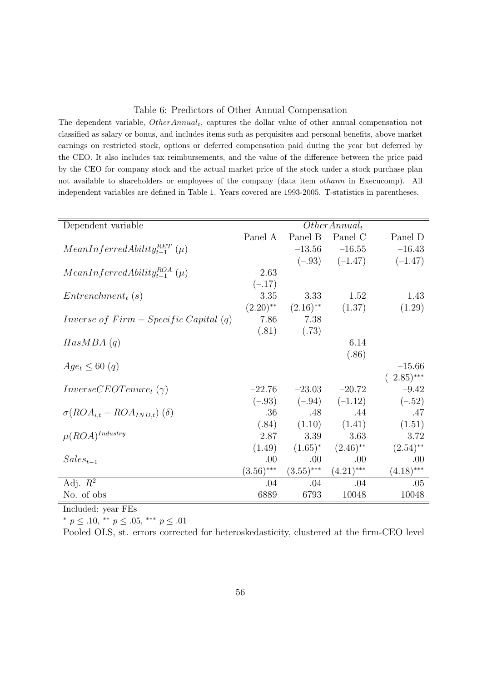#### Table 6: Predictors of Other Annual Compensation

The dependent variable, *OtherAnnualt*, captures the dollar value of other annual compensation not classified as salary or bonus, and includes items such as perquisites and personal benefits, above market earnings on restricted stock, options or deferred compensation paid during the year but deferred by the CEO. It also includes tax reimbursements, and the value of the difference between the price paid by the CEO for company stock and the actual market price of the stock under a stock purchase plan not available to shareholders or employees of the company (data item *othann* in Execucomp). All independent variables are defined in Table 1. Years covered are 1993-2005. T-statistics in parentheses.

| Dependent variable                      |                        |                        | $Other Annual_t$       |               |
|-----------------------------------------|------------------------|------------------------|------------------------|---------------|
|                                         | Panel A                | Panel B                | Panel C                | Panel D       |
| $MeanInferredAbility_{t-1}^{RET}$ (µ)   |                        | $-13.56$               | $-16.55$               | $-16.43$      |
|                                         |                        |                        | $(-.93)$ $(-1.47)$     | $(-1.47)$     |
| $MeanInferred Ability_{t-1}^{ROA}(\mu)$ | $-2.63$                |                        |                        |               |
|                                         | $(-.17)$               |                        |                        |               |
| $Entrenchment_t(s)$                     | 3.35                   | 3.33                   | 1.52                   | 1.43          |
|                                         | $(2.20)$ <sup>**</sup> | $(2.16)$ <sup>**</sup> | (1.37)                 | (1.29)        |
| Inverse of $Firm - Specific Capital(q)$ | 7.86                   | 7.38                   |                        |               |
|                                         | (.81)                  | (.73)                  |                        |               |
| HasMBA(q)                               |                        |                        | 6.14                   |               |
|                                         |                        |                        | (.86)                  |               |
| $Age_t \leq 60$ (q)                     |                        |                        |                        | $-15.66$      |
|                                         |                        |                        |                        | $(-2.85)$ *** |
| $InverseCEOTenure_t(\gamma)$            | $-22.76$               | $-23.03$               | $-20.72$               | $-9.42$       |
|                                         |                        | $(-.93)$ $(-.94)$      | $(-1.12)$              | $(-.52)$      |
| $\sigma(ROA_{i,t} - ROA_{IND,t})$ (δ)   | .36                    | .48                    | .44                    | .47           |
|                                         | (.84)                  | (1.10)                 | (1.41)                 | (1.51)        |
| $\mu (ROA)^{Industry}$                  | 2.87                   | 3.39                   | 3.63                   | 3.72          |
|                                         | (1.49)                 | $(1.65)^*$             | $(2.46)$ <sup>**</sup> | $(2.54)$ **   |
| $Sales_{t-1}$                           | .00                    | .00.                   | .00.                   | .00           |
|                                         | $(3.56)$ ***           | $(3.55)$ ***           | $(4.21)$ ***           | $(4.18)$ ***  |
| Adj. $R^2$                              | .04                    | .04                    | .04                    | .05           |
| No. of obs                              | 6889                   | 6793                   | 10048                  | 10048         |

Included: year FEs

*∗ p ≤ .*10, *∗∗ p ≤ .*05, *∗∗∗ p ≤ .*01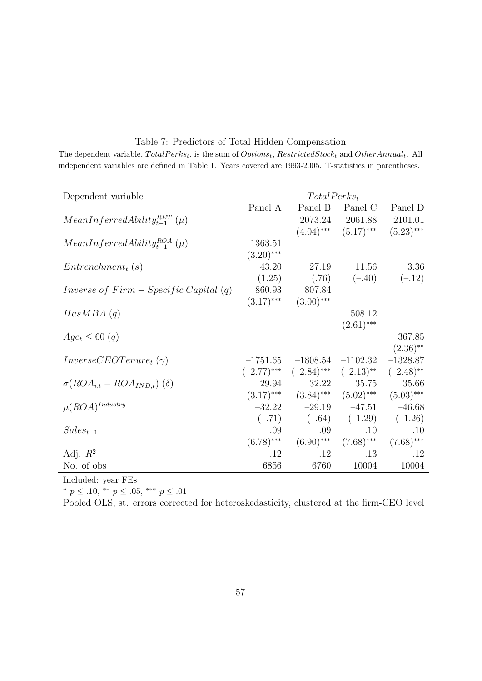Table 7: Predictors of Total Hidden Compensation The dependent variable, *T otalP erkst*, is the sum of *Optionst*, *RestrictedStock<sup>t</sup>* and *OtherAnnualt*. All independent variables are defined in Table 1. Years covered are 1993-2005. T-statistics in parentheses.

| Dependent variable                      |               | $TotalPerks_t$ |                            |                         |
|-----------------------------------------|---------------|----------------|----------------------------|-------------------------|
|                                         | Panel A       | Panel B        | Panel C                    | Panel D                 |
| $MeanInferredAbility_{t-1}^{RET}$ (µ)   |               | 2073.24        | 2061.88                    | 2101.01                 |
|                                         |               |                | $(4.04)$ *** $(5.17)$ ***  | $(5.23)$ ***            |
| $MeanInferred Ability_{t-1}^{ROA}(\mu)$ | 1363.51       |                |                            |                         |
|                                         | $(3.20)$ ***  |                |                            |                         |
| $Entrenchment_t(s)$                     | 43.20         | 27.19          | $-11.56$                   | $-3.36$                 |
|                                         | (1.25)        | (.76)          | $(-.40)$                   | $(-.12)$                |
| Inverse of $Firm - Specific Capital(q)$ | 860.93        | 807.84         |                            |                         |
|                                         | $(3.17)$ ***  | $(3.00)$ ***   |                            |                         |
| HasMBA(q)                               |               |                | 508.12                     |                         |
|                                         |               |                | $(2.61)$ ***               |                         |
| $Age_t \leq 60$ (q)                     |               |                |                            | 367.85                  |
|                                         |               |                |                            | $(2.36)$ **             |
| $InverseCEOTenure_t(\gamma)$            | $-1751.65$    | $-1808.54$     | $-1102.32$                 | $-1328.87$              |
|                                         | $(-2.77)$ *** |                | $(-2.84)$ *** $(-2.13)$ ** | $(-2.48)$ <sup>**</sup> |
| $\sigma(ROA_{i,t} - ROA_{IND,t})$ (δ)   | 29.94         | 32.22          | 35.75                      | 35.66                   |
|                                         | $(3.17)$ ***  | $(3.84)$ ***   | $(5.02)$ ***               | $(5.03)$ ***            |
| $\mu (ROA)^{Industry}$                  | $-32.22$      | $-29.19$       | $-47.51$                   | $-46.68$                |
|                                         | $(-.71)$      | $(-.64)$       | $(-1.29)$                  | $(-1.26)$               |
| $Sales_{t-1}$                           | .09           | .09            | .10                        | .10                     |
|                                         | $(6.78)$ ***  | $(6.90)$ ***   | $(7.68)$ ***               | $(7.68)$ ***            |
| Adj. $R^2$                              | .12           | .12            | .13                        | .12                     |
| No. of obs                              | 6856          | 6760           | 10004                      | 10004                   |

Included: year FEs

*∗ p ≤ .*10, *∗∗ p ≤ .*05, *∗∗∗ p ≤ .*01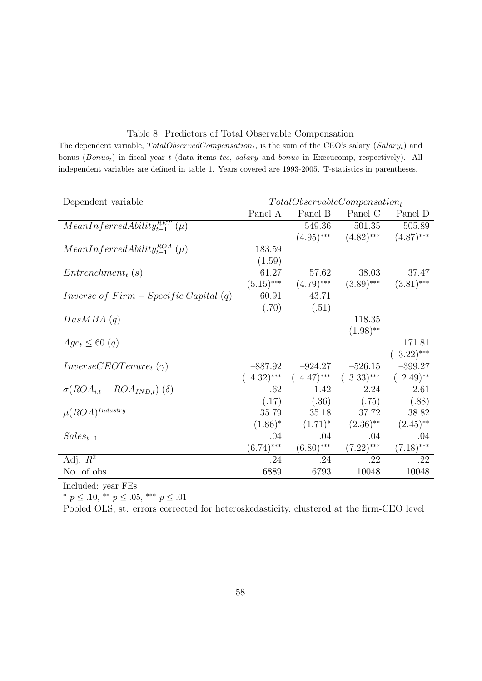#### Table 8: Predictors of Total Observable Compensation

The dependent variable, *T otalObservedCompensationt*, is the sum of the CEO's salary (*Salaryt*) and bonus (*Bonust*) in fiscal year *t* (data items *tcc*, *salary* and *bonus* in Execucomp, respectively). All independent variables are defined in table 1. Years covered are 1993-2005. T-statistics in parentheses.

| Dependent variable                      |               |               | $TotalObservableCompensation_t$ |                        |
|-----------------------------------------|---------------|---------------|---------------------------------|------------------------|
|                                         | Panel A       | Panel B       | Panel C                         | Panel D                |
| $MeanInferred Ability_{t-1}^{RET}$ (µ)  |               | 549.36        | 501.35                          | 505.89                 |
|                                         |               | $(4.95)$ ***  | $(4.82)$ ***                    | $(4.87)$ ***           |
| $MeanInferredAbility_{t-1}^{ROA}(\mu)$  | 183.59        |               |                                 |                        |
|                                         | (1.59)        |               |                                 |                        |
| $Entrenchment_t(s)$                     | 61.27         | 57.62         | 38.03                           | 37.47                  |
|                                         | $(5.15)$ ***  | $(4.79)$ ***  | $(3.89)$ ***                    | $(3.81)$ ***           |
| Inverse of $Firm - Specific Capital(q)$ | 60.91         | 43.71         |                                 |                        |
|                                         | (.70)         | (.51)         |                                 |                        |
| HasMBA(q)                               |               |               | 118.35                          |                        |
|                                         |               |               | $(1.98)$ **                     |                        |
| $Age_t \leq 60$ (q)                     |               |               |                                 | $-171.81$              |
|                                         |               |               |                                 | $(-3.22)$ ***          |
| $InverseCEOTenure_t(\gamma)$            | $-887.92$     | $-924.27$     | $-526.15$                       | $-399.27$              |
|                                         | $(-4.32)$ *** | $(-4.47)$ *** | $(-3.33)$ ***                   | $(-2.49)$ **           |
| $\sigma(ROA_{i,t} - ROA_{IND,t})$ (δ)   | .62           | 1.42          | 2.24                            | 2.61                   |
|                                         | (.17)         | (.36)         | (.75)                           | (.88)                  |
| $\mu (ROA)^{Industry}$                  | 35.79         | 35.18         | 37.72                           | 38.82                  |
|                                         | $(1.86)^*$    | $(1.71)^*$    | $(2.36)$ <sup>**</sup>          | $(2.45)$ <sup>**</sup> |
| $Sales_{t-1}$                           | .04           | .04           | .04                             | .04                    |
|                                         | $(6.74)$ ***  | $(6.80)$ ***  | $(7.22)$ ***                    | $(7.18)$ ***           |
| Adj. $R^2$                              | .24           | .24           | .22                             | .22                    |
| No. of obs                              | 6889          | 6793          | 10048                           | 10048                  |

Included: year FEs

*∗ p ≤ .*10, *∗∗ p ≤ .*05, *∗∗∗ p ≤ .*01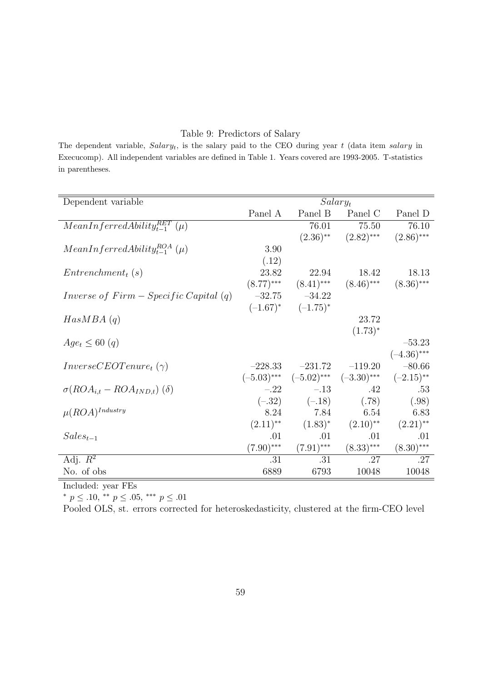#### Table 9: Predictors of Salary

The dependent variable, *Salaryt*, is the salary paid to the CEO during year *t* (data item *salary* in Execucomp). All independent variables are defined in Table 1. Years covered are 1993-2005. T-statistics in parentheses.

| Dependent variable                      |                        |                   | $Salary_t$                                |                        |
|-----------------------------------------|------------------------|-------------------|-------------------------------------------|------------------------|
|                                         | Panel A                |                   | Panel B Panel C                           | Panel D                |
| $MeanInferred Ability_{t-1}^{RET}(\mu)$ |                        | 76.01             | 75.50                                     | 76.10                  |
|                                         |                        |                   | $(2.36)$ ** $(2.82)$ ***                  | $(2.86)$ ***           |
| $MeanInferred Ability_{t-1}^{ROA}(\mu)$ | 3.90                   |                   |                                           |                        |
|                                         | (.12)                  |                   |                                           |                        |
| $Entrenchment_t(s)$                     | 23.82                  | 22.94             | 18.42                                     | 18.13                  |
|                                         | $(8.77)$ ***           | $(8.41)$ ***      | $(8.46)$ ***                              | $(8.36)$ ***           |
| Inverse of $Firm - Specific Capital(q)$ | $-32.75$               | $-34.22$          |                                           |                        |
|                                         | $(-1.67)^*$            | $(-1.75)^*$       |                                           |                        |
| HasMBA(q)                               |                        |                   | 23.72                                     |                        |
|                                         |                        |                   | $(1.73)^*$                                |                        |
| $Age_t \leq 60$ (q)                     |                        |                   |                                           | $-53.23$               |
|                                         |                        |                   |                                           | $(-4.36)$ ***          |
| $InverseCEOTenure_t(\gamma)$            | $-228.33$              | $-231.72$         | $-119.20$                                 | $-80.66$               |
|                                         |                        |                   | $(-5.03)$ *** $(-5.02)$ *** $(-3.30)$ *** | $(-2.15)$ **           |
| $\sigma(ROA_{i,t} - ROA_{IND,t})$ (δ)   |                        | $-.22$ $-.13$     | .42                                       | .53                    |
|                                         |                        | $(-.32)$ $(-.18)$ | (.78)                                     | (.98)                  |
| $\mu (ROA)^{Industry}$                  | 8.24                   | 7.84              | 6.54                                      | 6.83                   |
|                                         | $(2.11)$ <sup>**</sup> | $(1.83)^*$        | $(2.10)$ <sup>**</sup>                    | $(2.21)$ <sup>**</sup> |
| $Sales_{t-1}$                           | .01                    | .01               | .01                                       | .01                    |
|                                         | $(7.90)$ ***           | $(7.91)$ ***      | $(8.33)$ ***                              | $(8.30)$ ***           |
| Adj. $R^2$                              | .31                    | .31               | .27                                       | .27                    |
| No. of obs                              | 6889                   | 6793              | 10048                                     | 10048                  |

Included: year FEs

*∗ p ≤ .*10, *∗∗ p ≤ .*05, *∗∗∗ p ≤ .*01